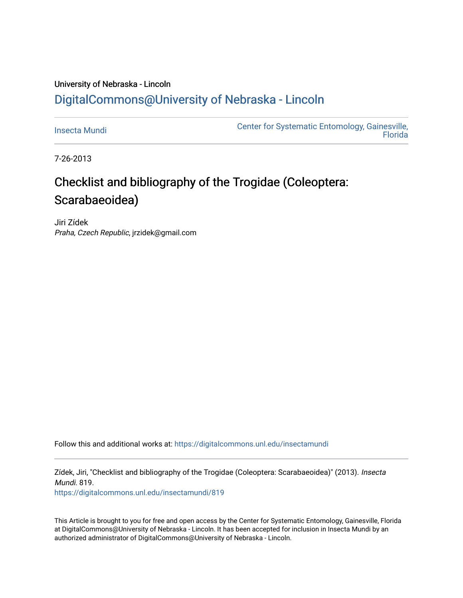### University of Nebraska - Lincoln [DigitalCommons@University of Nebraska - Lincoln](https://digitalcommons.unl.edu/)

[Insecta Mundi](https://digitalcommons.unl.edu/insectamundi) [Center for Systematic Entomology, Gainesville,](https://digitalcommons.unl.edu/centersystematicentomology)  **Florida** 

7-26-2013

# Checklist and bibliography of the Trogidae (Coleoptera: Scarabaeoidea)

Jiri Zídek Praha, Czech Republic, jrzidek@gmail.com

Follow this and additional works at: [https://digitalcommons.unl.edu/insectamundi](https://digitalcommons.unl.edu/insectamundi?utm_source=digitalcommons.unl.edu%2Finsectamundi%2F819&utm_medium=PDF&utm_campaign=PDFCoverPages) 

Zídek, Jiri, "Checklist and bibliography of the Trogidae (Coleoptera: Scarabaeoidea)" (2013). Insecta Mundi. 819.

[https://digitalcommons.unl.edu/insectamundi/819](https://digitalcommons.unl.edu/insectamundi/819?utm_source=digitalcommons.unl.edu%2Finsectamundi%2F819&utm_medium=PDF&utm_campaign=PDFCoverPages) 

This Article is brought to you for free and open access by the Center for Systematic Entomology, Gainesville, Florida at DigitalCommons@University of Nebraska - Lincoln. It has been accepted for inclusion in Insecta Mundi by an authorized administrator of DigitalCommons@University of Nebraska - Lincoln.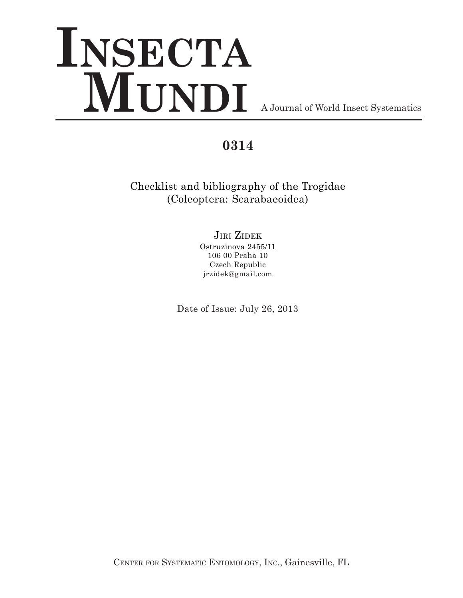# **INSECTA** WUNDI<br>A Journal of World Insect Systematics

## **0314**

Checklist and bibliography of the Trogidae (Coleoptera: Scarabaeoidea)

## JIRI ZIDEK

Ostruzinova 2455/11 106 00 Praha 10 Czech Republic jrzidek@gmail.com

Date of Issue: July 26, 2013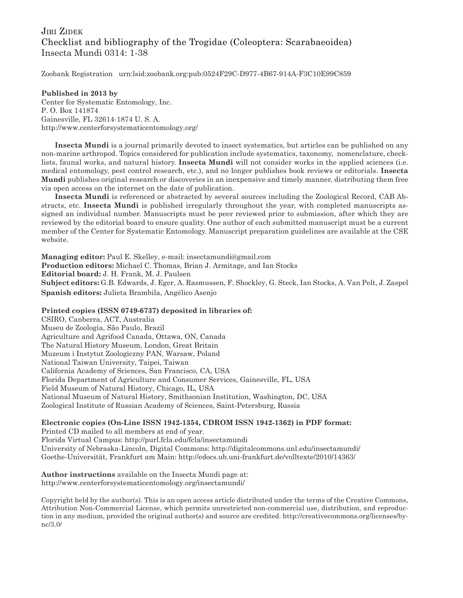#### JIRI ZIDEK Checklist and bibliography of the Trogidae (Coleoptera: Scarabaeoidea) Insecta Mundi 0314: 1-38

Zoobank Registration urn:lsid:zoobank.org:pub:0524F29C-D977-4B67-914A-F3C10E99C859

#### **Published in 2013 by**

Center for Systematic Entomology, Inc. P. O. Box 141874 Gainesville, FL 32614-1874 U. S. A. http://www.centerforsystematicentomology.org/

**Insecta Mundi** is a journal primarily devoted to insect systematics, but articles can be published on any non-marine arthropod. Topics considered for publication include systematics, taxonomy, nomenclature, checklists, faunal works, and natural history. **Insecta Mundi** will not consider works in the applied sciences (i.e. medical entomology, pest control research, etc.), and no longer publishes book reviews or editorials. **Insecta Mundi** publishes original research or discoveries in an inexpensive and timely manner, distributing them free via open access on the internet on the date of publication.

**Insecta Mundi** is referenced or abstracted by several sources including the Zoological Record, CAB Abstracts, etc. **Insecta Mundi** is published irregularly throughout the year, with completed manuscripts assigned an individual number. Manuscripts must be peer reviewed prior to submission, after which they are reviewed by the editorial board to ensure quality. One author of each submitted manuscript must be a current member of the Center for Systematic Entomology. Manuscript preparation guidelines are available at the CSE website.

**Managing editor:** Paul E. Skelley, e-mail: insectamundi@gmail.com **Production editors:** Michael C. Thomas, Brian J. Armitage, and Ian Stocks **Editorial board:** J. H. Frank, M. J. Paulsen **Subject editors:** G.B. Edwards, J. Eger, A. Rasmussen, F. Shockley, G. Steck, Ian Stocks, A. Van Pelt, J. Zaspel **Spanish editors:** Julieta Brambila, Angélico Asenjo

#### **Printed copies (ISSN 0749-6737) deposited in libraries of:**

CSIRO, Canberra, ACT, Australia Museu de Zoologia, São Paulo, Brazil Agriculture and Agrifood Canada, Ottawa, ON, Canada The Natural History Museum, London, Great Britain Muzeum i Instytut Zoologiczny PAN, Warsaw, Poland National Taiwan University, Taipei, Taiwan California Academy of Sciences, San Francisco, CA, USA Florida Department of Agriculture and Consumer Services, Gainesville, FL, USA Field Museum of Natural History, Chicago, IL, USA National Museum of Natural History, Smithsonian Institution, Washington, DC, USA Zoological Institute of Russian Academy of Sciences, Saint-Petersburg, Russia

#### **Electronic copies (On-Line ISSN 1942-1354, CDROM ISSN 1942-1362) in PDF format:**

Printed CD mailed to all members at end of year. Florida Virtual Campus: http://purl.fcla.edu/fcla/insectamundi University of Nebraska-Lincoln, Digital Commons: http://digitalcommons.unl.edu/insectamundi/ Goethe-Universität, Frankfurt am Main: http://edocs.ub.uni-frankfurt.de/volltexte/2010/14363/

**Author instructions** available on the Insecta Mundi page at: http://www.centerforsystematicentomology.org/insectamundi/

Copyright held by the author(s). This is an open access article distributed under the terms of the Creative Commons, Attribution Non-Commercial License, which permits unrestricted non-commercial use, distribution, and reproduction in any medium, provided the original author(s) and source are credited. http://creativecommons.org/licenses/bync/3.0/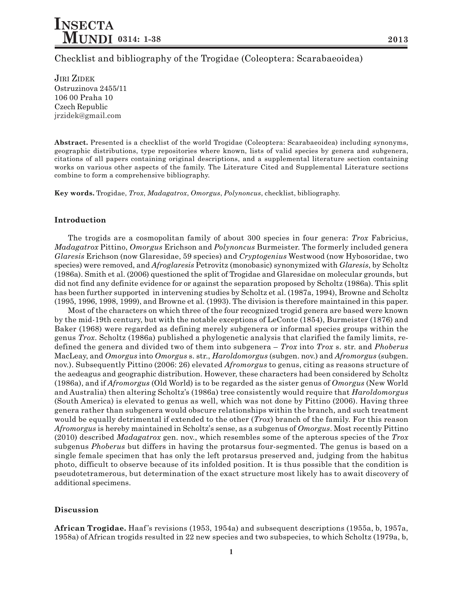Checklist and bibliography of the Trogidae (Coleoptera: Scarabaeoidea)

JIRI ZIDEK Ostruzinova 2455/11 106 00 Praha 10 Czech Republic jrzidek@gmail.com

**Abstract.** Presented is a checklist of the world Trogidae (Coleoptera: Scarabaeoidea) including synonyms, geographic distributions, type repositories where known, lists of valid species by genera and subgenera, citations of all papers containing original descriptions, and a supplemental literature section containing works on various other aspects of the family. The Literature Cited and Supplemental Literature sections combine to form a comprehensive bibliography.

**Key words.** Trogidae, *Trox*, *Madagatrox*, *Omorgus*, *Polynoncus*, checklist, bibliography.

#### **Introduction**

The trogids are a cosmopolitan family of about 300 species in four genera: *Trox* Fabricius, *Madagatrox* Pittino, *Omorgus* Erichson and *Polynoncus* Burmeister. The formerly included genera *Glaresis* Erichson (now Glaresidae, 59 species) and *Cryptogenius* Westwood (now Hybosoridae, two species) were removed, and *Afroglaresis* Petrovitz (monobasic) synonymized with *Glaresis*, by Scholtz (1986a). Smith et al. (2006) questioned the split of Trogidae and Glaresidae on molecular grounds, but did not find any definite evidence for or against the separation proposed by Scholtz (1986a). This split has been further supported in intervening studies by Scholtz et al. (1987a, 1994), Browne and Scholtz (1995, 1996, 1998, 1999), and Browne et al. (1993). The division is therefore maintained in this paper.

Most of the characters on which three of the four recognized trogid genera are based were known by the mid-19th century, but with the notable exceptions of LeConte (1854), Burmeister (1876) and Baker (1968) were regarded as defining merely subgenera or informal species groups within the genus *Trox*. Scholtz (1986a) published a phylogenetic analysis that clarified the family limits, redefined the genera and divided two of them into subgenera – *Trox* into *Trox* s. str. and *Phoberus* MacLeay, and *Omorgus* into *Omorgus* s. str., *Haroldomorgus* (subgen. nov.) and *Afromorgus* (subgen. nov.). Subsequently Pittino (2006: 26) elevated *Afromorgus* to genus, citing as reasons structure of the aedeagus and geographic distribution. However, these characters had been considered by Scholtz (1986a), and if *Afromorgus* (Old World) is to be regarded as the sister genus of *Omorgus* (New World and Australia) then altering Scholtz's (1986a) tree consistently would require that *Haroldomorgus* (South America) is elevated to genus as well, which was not done by Pittino (2006). Having three genera rather than subgenera would obscure relationships within the branch, and such treatment would be equally detrimental if extended to the other (*Trox*) branch of the family. For this reason *Afromorgus* is hereby maintained in Scholtz's sense, as a subgenus of *Omorgus*. Most recently Pittino (2010) described *Madagatrox* gen. nov., which resembles some of the apterous species of the *Trox* subgenus *Phoberus* but differs in having the protarsus four-segmented. The genus is based on a single female specimen that has only the left protarsus preserved and, judging from the habitus photo, difficult to observe because of its infolded position. It is thus possible that the condition is pseudotetramerous, but determination of the exact structure most likely has to await discovery of additional specimens.

#### **Discussion**

**African Trogidae.** Haaf 's revisions (1953, 1954a) and subsequent descriptions (1955a, b, 1957a, 1958a) of African trogids resulted in 22 new species and two subspecies, to which Scholtz (1979a, b,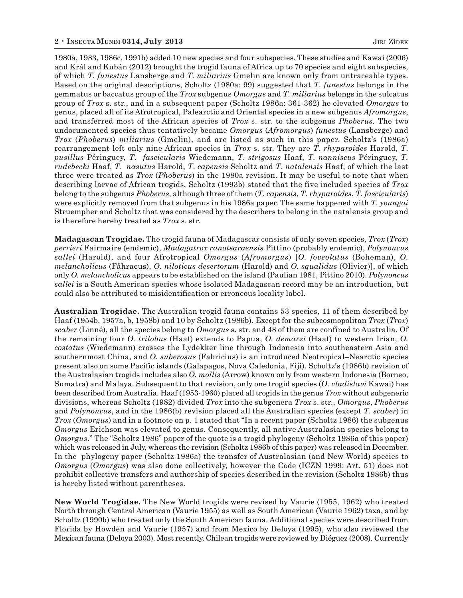1980a, 1983, 1986c, 1991b) added 10 new species and four subspecies. These studies and Kawai (2006) and Král and Kubán (2012) brought the trogid fauna of Africa up to 70 species and eight subspecies, of which *T. funestus* Lansberge and *T. miliarius* Gmelin are known only from untraceable types. Based on the original descriptions, Scholtz (1980a: 99) suggested that *T. funestus* belongs in the gemmatus or baccatus group of the *Trox* subgenus *Omorgus* and *T. miliarius* belongs in the sulcatus group of *Trox* s. str., and in a subsequent paper (Scholtz 1986a: 361-362) he elevated *Omorgus* to genus, placed all of its Afrotropical, Palearctic and Oriental species in a new subgenus *Afromorgus*, and transferred most of the African species of *Trox* s. str. to the subgenus *Phoberus*. The two undocumented species thus tentatively became *Omorgus* (*Afromorgus*) *funestus* (Lansberge) and *Trox* (*Phoberus*) *miliarius* (Gmelin), and are listed as such in this paper. Scholtz's (1986a) rearrangement left only nine African species in *Trox* s. str. They are *T. rhyparoides* Harold, *T*. *pusillus* Péringuey, *T*. *fascicularis* Wiedemann, *T*. *strigosus* Haaf, *T*. *nanniscus* Péringuey, *T. rudebecki* Haaf, *T*. *nasutus* Harold, *T*. *capensis* Scholtz and *T*. *natalensis* Haaf, of which the last three were treated as *Trox* (*Phoberus*) in the 1980a revision. It may be useful to note that when describing larvae of African trogids, Scholtz (1993b) stated that the five included species of *Trox* belong to the subgenus *Phoberus*, although three of them (*T. capensis*, *T. rhyparoides*, *T. fascicularis*) were explicitly removed from that subgenus in his 1986a paper. The same happened with *T. youngai* Struempher and Scholtz that was considered by the describers to belong in the natalensis group and is therefore hereby treated as *Trox* s. str.

**Madagascan Trogidae.** The trogid fauna of Madagascar consists of only seven species, *Trox* (*Trox*) *perrieri* Fairmaire (endemic), *Madagatrox ranotsaraensis* Pittino (probably endemic), *Polynoncus sallei* (Harold), and four Afrotropical *Omorgus* (*Afromorgus*) [*O. foveolatus* (Boheman), *O. melancholicus* (Fåhraeus), *O. niloticus desertorum* (Harold) and *O. squalidus* (Olivier)], of which only *O. melancholicus* appears to be established on the island (Paulian 1981, Pittino 2010). *Polynoncus sallei* is a South American species whose isolated Madagascan record may be an introduction, but could also be attributed to misidentification or erroneous locality label.

**Australian Trogidae.** The Australian trogid fauna contains 53 species, 11 of them described by Haaf (1954b, 1957a, b, 1958b) and 10 by Scholtz (1986b). Except for the subcosmopolitan *Trox* (*Trox*) *scaber* (Linné), all the species belong to *Omorgus* s. str. and 48 of them are confined to Australia. Of the remaining four *O. trilobus* (Haaf) extends to Papua, *O. demarzi* (Haaf) to western Irian, *O. costatus* (Wiedemann) crosses the Lydekker line through Indonesia into southeastern Asia and southernmost China, and *O. suberosus* (Fabricius) is an introduced Neotropical–Nearctic species present also on some Pacific islands (Galapagos, Nova Caledonia, Fiji). Scholtz's (1986b) revision of the Australasian trogids includes also *O. mollis* (Arrow) known only from western Indonesia (Borneo, Sumatra) and Malaya. Subsequent to that revision, only one trogid species (*O*. *vladislavi* Kawai) has been described from Australia. Haaf (1953-1960) placed all trogids in the genus *Trox* without subgeneric divisions, whereas Scholtz (1982) divided *Trox* into the subgenera *Trox* s. str., *Omorgus*, *Phoberus* and *Polynoncus*, and in the 1986(b) revision placed all the Australian species (except *T. scaber*) in *Trox* (*Omorgus*) and in a footnote on p. 1 stated that "In a recent paper (Scholtz 1986) the subgenus *Omorgus* Erichson was elevated to genus. Consequently, all native Australasian species belong to *Omorgus*." The "Scholtz 1986" paper of the quote is a trogid phylogeny (Scholtz 1986a of this paper) which was released in July, whereas the revision (Scholtz 1986b of this paper) was released in December. In the phylogeny paper (Scholtz 1986a) the transfer of Australasian (and New World) species to *Omorgus* (*Omorgus*) was also done collectively, however the Code (ICZN 1999: Art. 51) does not prohibit collective transfers and authorship of species described in the revision (Scholtz 1986b) thus is hereby listed without parentheses.

**New World Trogidae.** The New World trogids were revised by Vaurie (1955, 1962) who treated North through Central American (Vaurie 1955) as well as South American (Vaurie 1962) taxa, and by Scholtz (1990b) who treated only the South American fauna. Additional species were described from Florida by Howden and Vaurie (1957) and from Mexico by Deloya (1995), who also reviewed the Mexican fauna (Deloya 2003). Most recently, Chilean trogids were reviewed by Diéguez (2008). Currently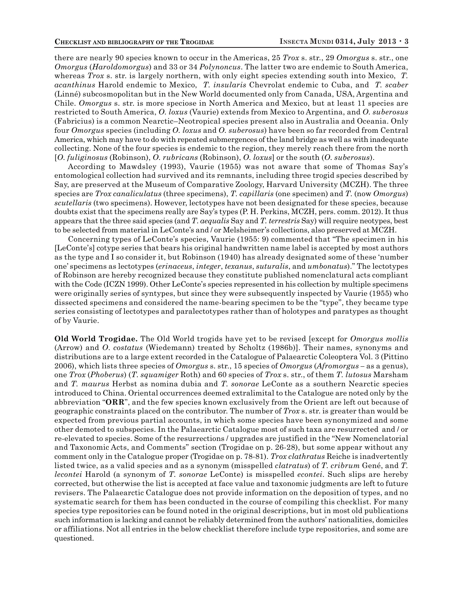there are nearly 90 species known to occur in the Americas, 25 *Trox* s. str., 29 *Omorgus* s. str., one *Omorgus* (*Haroldomorgus*) and 33 or 34 *Polynoncus*. The latter two are endemic to South America, whereas *Trox* s. str. is largely northern, with only eight species extending south into Mexico, *T. acanthinus* Harold endemic to Mexico, *T. insularis* Chevrolat endemic to Cuba, and *T. scaber* (Linné) subcosmopolitan but in the New World documented only from Canada, USA, Argentina and Chile. *Omorgus* s. str. is more speciose in North America and Mexico, but at least 11 species are restricted to South America, *O. loxus* (Vaurie) extends from Mexico to Argentina, and *O. suberosus* (Fabricius) is a common Nearctic–Neotropical species present also in Australia and Oceania. Only four *Omorgus* species (including *O. loxus* and *O. suberosus*) have been so far recorded from Central America, which may have to do with repeated submergences of the land bridge as well as with inadequate collecting. None of the four species is endemic to the region, they merely reach there from the north [*O. fuliginosus* (Robinson), *O. rubricans* (Robinson), *O. loxus*] or the south (*O. suberosus*).

According to Mawdsley (1993), Vaurie (1955) was not aware that some of Thomas Say's entomological collection had survived and its remnants, including three trogid species described by Say, are preserved at the Museum of Comparative Zoology, Harvard University (MCZH). The three species are *Trox canaliculatus* (three specimens), *T. capillaris* (one specimen) and *T*. (now *Omorgus*) *scutellaris* (two specimens). However, lectotypes have not been designated for these species, because doubts exist that the specimens really are Say's types (P. H. Perkins, MCZH, pers. comm. 2012). It thus appears that the three said species (and *T*. *aequalis* Say and *T. terrestris* Say) will require neotypes, best to be selected from material in LeConte's and / or Melsheimer's collections, also preserved at MCZH.

Concerning types of LeConte's species, Vaurie (1955: 9) commented that "The specimen in his [LeConte's] cotype series that bears his original handwritten name label is accepted by most authors as the type and I so consider it, but Robinson (1940) has already designated some of these 'number one' specimens as lectotypes (*erinaceus*, *integer*, *texanus*, *suturalis*, and *umbonatus*)." The lectotypes of Robinson are hereby recognized because they constitute published nomenclatural acts compliant with the Code (ICZN 1999). Other LeConte's species represented in his collection by multiple specimens were originally series of syntypes, but since they were subsequently inspected by Vaurie (1955) who dissected specimens and considered the name-bearing specimen to be the "type", they became type series consisting of lectotypes and paralectotypes rather than of holotypes and paratypes as thought of by Vaurie.

**Old World Trogidae.** The Old World trogids have yet to be revised [except for *Omorgus mollis* (Arrow) and *O*. *costatus* (Wiedemann) treated by Scholtz (1986b)]. Their names, synonyms and distributions are to a large extent recorded in the Catalogue of Palaearctic Coleoptera Vol. 3 (Pittino 2006), which lists three species of *Omorgus* s. str., 15 species of *Omorgus* (*Afromorgus –* as a genus), one *Trox* (*Phoberus*) (*T. squamiger* Roth) and 60 species of *Trox* s. str., of them *T. lutosus* Marsham and *T. maurus* Herbst as nomina dubia and *T. sonorae* LeConte as a southern Nearctic species introduced to China. Oriental occurrences deemed extralimital to the Catalogue are noted only by the abbreviation "**ORR**", and the few species known exclusively from the Orient are left out because of geographic constraints placed on the contributor. The number of *Trox* s. str. is greater than would be expected from previous partial accounts, in which some species have been synonymized and some other demoted to subspecies. In the Palaearctic Catalogue most of such taxa are resurrected and / or re-elevated to species. Some of the resurrections / upgrades are justified in the "New Nomenclatorial and Taxonomic Acts, and Comments" section (Trogidae on p. 26-28), but some appear without any comment only in the Catalogue proper (Trogidae on p. 78-81). *Trox clathratus* Reiche is inadvertently listed twice, as a valid species and as a synonym (misspelled *clatratus*) of *T. cribrum* Gené, and *T. lecontei* Harold (a synonym of *T. sonorae* LeConte) is misspelled *econtei*. Such slips are hereby corrected, but otherwise the list is accepted at face value and taxonomic judgments are left to future revisers. The Palaearctic Catalogue does not provide information on the deposition of types, and no systematic search for them has been conducted in the course of compiling this checklist. For many species type repositories can be found noted in the original descriptions, but in most old publications such information is lacking and cannot be reliably determined from the authors' nationalities, domiciles or affiliations. Not all entries in the below checklist therefore include type repositories, and some are questioned.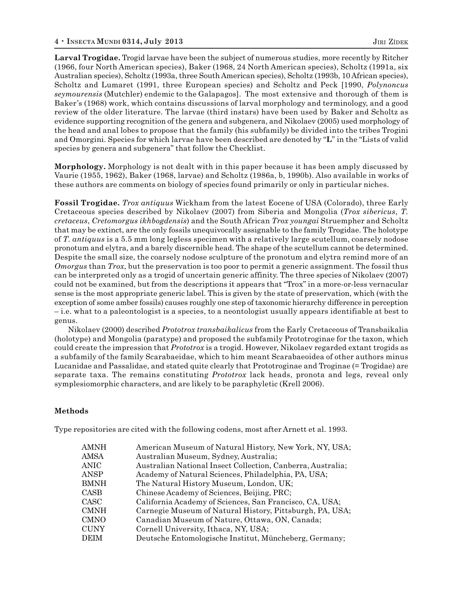**Larval Trogidae.** Trogid larvae have been the subject of numerous studies, more recently by Ritcher (1966, four North American species), Baker (1968, 24 North American species), Scholtz (1991a, six Australian species), Scholtz (1993a, three South American species), Scholtz (1993b, 10 African species), Scholtz and Lumaret (1991, three European species) and Scholtz and Peck [1990, *Polynoncus seymourensis* (Mutchler) endemic to the Galapagos]. The most extensive and thorough of them is Baker's (1968) work, which contains discussions of larval morphology and terminology, and a good review of the older literature. The larvae (third instars) have been used by Baker and Scholtz as evidence supporting recognition of the genera and subgenera, and Nikolaev (2005) used morphology of the head and anal lobes to propose that the family (his subfamily) be divided into the tribes Trogini and Omorgini. Species for which larvae have been described are denoted by "**L**" in the "Lists of valid species by genera and subgenera" that follow the Checklist.

**Morphology.** Morphology is not dealt with in this paper because it has been amply discussed by Vaurie (1955, 1962), Baker (1968, larvae) and Scholtz (1986a, b, 1990b). Also available in works of these authors are comments on biology of species found primarily or only in particular niches.

**Fossil Trogidae.** *Trox antiquus* Wickham from the latest Eocene of USA (Colorado), three Early Cretaceous species described by Nikolaev (2007) from Siberia and Mongolia (*Trox sibericus*, *T. cretaceus*, *Cretomorgus ikhbogdensis*) and the South African *Trox youngai* Struempher and Scholtz that may be extinct, are the only fossils unequivocally assignable to the family Trogidae. The holotype of *T. antiquus* is a 5.5 mm long legless specimen with a relatively large scutellum, coarsely nodose pronotum and elytra, and a barely discernible head. The shape of the scutellum cannot be determined. Despite the small size, the coarsely nodose sculpture of the pronotum and elytra remind more of an *Omorgus* than *Trox*, but the preservation is too poor to permit a generic assignment. The fossil thus can be interpreted only as a trogid of uncertain generic affinity. The three species of Nikolaev (2007) could not be examined, but from the descriptions it appears that "Trox" in a more-or-less vernacular sense is the most appropriate generic label. This is given by the state of preservation, which (with the exception of some amber fossils) causes roughly one step of taxonomic hierarchy difference in perception – i.e. what to a paleontologist is a species, to a neontologist usually appears identifiable at best to genus.

Nikolaev (2000) described *Prototrox transbaikalicus* from the Early Cretaceous of Transbaikalia (holotype) and Mongolia (paratype) and proposed the subfamily Prototroginae for the taxon, which could create the impression that *Prototrox* is a trogid. However, Nikolaev regarded extant trogids as a subfamily of the family Scarabaeidae, which to him meant Scarabaeoidea of other authors minus Lucanidae and Passalidae, and stated quite clearly that Prototroginae and Troginae (= Trogidae) are separate taxa. The remains constituting *Prototrox* lack heads, pronota and legs, reveal only symplesiomorphic characters, and are likely to be paraphyletic (Krell 2006).

#### **Methods**

Type repositories are cited with the following codens, most after Arnett et al. 1993.

| AMNH | American Museum of Natural History, New York, NY, USA;      |
|------|-------------------------------------------------------------|
| AMSA | Australian Museum, Sydney, Australia;                       |
| ANIC | Australian National Insect Collection, Canberra, Australia; |
| ANSP | Academy of Natural Sciences, Philadelphia, PA, USA;         |
| BMNH | The Natural History Museum, London, UK;                     |
| CASB | Chinese Academy of Sciences, Beijing, PRC;                  |
| CASC | California Academy of Sciences, San Francisco, CA, USA;     |
| CMNH | Carnegie Museum of Natural History, Pittsburgh, PA, USA;    |
| CMNO | Canadian Museum of Nature, Ottawa, ON, Canada;              |
| CUNY | Cornell University, Ithaca, NY, USA;                        |
| DEIM | Deutsche Entomologische Institut, Müncheberg, Germany;      |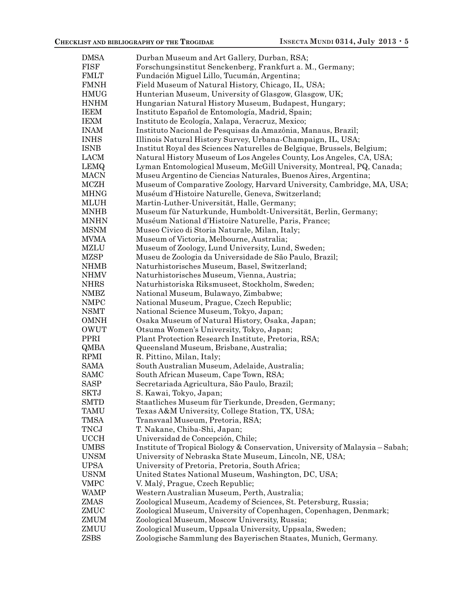| <b>DMSA</b> | Durban Museum and Art Gallery, Durban, RSA;                                   |
|-------------|-------------------------------------------------------------------------------|
| FISF        | Forschungsinstitut Senckenberg, Frankfurt a. M., Germany;                     |
| FMLT        | Fundación Miguel Lillo, Tucumán, Argentina;                                   |
| <b>FMNH</b> | Field Museum of Natural History, Chicago, IL, USA;                            |
| HMUG        | Hunterian Museum, University of Glasgow, Glasgow, UK;                         |
| <b>HNHM</b> | Hungarian Natural History Museum, Budapest, Hungary;                          |
| IEEM        | Instituto Español de Entomología, Madrid, Spain;                              |
| IEXM        | Instituto de Ecología, Xalapa, Veracruz, Mexico;                              |
| <b>INAM</b> | Instituto Nacional de Pesquisas da Amazônia, Manaus, Brazil;                  |
| <b>INHS</b> | Illinois Natural History Survey, Urbana-Champaign, IL, USA;                   |
| ISNB        | Institut Royal des Sciences Naturelles de Belgique, Brussels, Belgium;        |
| LACM        | Natural History Museum of Los Angeles County, Los Angeles, CA, USA;           |
| LEMQ        | Lyman Entomological Museum, McGill University, Montreal, PQ, Canada;          |
| MACN        | Museu Argentino de Ciencias Naturales, Buenos Aires, Argentina;               |
| MCZH        |                                                                               |
|             | Museum of Comparative Zoology, Harvard University, Cambridge, MA, USA;        |
| MHNG        | Muséum d'Histoire Naturelle, Geneva, Switzerland;                             |
| MLUH        | Martin-Luther-Universität, Halle, Germany;                                    |
| MNHB        | Museum für Naturkunde, Humboldt-Universität, Berlin, Germany;                 |
| MNHN        | Muséum National d'Histoire Naturelle, Paris, France;                          |
| MSNM        | Museo Civico di Storia Naturale, Milan, Italy;                                |
| MVMA        | Museum of Victoria, Melbourne, Australia;                                     |
| MZLU        | Museum of Zoology, Lund University, Lund, Sweden;                             |
| MZSP        | Museu de Zoologia da Universidade de São Paulo, Brazil;                       |
| NHMB        | Naturhistorisches Museum, Basel, Switzerland;                                 |
| NHMV        | Naturhistorisches Museum, Vienna, Austria;                                    |
| <b>NHRS</b> | Naturhistoriska Riksmuseet, Stockholm, Sweden;                                |
| NMBZ        | National Museum, Bulawayo, Zimbabwe;                                          |
| NMPC        | National Museum, Prague, Czech Republic;                                      |
| <b>NSMT</b> | National Science Museum, Tokyo, Japan;                                        |
| OMNH        | Osaka Museum of Natural History, Osaka, Japan;                                |
| OWUT        | Otsuma Women's University, Tokyo, Japan;                                      |
| PPRI        | Plant Protection Research Institute, Pretoria, RSA;                           |
| QMBA        | Queensland Museum, Brisbane, Australia;                                       |
| RPMI        | R. Pittino, Milan, Italy;                                                     |
| SAMA        | South Australian Museum, Adelaide, Australia;                                 |
| SAMC        | South African Museum, Cape Town, RSA;                                         |
| <b>SASP</b> | Secretariada Agricultura, São Paulo, Brazil;                                  |
| <b>SKTJ</b> | S. Kawai, Tokyo, Japan;                                                       |
| SMTD        | Staatliches Museum für Tierkunde, Dresden, Germany;                           |
| TAMU        | Texas A&M University, College Station, TX, USA;                               |
| TMSA        | Transvaal Museum, Pretoria, RSA;                                              |
| TNCJ        | T. Nakane, Chiba-Shi, Japan;                                                  |
| UCCH        | Universidad de Concepción, Chile;                                             |
| UMBS        | Institute of Tropical Biology & Conservation, University of Malaysia – Sabah; |
| <b>UNSM</b> | University of Nebraska State Museum, Lincoln, NE, USA;                        |
| <b>UPSA</b> | University of Pretoria, Pretoria, South Africa;                               |
| <b>USNM</b> | United States National Museum, Washington, DC, USA;                           |
| VMPC        | V. Malý, Prague, Czech Republic;                                              |
| WAMP        | Western Australian Museum, Perth, Australia;                                  |
| ZMAS        | Zoological Museum, Academy of Sciences, St. Petersburg, Russia;               |
| ZMUC        | Zoological Museum, University of Copenhagen, Copenhagen, Denmark;             |
| ZMUM        | Zoological Museum, Moscow University, Russia;                                 |
| ZMUU        | Zoological Museum, Uppsala University, Uppsala, Sweden;                       |
| ZSBS        |                                                                               |
|             | Zoologische Sammlung des Bayerischen Staates, Munich, Germany.                |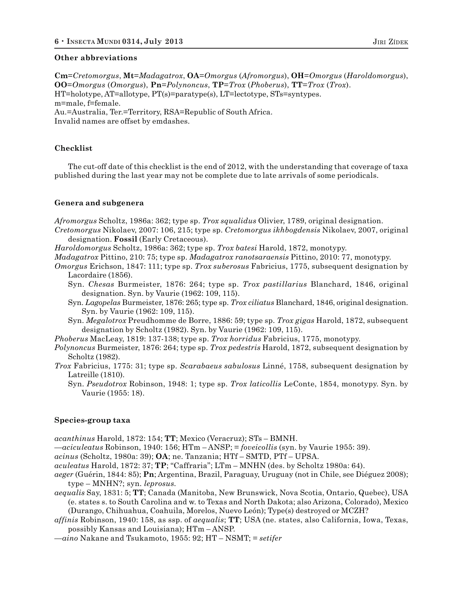#### **Other abbreviations**

**Cm**=*Cretomorgus*, **Mt**=*Madagatrox*, **OA**=*Omorgus* (*Afromorgus*), **OH**=*Omorgus* (*Haroldomorgus*), **OO**=*Omorgus* (*Omorgus*), **Pn**=*Polynoncus*, **TP**=*Trox* (*Phoberus*), **TT**=*Trox* (*Trox*). HT=holotype, AT=allotype, PT(s)=paratype(s), LT=lectotype, STs=syntypes. m=male, f=female. Au.=Australia, Ter.=Territory, RSA=Republic of South Africa. Invalid names are offset by emdashes.

#### **Checklist**

The cut-off date of this checklist is the end of 2012, with the understanding that coverage of taxa published during the last year may not be complete due to late arrivals of some periodicals.

#### **Genera and subgenera**

*Afromorgus* Scholtz, 1986a: 362; type sp. *Trox squalidus* Olivier, 1789, original designation.

*Cretomorgus* Nikolaev, 2007: 106, 215; type sp. *Cretomorgus ikhbogdensis* Nikolaev, 2007, original designation. **Fossil** (Early Cretaceous).

*Haroldomorgus* Scholtz, 1986a: 362; type sp. *Trox batesi* Harold, 1872, monotypy.

*Madagatrox* Pittino, 210: 75; type sp. *Madagatrox ranotsaraensis* Pittino, 2010: 77, monotypy.

- *Omorgus* Erichson, 1847: 111; type sp. *Trox suberosus* Fabricius, 1775, subsequent designation by Lacordaire (1856).
	- Syn. *Chesas* Burmeister, 1876: 264; type sp. *Trox pastillarius* Blanchard, 1846, original designation. Syn. by Vaurie (1962: 109, 115).
	- Syn. *Lagopelas* Burmeister, 1876: 265; type sp. *Trox ciliatus* Blanchard, 1846, original designation. Syn. by Vaurie (1962: 109, 115).
	- Syn. *Megalotrox* Preudhomme de Borre, 1886: 59; type sp. *Trox gigas* Harold, 1872, subsequent designation by Scholtz (1982). Syn. by Vaurie (1962: 109, 115).

*Phoberus* MacLeay, 1819: 137-138; type sp. *Trox horridus* Fabricius, 1775, monotypy.

- *Polynoncus* Burmeister, 1876: 264; type sp. *Trox pedestris* Harold, 1872, subsequent designation by Scholtz (1982).
- *Trox* Fabricius, 1775: 31; type sp. *Scarabaeus sabulosus* Linné, 1758, subsequent designation by Latreille (1810).
	- Syn. *Pseudotrox* Robinson, 1948: 1; type sp. *Trox laticollis* LeConte, 1854, monotypy. Syn. by Vaurie (1955: 18).

#### **Species-group taxa**

*acanthinus* Harold, 1872: 154; **TT**; Mexico (Veracruz); STs – BMNH.

—*aciculeatus* Robinson, 1940: 156; HTm – ANSP; = *foveicollis* (syn. by Vaurie 1955: 39).

*acinus* (Scholtz, 1980a: 39); **OA**; ne. Tanzania; HTf – SMTD, PTf – UPSA.

*aculeatus* Harold, 1872: 37; **TP**; "Caffraria"; LTm – MNHN (des. by Scholtz 1980a: 64).

- *aeger* (Guérin, 1844: 85); **Pn**; Argentina, Brazil, Paraguay, Uruguay (not in Chile, see Diéguez 2008); type – MNHN?; syn. *leprosus.*
- *aequalis* Say, 1831: 5; **TT**; Canada (Manitoba, New Brunswick, Nova Scotia, Ontario, Quebec), USA (e. states s. to South Carolina and w. to Texas and North Dakota; also Arizona, Colorado), Mexico (Durango, Chihuahua, Coahuila, Morelos, Nuevo León); Type(s) destroyed or MCZH?

*affinis* Robinson, 1940: 158, as ssp. of *aequalis*; **TT**; USA (ne. states, also California, Iowa, Texas, possibly Kansas and Louisiana); HTm – ANSP.

—*aino* Nakane and Tsukamoto, 1955: 92; HT – NSMT; = *setifer*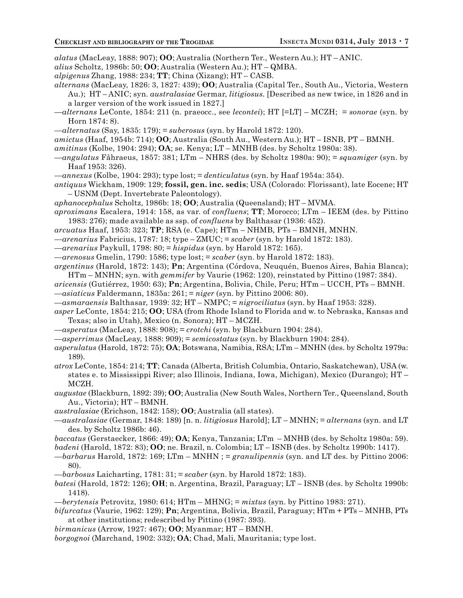*alatus* (MacLeay, 1888: 907); **OO**; Australia (Northern Ter., Western Au.); HT – ANIC.

- *alius* Scholtz, 1986b: 50; **OO**; Australia (Western Au.); HT QMBA.
- *alpigenus* Zhang, 1988: 234; **TT**; China (Xizang); HT CASB.
- *alternans* (MacLeay, 1826: 3, 1827: 439); **OO**; Australia (Capital Ter., South Au., Victoria, Western Au.); HT – ANIC; syn. *australasiae* Germar, *litigiosus.* [Described as new twice, in 1826 and in a larger version of the work issued in 1827.]
- —*alternans* LeConte, 1854: 211 (n. praeocc., see *lecontei*); HT [=LT] MCZH; = *sonorae* (syn. by Horn 1874: 8).
- —*alternatus* (Say, 1835: 179); = *suberosus* (syn. by Harold 1872: 120).
- *amictus* (Haaf, 1954b: 714); **OO**; Australia (South Au., Western Au.); HT ISNB, PT BMNH.
- *amitinus* (Kolbe, 1904: 294); **OA**; se. Kenya; LT MNHB (des. by Scholtz 1980a: 38).
- —*angulatus* Fåhraeus, 1857: 381; LTm NHRS (des. by Scholtz 1980a: 90); = *squamiger* (syn. by Haaf 1953: 326).
- —*annexus* (Kolbe, 1904: 293); type lost; = *denticulatus* (syn. by Haaf 1954a: 354).
- *antiquus* Wickham, 1909: 129; **fossil, gen. inc. sedis**; USA (Colorado: Florissant), late Eocene; HT – USNM (Dept. Invertebrate Paleontology).
- *aphanocephalus* Scholtz, 1986b: 18; **OO**; Australia (Queensland); HT MVMA.
- *aproximans* Escalera, 1914: 158, as var. of *confluens*; **TT**; Morocco; LTm IEEM (des. by Pittino 1983: 276); made available as ssp. of *confluens* by Balthasar (1936: 452).
- *arcuatus* Haaf, 1953: 323; **TP**; RSA (e. Cape); HTm NHMB, PTs BMNH, MNHN.
- —*arenarius* Fabricius, 1787: 18; type ZMUC; = *scaber* (syn. by Harold 1872: 183).
- —*arenarius* Paykull, 1798: 80; = *hispidus* (syn. by Harold 1872: 165).
- —*arenosus* Gmelin, 1790: 1586; type lost; = *scaber* (syn. by Harold 1872: 183).
- *argentinus* (Harold, 1872: 143); **Pn**; Argentina (Córdova, Neuquén, Buenos Aires, Bahia Blanca); HTm – MNHN; syn. with *gemmifer* by Vaurie (1962: 120), reinstated by Pittino (1987: 384).
- *aricensis* (Gutiérrez, 1950: 63); **Pn**; Argentina, Bolivia, Chile, Peru; HTm UCCH, PTs BMNH. —*asiaticus* Faldermann, 1835a: 261; = *niger* (syn. by Pittino 2006: 80).
- —*asmaraensis* Balthasar, 1939: 32; HT NMPC; = *nigrociliatus* (syn. by Haaf 1953: 328).
- *asper* LeConte, 1854: 215; **OO**; USA (from Rhode Island to Florida and w. to Nebraska, Kansas and Texas; also in Utah), Mexico (n. Sonora); HT – MCZH.
- —*asperatus* (MacLeay, 1888: 908); = *crotchi* (syn. by Blackburn 1904: 284).
- —*asperrimus* (MacLeay, 1888: 909); = *semicostatus* (syn. by Blackburn 1904: 284).
- *asperulatus* (Harold, 1872: 75); **OA**; Botswana, Namibia, RSA; LTm MNHN (des. by Scholtz 1979a: 189).
- *atrox* LeConte, 1854: 214; **TT**; Canada (Alberta, British Columbia, Ontario, Saskatchewan), USA (w. states e. to Mississippi River; also Illinois, Indiana, Iowa, Michigan), Mexico (Durango); HT – MCZH.
- *augustae* (Blackburn, 1892: 39); **OO**; Australia (New South Wales, Northern Ter., Queensland, South Au., Victoria); HT – BMNH.
- *australasiae* (Erichson, 1842: 158); **OO**; Australia (all states).
- —*australasiae* (Germar, 1848: 189) [n. n. *litigiosus* Harold]; LT MNHN; = *alternans* (syn. and LT des. by Scholtz 1986b: 46).
- *baccatus* (Gerstaecker, 1866: 49); **OA**; Kenya, Tanzania; LTm MNHB (des. by Scholtz 1980a: 59).
- *badeni* (Harold, 1872: 83); **OO**; ne. Brazil, n. Colombia; LT ISNB (des. by Scholtz 1990b: 1417).
- —*barbarus* Harold, 1872: 169; LTm MNHN ; = *granulipennis* (syn. and LT des. by Pittino 2006: 80).
- —*barbosus* Laicharting, 1781: 31; = *scaber* (syn. by Harold 1872: 183).
- *batesi* (Harold, 1872: 126); **OH**; n. Argentina, Brazil, Paraguay; LT ISNB (des. by Scholtz 1990b: 1418).
- —*berytensis* Petrovitz, 1980: 614; HTm MHNG; = *mixtus* (syn. by Pittino 1983: 271).
- *bifurcatus* (Vaurie, 1962: 129); **Pn**; Argentina, Bolivia, Brazil, Paraguay; HTm + PTs MNHB, PTs at other institutions; redescribed by Pittino (1987: 393).
- *birmanicus* (Arrow, 1927: 467); **OO**; Myanmar; HT BMNH.
- *borgognoi* (Marchand, 1902: 332); **OA**; Chad, Mali, Mauritania; type lost.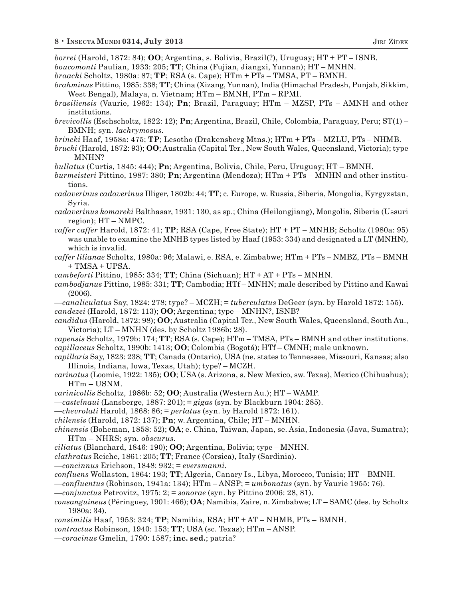*borrei* (Harold, 1872: 84); **OO**; Argentina, s. Bolivia, Brazil(?), Uruguay; HT + PT – ISNB.

- *boucomonti* Paulian, 1933: 205; **TT**; China (Fujian, Jiangxi, Yunnan); HT MNHN.
- *braacki* Scholtz, 1980a: 87; **TP**; RSA (s. Cape); HTm + PTs TMSA, PT BMNH.
- *brahminus* Pittino, 1985: 338; **TT**; China (Xizang, Yunnan), India (Himachal Pradesh, Punjab, Sikkim, West Bengal), Malaya, n. Vietnam; HTm – BMNH, PTm – RPMI.
- *brasiliensis* (Vaurie, 1962: 134); **Pn**; Brazil, Paraguay; HTm MZSP, PTs AMNH and other institutions.
- *brevicollis* (Eschscholtz, 1822: 12); **Pn**; Argentina, Brazil, Chile, Colombia, Paraguay, Peru; ST(1) BMNH; syn. *lachrymosus.*
- *brincki* Haaf, 1958a: 475; **TP**; Lesotho (Drakensberg Mtns.); HTm + PTs MZLU, PTs NHMB.
- *brucki* (Harold, 1872: 93); **OO**; Australia (Capital Ter., New South Wales, Queensland, Victoria); type – MNHN?
- *bullatus* (Curtis, 1845: 444); **Pn**; Argentina, Bolivia, Chile, Peru, Uruguay; HT BMNH.
- *burmeisteri* Pittino, 1987: 380; **Pn**; Argentina (Mendoza); HTm + PTs MNHN and other institutions.
- *cadaverinus cadaverinus* Illiger, 1802b: 44; **TT**; c. Europe, w. Russia, Siberia, Mongolia, Kyrgyzstan, Syria.
- *cadaverinus komareki* Balthasar, 1931: 130, as sp.; China (Heilongjiang), Mongolia, Siberia (Ussuri region); HT – NMPC.
- *caffer caffer* Harold, 1872: 41; **TP**; RSA (Cape, Free State); HT + PT MNHB; Scholtz (1980a: 95) was unable to examine the MNHB types listed by Haaf (1953: 334) and designated a LT (MNHN), which is invalid.
- *caffer lilianae* Scholtz, 1980a: 96; Malawi, e. RSA, e. Zimbabwe; HTm + PTs NMBZ, PTs BMNH + TMSA + UPSA.
- *cambeforti* Pittino, 1985: 334; **TT**; China (Sichuan); HT + AT + PTs MNHN.
- *cambodjanus* Pittino, 1985: 331; **TT**; Cambodia; HTf MNHN; male described by Pittino and Kawai (2006).
- —*canaliculatus* Say, 1824: 278; type? MCZH; = *tuberculatus* DeGeer (syn. by Harold 1872: 155). *candezei* (Harold, 1872: 113); **OO**; Argentina; type – MNHN?, ISNB?
- *candidus* (Harold, 1872: 98); **OO**; Australia (Capital Ter., New South Wales, Queensland, South Au., Victoria); LT – MNHN (des. by Scholtz 1986b: 28).
- *capensis* Scholtz, 1979b: 174; **TT**; RSA (s. Cape); HTm TMSA, PTs BMNH and other institutions. *capillaceus* Scholtz, 1990b: 1413; **OO**; Colombia (Bogotá); HTf – CMNH; male unknown.
- *capillaris* Say, 1823: 238; **TT**; Canada (Ontario), USA (ne. states to Tennessee, Missouri, Kansas; also Illinois, Indiana, Iowa, Texas, Utah); type? – MCZH.
- *carinatus* (Loomie, 1922: 135); **OO**; USA (s. Arizona, s. New Mexico, sw. Texas), Mexico (Chihuahua); HTm – USNM.
- *carinicollis* Scholtz, 1986b: 52; **OO**; Australia (Western Au.); HT WAMP.
- —*castelnaui* (Lansberge, 1887: 201); = *gigas* (syn. by Blackburn 1904: 285).
- —*chevrolati* Harold, 1868: 86; = *perlatus* (syn. by Harold 1872: 161).
- *chilensis* (Harold, 1872: 137); **Pn**; w. Argentina, Chile; HT MNHN.
- *chinensis* (Boheman, 1858: 52); **OA**; e. China, Taiwan, Japan, se. Asia, Indonesia (Java, Sumatra); HTm – NHRS; syn. *obscurus.*
- *ciliatus* (Blanchard, 1846: 190); **OO**; Argentina, Bolivia; type MNHN.
- *clathratus* Reiche, 1861: 205; **TT**; France (Corsica), Italy (Sardinia).
- —*concinnus* Erichson, 1848: 932; = *eversmanni.*
- *confluens* Wollaston, 1864: 193; **TT**; Algeria, Canary Is., Libya, Morocco, Tunisia; HT BMNH.
- —*confluentus* (Robinson, 1941a: 134); HTm ANSP; = *umbonatus* (syn. by Vaurie 1955: 76).
- —*conjunctus* Petrovitz, 1975: 2; = *sonorae* (syn. by Pittino 2006: 28, 81).
- *consanguineus* (Péringuey, 1901: 466); **OA**; Namibia, Zaire, n. Zimbabwe; LT SAMC (des. by Scholtz 1980a: 34).
- *consimilis* Haaf, 1953: 324; **TP**; Namibia, RSA; HT + AT NHMB, PTs BMNH.
- *contractus* Robinson, 1940: 153; **TT**; USA (sc. Texas); HTm ANSP.
- —*coracinus* Gmelin, 1790: 1587; **inc. sed.**; patria?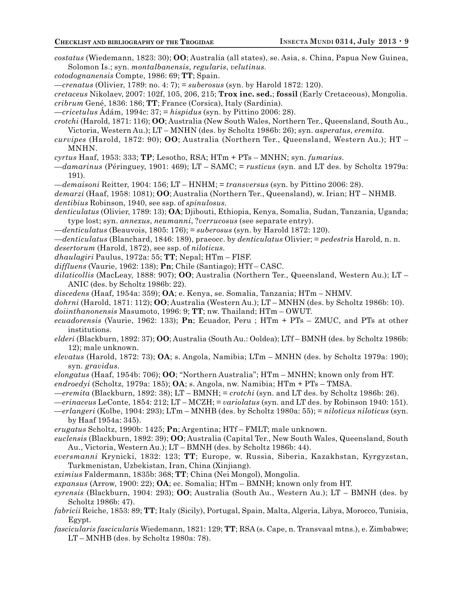- *costatus* (Wiedemann, 1823: 30); **OO**; Australia (all states), se. Asia, s. China, Papua New Guinea, Solomon Is.; syn. *montalbanensis*, *regularis*, *velutinus.*
- *cotodognanensis* Compte, 1986: 69; **TT**; Spain.
- —*crenatus* (Olivier, 1789: no. 4: 7); = *suberosus* (syn. by Harold 1872: 120).
- *cretaceus* Nikolaev, 2007: 102f, 105, 206, 215; **Trox inc. sed.**; **fossil** (Early Cretaceous), Mongolia. *cribrum* Gené, 1836: 186; **TT**; France (Corsica), Italy (Sardinia).
- —*cricetulus* Ádám, 1994c: 37; = *hispidus* (syn. by Pittino 2006: 28).

*crotchi* (Harold, 1871: 116); **OO**; Australia (New South Wales, Northern Ter., Queensland, South Au., Victoria, Western Au.); LT – MNHN (des. by Scholtz 1986b: 26); syn. *asperatus*, *eremita.*

*curvipes* (Harold, 1872: 90); **OO**; Australia (Northern Ter., Queensland, Western Au.); HT – MNHN.

*cyrtus* Haaf, 1953: 333; **TP**; Lesotho, RSA; HTm + PTs – MNHN; syn. *fumarius.*

- —*damarinus* (Péringuey, 1901: 469); LT SAMC; = *rusticus* (syn. and LT des. by Scholtz 1979a: 191).
- —*demaisoni* Reitter, 1904: 156; LT HNHM; = *transversus* (syn. by Pittino 2006: 28).

*demarzi* (Haaf, 1958: 1081); **OO**; Australia (Northern Ter., Queensland), w. Irian; HT – NHMB. *dentibius* Robinson, 1940, see ssp. of *spinulosus.*

- *denticulatus* (Olivier, 1789: 13); **OA**; Djibouti, Ethiopia, Kenya, Somalia, Sudan, Tanzania, Uganda; type lost; syn. *annexus*, *neumanni*, ?*verrucosus* (see separate entry).
- —*denticulatus* (Beauvois, 1805: 176); = *suberosus* (syn. by Harold 1872: 120).
- —*denticulatus* (Blanchard, 1846: 189), praeocc. by *denticulatus* Olivier; = *pedestris* Harold, n. n.
- *desertorum* (Harold, 1872), see ssp. of *niloticus.*
- *dhaulagiri* Paulus, 1972a: 55; **TT**; Nepal; HTm FISF.
- *diffluens* (Vaurie, 1962: 138); **Pn**; Chile (Santiago); HTf CASC.
- *dilaticollis* (MacLeay, 1888: 907); **OO**; Australia (Northern Ter., Queensland, Western Au.); LT ANIC (des. by Scholtz 1986b: 22).
- *discedens* (Haaf, 1954a: 359); **OA**; e. Kenya, se. Somalia, Tanzania; HTm NHMV.
- *dohrni* (Harold, 1871: 112); **OO**; Australia (Western Au.); LT MNHN (des. by Scholtz 1986b: 10).
- *doiinthanonensis* Masumoto, 1996: 9; **TT**; nw. Thailand; HTm OWUT.
- *ecuadorensis* (Vaurie, 1962: 133); **Pn**; Ecuador, Peru ; HTm + PTs ZMUC, and PTs at other institutions.
- *elderi* (Blackburn, 1892: 37); **OO**; Australia (South Au.: Ooldea); LTf BMNH (des. by Scholtz 1986b: 12); male unknown.
- *elevatus* (Harold, 1872: 73); **OA**; s. Angola, Namibia; LTm MNHN (des. by Scholtz 1979a: 190); syn. *gravidus.*
- *elongatus* (Haaf, 1954b: 706); **OO**; "Northern Australia"; HTm MNHN; known only from HT.
- *endroedyi* (Scholtz, 1979a: 185); **OA**; s. Angola, nw. Namibia; HTm + PTs TMSA.
- —*eremita* (Blackburn, 1892: 38); LT BMNH; = *crotchi* (syn. and LT des. by Scholtz 1986b: 26).
- —*erinaceus* LeConte, 1854: 212; LT MCZH; = *variolatus* (syn. and LT des. by Robinson 1940: 151).
- —*erlangeri* (Kolbe, 1904: 293); LTm MNHB (des. by Scholtz 1980a: 55); = *niloticus niloticus* (syn. by Haaf 1954a: 345).
- *erugatus* Scholtz, 1990b: 1425; **Pn**; Argentina; HTf FMLT; male unknown.
- *euclensis* (Blackburn, 1892: 39); **OO**; Australia (Capital Ter., New South Wales, Queensland, South Au., Victoria, Western Au.); LT – BMNH (des. by Scholtz 1986b: 44).
- *eversmanni* Krynicki, 1832: 123; **TT**; Europe, w. Russia, Siberia, Kazakhstan, Kyrgyzstan, Turkmenistan, Uzbekistan, Iran, China (Xinjiang).
- *eximius* Faldermann, 1835b: 368; **TT**; China (Nei Mongol), Mongolia.
- *expansus* (Arrow, 1900: 22); **OA**; ec. Somalia; HTm BMNH; known only from HT.
- *eyrensis* (Blackburn, 1904: 293); **OO**; Australia (South Au., Western Au.); LT BMNH (des. by Scholtz 1986b: 47).
- *fabricii* Reiche, 1853: 89; **TT**; Italy (Sicily), Portugal, Spain, Malta, Algeria, Libya, Morocco, Tunisia, Egypt.
- *fascicularis fascicularis* Wiedemann, 1821: 129; **TT**; RSA (s. Cape, n. Transvaal mtns.), e. Zimbabwe; LT – MNHB (des. by Scholtz 1980a: 78).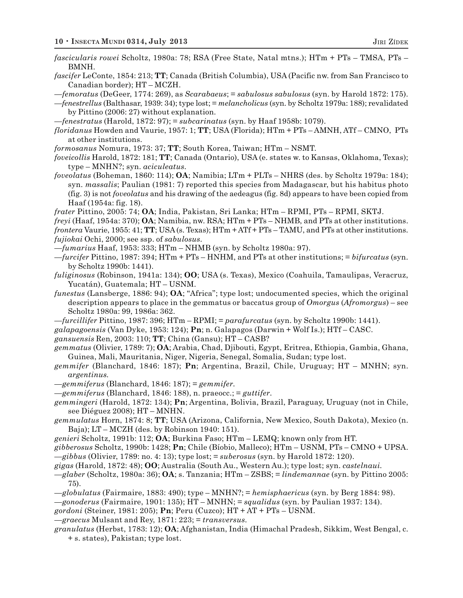- *fascicularis rowei* Scholtz, 1980a: 78; RSA (Free State, Natal mtns.); HTm + PTs TMSA, PTs BMNH.
- *fascifer* LeConte, 1854: 213; **TT**; Canada (British Columbia), USA (Pacific nw. from San Francisco to Canadian border); HT – MCZH.
- —*femoratus* (DeGeer, 1774: 269), as *Scarabaeus*; = *sabulosus sabulosus* (syn. by Harold 1872: 175).
- *—fenestrellus* (Balthasar, 1939: 34); type lost; = *melancholicus* (syn. by Scholtz 1979a: 188); revalidated by Pittino (2006: 27) without explanation.
- —*fenestratus* (Harold, 1872: 97); = *subcarinatus* (syn. by Haaf 1958b: 1079).
- *floridanus* Howden and Vaurie, 1957: 1; **TT**; USA (Florida); HTm + PTs AMNH, ATf CMNO, PTs at other institutions.
- *formosanus* Nomura, 1973: 37; **TT**; South Korea, Taiwan; HTm NSMT.

*foveicollis* Harold, 1872: 181; **TT**; Canada (Ontario), USA (e. states w. to Kansas, Oklahoma, Texas); type – MNHN?; syn. *aciculeatus.*

- *foveolatus* (Boheman, 1860: 114); **OA**; Namibia; LTm + PLTs NHRS (des. by Scholtz 1979a: 184); syn. *massalis*; Paulian (1981: 7) reported this species from Madagascar, but his habitus photo (fig. 3) is not *foveolatus* and his drawing of the aedeagus (fig. 8d) appears to have been copied from Haaf (1954a: fig. 18).
- *frater* Pittino, 2005: 74; **OA**; India, Pakistan, Sri Lanka; HTm RPMI, PTs RPMI, SKTJ.
- *freyi* (Haaf, 1954a: 370); **OA**; Namibia, nw. RSA; HTm + PTs NHMB, and PTs at other institutions. *frontera* Vaurie, 1955: 41; **TT**; USA (s. Texas); HTm + ATf + PTs – TAMU, and PTs at other institutions. *fujiokai* Ochi, 2000; see ssp. of *sabulosus.*
- —*fumarius* Haaf, 1953: 333; HTm NHMB (syn. by Scholtz 1980a: 97).
- —*furcifer* Pittino, 1987: 394; HTm + PTs HNHM, and PTs at other institutions; = *bifurcatus* (syn. by Scholtz 1990b: 1441).
- *fuliginosus* (Robinson, 1941a: 134); **OO**; USA (s. Texas), Mexico (Coahuila, Tamaulipas, Veracruz, Yucatán), Guatemala; HT – USNM.
- *funestus* (Lansberge, 1886: 94); **OA**; "Africa"; type lost; undocumented species, which the original description appears to place in the gemmatus or baccatus group of *Omorgus* (*Afromorgus*) – see Scholtz 1980a: 99, 1986a: 362.
- —*furcillifer* Pittino, 1987: 396; HTm RPMI; = *parafurcatus* (syn. by Scholtz 1990b: 1441).
- *galapagoensis* (Van Dyke, 1953: 124); **Pn**; n. Galapagos (Darwin + Wolf Is.); HTf CASC.
- *gansuensis* Ren, 2003: 110; **TT**; China (Gansu); HT CASB?
- *gemmatus* (Olivier, 1789: 7); **OA**; Arabia, Chad, Djibouti, Egypt, Eritrea, Ethiopia, Gambia, Ghana, Guinea, Mali, Mauritania, Niger, Nigeria, Senegal, Somalia, Sudan; type lost.
- *gemmifer* (Blanchard, 1846: 187); **Pn**; Argentina, Brazil, Chile, Uruguay; HT MNHN; syn. *argentinus.*
- *—gemmiferus* (Blanchard, 1846: 187); = *gemmifer.*
- *—gemmiferus* (Blanchard, 1846: 188), n. praeocc.; = *guttifer.*
- *gemmingeri* (Harold, 1872: 134); **Pn**; Argentina, Bolivia, Brazil, Paraguay, Uruguay (not in Chile, see Diéguez 2008); HT – MNHN.
- *gemmulatus* Horn, 1874: 8; **TT**; USA (Arizona, California, New Mexico, South Dakota), Mexico (n. Baja); LT – MCZH (des. by Robinson 1940: 151).
- *genieri* Scholtz, 1991b: 112; **OA**; Burkina Faso; HTm LEMQ; known only from HT.
- *gibberosus* Scholtz, 1990b: 1428; **Pn**; Chile (Bíobio, Malleco); HTm USNM, PTs CMNO + UPSA.
- —*gibbus* (Olivier, 1789: no. 4: 13); type lost; = *suberosus* (syn. by Harold 1872: 120).
- *gigas* (Harold, 1872: 48); **OO**; Australia (South Au., Western Au.); type lost; syn. *castelnaui.*
- —*glaber* (Scholtz, 1980a: 36); **OA**; s. Tanzania; HTm ZSBS; = *lindemannae* (syn. by Pittino 2005: 75).
- —*globulatus* (Fairmaire, 1883: 490); type MNHN?; = *hemisphaericus* (syn. by Berg 1884: 98).
- —*gonoderus* (Fairmaire, 1901: 135); HT MNHN; = *squalidus* (syn. by Paulian 1937: 134).
- *gordoni* (Steiner, 1981: 205); **Pn**; Peru (Cuzco); HT + AT + PTs USNM.
- —*graecus* Mulsant and Rey, 1871: 223; = *transversus.*
- *granulatus* (Herbst, 1783: 12); **OA**; Afghanistan, India (Himachal Pradesh, Sikkim, West Bengal, c. + s. states), Pakistan; type lost.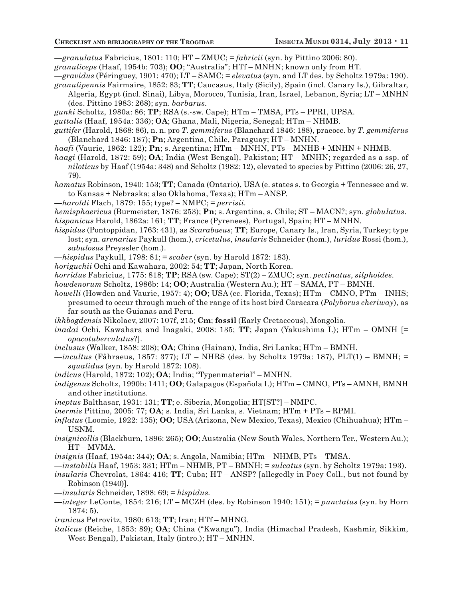—*granulatus* Fabricius, 1801: 110; HT – ZMUC; = *fabricii* (syn. by Pittino 2006: 80).

- *granuliceps* (Haaf, 1954b: 703); **OO**; "Australia"; HTf MNHN; known only from HT.
- —*gravidus* (Péringuey, 1901: 470); LT SAMC; = *elevatus* (syn. and LT des. by Scholtz 1979a: 190).
- *granulipennis* Fairmaire, 1852: 83; **TT**; Caucasus, Italy (Sicily), Spain (incl. Canary Is.), Gibraltar, Algeria, Egypt (incl. Sinai), Libya, Morocco, Tunisia, Iran, Israel, Lebanon, Syria; LT – MNHN (des. Pittino 1983: 268); syn. *barbarus.*
- *gunki* Scholtz, 1980a: 86; **TP**; RSA (s.-sw. Cape); HTm TMSA, PTs PPRI, UPSA.
- *guttalis* (Haaf, 1954a: 336); **OA**; Ghana, Mali, Nigeria, Senegal; HTm NHMB.
- *guttifer* (Harold, 1868: 86), n. n. pro *T. gemmiferus* (Blanchard 1846: 188), praeocc. by *T. gemmiferus* (Blanchard 1846: 187); **Pn**; Argentina, Chile, Paraguay; HT – MNHN.
- *haafi* (Vaurie, 1962: 122); **Pn**; s. Argentina; HTm MNHN, PTs MNHB + MNHN + NHMB.
- *haagi* (Harold, 1872: 59); **OA**; India (West Bengal), Pakistan; HT MNHN; regarded as a ssp. of *niloticus* by Haaf (1954a: 348) and Scholtz (1982: 12), elevated to species by Pittino (2006: 26, 27, 79).
- *hamatus* Robinson, 1940: 153; **TT**; Canada (Ontario), USA (e. states s. to Georgia + Tennessee and w. to Kansas + Nebraska; also Oklahoma, Texas); HTm – ANSP.
- —*haroldi* Flach, 1879: 155; type? NMPC; = *perrisii.*
- *hemisphaericus* (Burmeister, 1876: 253); **Pn**; s. Argentina, s. Chile; ST MACN?; syn. *globulatus.*
- *hispanicus* Harold, 1862a: 161; **TT**; France (Pyrenees), Portugal, Spain; HT MNHN.
- *hispidus* (Pontoppidan, 1763: 431), as *Scarabaeus*; **TT**; Europe, Canary Is., Iran, Syria, Turkey; type lost; syn. *arenarius* Paykull (hom.), *cricetulus*, *insularis* Schneider (hom.), *luridus* Rossi (hom.), *sabulosus* Preyssler (hom.).
- —*hispidus* Paykull, 1798: 81; = *scaber* (syn. by Harold 1872: 183).
- *horiguchii* Ochi and Kawahara, 2002: 54; **TT**; Japan, North Korea.
- *horridus* Fabricius, 1775: 818; **TP**; RSA (sw. Cape); ST(2) ZMUC; syn. *pectinatus*, *silphoides.*
- *howdenorum* Scholtz, 1986b: 14; **OO**; Australia (Western Au.); HT SAMA, PT BMNH.
- *howelli* (Howden and Vaurie, 1957: 4); **OO**; USA (ec. Florida, Texas); HTm CMNO, PTm INHS; presumed to occur through much of the range of its host bird Caracara (*Polyborus cheriway*), as far south as the Guianas and Peru.
- *ikhbogdensis* Nikolaev, 2007: 107f, 215; **Cm**; **fossil** (Early Cretaceous), Mongolia.
- *inadai* Ochi, Kawahara and Inagaki, 2008: 135; **TT**; Japan (Yakushima I.); HTm OMNH [= *opacotuberculatus*?].
- *inclusus* (Walker, 1858: 208); **OA**; China (Hainan), India, Sri Lanka; HTm BMNH.
- —*incultus* (Fåhraeus, 1857: 377); LT NHRS (des. by Scholtz 1979a: 187), PLT(1) BMNH; = *squalidus* (syn. by Harold 1872: 108).
- *indicus* (Harold, 1872: 102); **OA**; India; "Typenmaterial" MNHN.
- *indigenus* Scholtz, 1990b: 1411; **OO**; Galapagos (Española I.); HTm CMNO, PTs AMNH, BMNH and other institutions.
- *ineptus* Balthasar, 1931: 131; **TT**; e. Siberia, Mongolia; HT[ST?] NMPC.
- *inermis* Pittino, 2005: 77; **OA**; s. India, Sri Lanka, s. Vietnam; HTm + PTs RPMI.
- *inflatus* (Loomie, 1922: 135); **OO**; USA (Arizona, New Mexico, Texas), Mexico (Chihuahua); HTm USNM.
- *insignicollis* (Blackburn, 1896: 265); **OO**; Australia (New South Wales, Northern Ter., Western Au.); HT – MVMA.
- *insignis* (Haaf, 1954a: 344); **OA**; s. Angola, Namibia; HTm NHMB, PTs TMSA.
- —*instabilis* Haaf, 1953: 331; HTm NHMB, PT BMNH; = *sulcatus* (syn. by Scholtz 1979a: 193).
- *insularis* Chevrolat, 1864: 416; **TT**; Cuba; HT ANSP? [allegedly in Poey Coll., but not found by Robinson (1940)].
- —*insularis* Schneider, 1898: 69; = *hispidus.*
- —*integer* LeConte, 1854: 216; LT MCZH (des. by Robinson 1940: 151); = *punctatus* (syn. by Horn 1874: 5).
- *iranicus* Petrovitz, 1980: 613; **TT**; Iran; HTf MHNG.
- *italicus* (Reiche, 1853: 89); **OA**; China ("Kwangu"), India (Himachal Pradesh, Kashmir, Sikkim, West Bengal), Pakistan, Italy (intro.); HT – MNHN.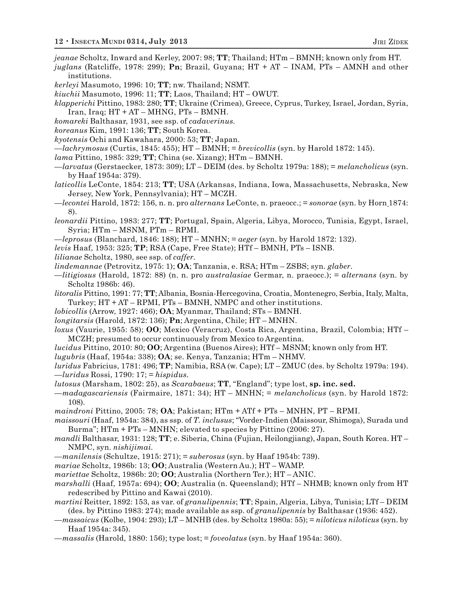*jeanae* Scholtz, Inward and Kerley, 2007: 98; **TT**; Thailand; HTm – BMNH; known only from HT.

- *juglans* (Ratcliffe, 1978: 299); **Pn**; Brazil, Guyana; HT + AT INAM, PTs AMNH and other institutions.
- *kerleyi* Masumoto, 1996: 10; **TT**; nw. Thailand; NSMT.
- *kiuchii* Masumoto, 1996: 11; **TT**; Laos, Thailand; HT OWUT.
- *klapperichi* Pittino, 1983: 280; **TT**; Ukraine (Crimea), Greece, Cyprus, Turkey, Israel, Jordan, Syria, Iran, Iraq; HT + AT – MHNG, PTs – BMNH.
- *komareki* Balthasar, 1931, see ssp. of *cadaverinus.*
- *koreanus* Kim, 1991: 136; **TT**; South Korea.
- *kyotensis* Ochi and Kawahara, 2000: 53; **TT**; Japan.
- —*lachrymosus* (Curtis, 1845: 455); HT BMNH; = *brevicollis* (syn. by Harold 1872: 145).
- *lama* Pittino, 1985: 329; **TT**; China (se. Xizang); HTm BMNH.
- —*larvatus* (Gerstaecker, 1873: 309); LT DEIM (des. by Scholtz 1979a: 188); = *melancholicus* (syn. by Haaf 1954a: 379).
- *laticollis* LeConte, 1854: 213; **TT**; USA (Arkansas, Indiana, Iowa, Massachusetts, Nebraska, New Jersey, New York, Pennsylvania); HT – MCZH.
- —*lecontei* Harold, 1872: 156, n. n. pro *alternans* LeConte, n. praeocc.; = *sonorae* (syn. by Horn 1874: 8).
- *leonardii* Pittino, 1983: 277; **TT**; Portugal, Spain, Algeria, Libya, Morocco, Tunisia, Egypt, Israel, Syria; HTm – MSNM, PTm – RPMI.
- —*leprosus* (Blanchard, 1846: 188); HT MNHN; = *aeger* (syn. by Harold 1872: 132).
- *levis* Haaf, 1953: 325; **TP**; RSA (Cape, Free State); HTf BMNH, PTs ISNB.
- *lilianae* Scholtz, 1980, see ssp. of *caffer.*
- *lindemannae* (Petrovitz, 1975: 1); **OA**; Tanzania, e. RSA; HTm ZSBS; syn. *glaber*.
- —*litigiosus* (Harold, 1872: 88) (n. n. pro *australasiae* Germar, n. praeocc.); = *alternans* (syn. by Scholtz 1986b: 46).
- *litoralis* Pittino, 1991: 77; **TT**; Albania, Bosnia-Hercegovina, Croatia, Montenegro, Serbia, Italy, Malta, Turkey; HT + AT – RPMI, PTs – BMNH, NMPC and other institutions.
- *lobicollis* (Arrow, 1927: 466); **OA**; Myanmar, Thailand; STs BMNH.
- *longitarsis* (Harold, 1872: 136); **Pn**; Argentina, Chile; HT MNHN.
- *loxus* (Vaurie, 1955: 58); **OO**; Mexico (Veracruz), Costa Rica, Argentina, Brazil, Colombia; HTf MCZH; presumed to occur continuously from Mexico to Argentina.
- *lucidus* Pittino, 2010: 80; **OO**; Argentina (Buenos Aires); HTf MSNM; known only from HT.
- *lugubris* (Haaf, 1954a: 338); **OA**; se. Kenya, Tanzania; HTm NHMV.
- *luridus* Fabricius, 1781: 496; **TP**; Namibia, RSA (w. Cape); LT ZMUC (des. by Scholtz 1979a: 194). —*luridus* Rossi, 1790: 17; = *hispidus.*
- *lutosus* (Marsham, 1802: 25), as *Scarabaeus*; **TT**, "England"; type lost, **sp. inc. sed.**
- —*madagascariensis* (Fairmaire, 1871: 34); HT MNHN; = *melancholicus* (syn. by Harold 1872: 108).
- *maindroni* Pittino, 2005: 78; **OA**; Pakistan; HTm + ATf + PTs MNHN, PT RPMI.
- *maissouri* (Haaf, 1954a: 384), as ssp. of *T. inclusus*; "Vorder-Indien (Maissour, Shimoga), Surada und Burma"; HTm + PTs – MNHN; elevated to species by Pittino (2006: 27).
- *mandli* Balthasar, 1931: 128; **TT**; e. Siberia, China (Fujian, Heilongjiang), Japan, South Korea. HT NMPC, syn. *nishijimai.*
- —*manilensis* (Schultze, 1915: 271); = *suberosus* (syn. by Haaf 1954b: 739).
- *mariae* Scholtz, 1986b: 13; **OO**; Australia (Western Au.); HT WAMP.
- *mariettae* Scholtz, 1986b: 20; **OO**; Australia (Northern Ter.); HT ANIC.
- *marshalli* (Haaf, 1957a: 694); **OO**; Australia (n. Queensland); HTf NHMB; known only from HT redescribed by Pittino and Kawai (2010).
- *martini* Reitter, 1892: 153, as var. of *granulipennis*; **TT**; Spain, Algeria, Libya, Tunisia; LTf DEIM (des. by Pittino 1983: 274); made available as ssp. of *granulipennis* by Balthasar (1936: 452).
- —*massaicus* (Kolbe, 1904: 293); LT MNHB (des. by Scholtz 1980a: 55); = *niloticus niloticus* (syn. by Haaf 1954a: 345).
- —*massalis* (Harold, 1880: 156); type lost; = *foveolatus* (syn. by Haaf 1954a: 360).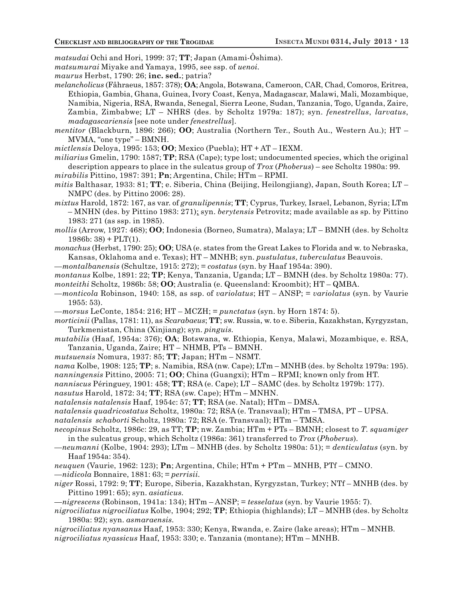*matsudai* Ochi and Hori, 1999: 37; **TT**; Japan (Amami-Ôshima).

*matsumurai* Miyake and Yamaya, 1995, see ssp. of *uenoi.*

*maurus* Herbst, 1790: 26; **inc. sed.**; patria?

*melancholicus* (Fåhraeus, 1857: 378); **OA**; Angola, Botswana, Cameroon, CAR, Chad, Comoros, Eritrea, Ethiopia, Gambia, Ghana, Guinea, Ivory Coast, Kenya, Madagascar, Malawi, Mali, Mozambique, Namibia, Nigeria, RSA, Rwanda, Senegal, Sierra Leone, Sudan, Tanzania, Togo, Uganda, Zaire, Zambia, Zimbabwe; LT – NHRS (des. by Scholtz 1979a: 187); syn. *fenestrellus*, *larvatus*, *madagascariensis* [see note under *fenestrellus*].

*mentitor* (Blackburn, 1896: 266); **OO**; Australia (Northern Ter., South Au., Western Au.); HT – MVMA, "one type" – BMNH.

*mictlensis* Deloya, 1995: 153; **OO**; Mexico (Puebla); HT + AT – IEXM.

*miliarius* Gmelin, 1790: 1587; **TP**; RSA (Cape); type lost; undocumented species, which the original description appears to place in the sulcatus group of *Trox* (*Phoberus*) – see Scholtz 1980a: 99.

*mirabilis* Pittino, 1987: 391; **Pn**; Argentina, Chile; HTm – RPMI.

*mitis* Balthasar, 1933: 81; **TT**; e. Siberia, China (Beijing, Heilongjiang), Japan, South Korea; LT – NMPC (des. by Pittino 2006: 28).

*mixtus* Harold, 1872: 167, as var. of *granulipennis*; **TT**; Cyprus, Turkey, Israel, Lebanon, Syria; LTm – MNHN (des. by Pittino 1983: 271); syn. *berytensis* Petrovitz; made available as sp. by Pittino 1983: 271 (as ssp. in 1985).

*mollis* (Arrow, 1927: 468); **OO**; Indonesia (Borneo, Sumatra), Malaya; LT – BMNH (des. by Scholtz  $1986b: 38$  + PLT(1).

*monachus* (Herbst, 1790: 25); **OO**; USA (e. states from the Great Lakes to Florida and w. to Nebraska, Kansas, Oklahoma and e. Texas); HT – MNHB; syn. *pustulatus*, *tuberculatus* Beauvois.

—*montalbanensis* (Schultze, 1915: 272); = *costatus* (syn. by Haaf 1954a: 390).

*montanus* Kolbe, 1891: 22; **TP**; Kenya, Tanzania, Uganda; LT – BMNH (des. by Scholtz 1980a: 77). *monteithi* Scholtz, 1986b: 58; **OO**; Australia (e. Queensland: Kroombit); HT – QMBA.

—*monticola* Robinson, 1940: 158, as ssp. of *variolatus*; HT – ANSP; = *variolatus* (syn. by Vaurie 1955: 53).

—*morsus* LeConte, 1854: 216; HT – MCZH; = *punctatus* (syn. by Horn 1874: 5).

*morticinii* (Pallas, 1781: 11), as *Scarabaeus*; **TT**; sw. Russia, w. to e. Siberia, Kazakhstan, Kyrgyzstan, Turkmenistan, China (Xinjiang); syn. *pinguis.*

*mutabilis* (Haaf, 1954a: 376); **OA**; Botswana, w. Ethiopia, Kenya, Malawi, Mozambique, e. RSA, Tanzania, Uganda, Zaire; HT – NHMB, PTs – BMNH.

*mutsuensis* Nomura, 1937: 85; **TT**; Japan; HTm – NSMT.

*nama* Kolbe, 1908: 125; **TP**; s. Namibia, RSA (nw. Cape); LTm – MNHB (des. by Scholtz 1979a: 195). *nanningensis* Pittino, 2005: 71; **OO**; China (Guangxi); HTm – RPMI; known only from HT.

*nanniscus* Péringuey, 1901: 458; **TT**; RSA (e. Cape); LT – SAMC (des. by Scholtz 1979b: 177).

*nasutus* Harold, 1872: 34; **TT**; RSA (sw. Cape); HTm – MNHN.

*natalensis natalensis* Haaf, 1954c: 57; **TT**; RSA (se. Natal); HTm – DMSA.

*natalensis quadricostatus* Scholtz, 1980a: 72; RSA (e. Transvaal); HTm – TMSA, PT – UPSA.

*natalensis schaborti* Scholtz, 1980a: 72; RSA (e. Transvaal); HTm – TMSA.

*necopinus* Scholtz, 1986c: 29, as TT; **TP**; nw. Zambia; HTm + PTs – BMNH; closest to *T. squamiger* in the sulcatus group, which Scholtz (1986a: 361) transferred to *Trox* (*Phoberus*)*.*

—*neumanni* (Kolbe, 1904: 293); LTm – MNHB (des. by Scholtz 1980a: 51); = *denticulatus* (syn. by Haaf 1954a: 354).

*neuquen* (Vaurie, 1962: 123); **Pn**; Argentina, Chile; HTm + PTm – MNHB, PTf – CMNO.

—*nidicola* Bonnaire, 1881: 63; = *perrisii.*

*niger* Rossi, 1792: 9; **TT**; Europe, Siberia, Kazakhstan, Kyrgyzstan, Turkey; NTf – MNHB (des. by Pittino 1991: 65); syn. *asiaticus.*

—*nigrescens* (Robinson, 1941a: 134); HTm – ANSP; = *tesselatus* (syn. by Vaurie 1955: 7).

*nigrociliatus nigrociliatus* Kolbe, 1904; 292; **TP**; Ethiopia (highlands); LT – MNHB (des. by Scholtz 1980a: 92); syn. *asmaraensis.*

*nigrociliatus nyansanus* Haaf, 1953: 330; Kenya, Rwanda, e. Zaire (lake areas); HTm – MNHB.

*nigrociliatus nyassicus* Haaf, 1953: 330; e. Tanzania (montane); HTm – MNHB.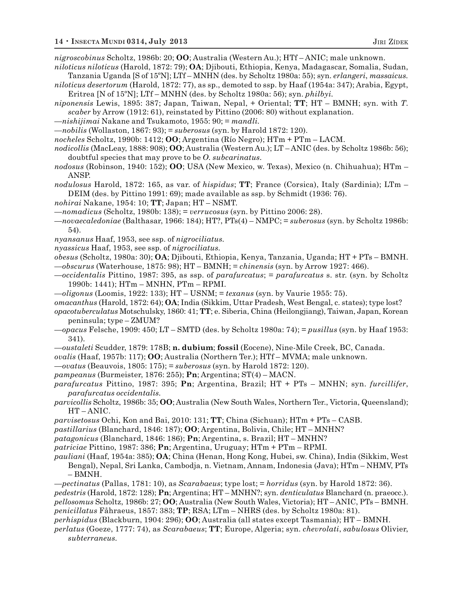*nigroscobinus* Scholtz, 1986b: 20; **OO**; Australia (Western Au.); HTf – ANIC; male unknown.

- *niloticus niloticus* (Harold, 1872: 79); **OA**; Djibouti, Ethiopia, Kenya, Madagascar, Somalia, Sudan, Tanzania Uganda [S of 15ºN]; LTf – MNHN (des. by Scholtz 1980a: 55); syn. *erlangeri*, *massaicus.*
- *niloticus desertorum* (Harold, 1872: 77), as sp., demoted to ssp. by Haaf (1954a: 347); Arabia, Egypt, Eritrea [N of 15ºN]; LTf – MNHN (des. by Scholtz 1980a: 56); syn. *philbyi.*
- *niponensis* Lewis, 1895: 387; Japan, Taiwan, Nepal, + Oriental; **TT**; HT BMNH; syn. with *T*. *scaber* by Arrow (1912: 61), reinstated by Pittino (2006: 80) without explanation.
- —*nishijimai* Nakane and Tsukamoto, 1955: 90; = *mandli.*
- —*nobilis* (Wollaston, 1867: 93); = *suberosus* (syn. by Harold 1872: 120).
- *nocheles* Scholtz, 1990b: 1412; **OO**; Argentina (Río Negro); HTm + PTm LACM.
- *nodicollis* (MacLeay, 1888: 908); **OO**; Australia (Western Au.); LT ANIC (des. by Scholtz 1986b: 56); doubtful species that may prove to be *O. subcarinatus.*
- *nodosus* (Robinson, 1940: 152); **OO**; USA (New Mexico, w. Texas), Mexico (n. Chihuahua); HTm ANSP.
- *nodulosus* Harold, 1872: 165, as var. of *hispidus*; **TT**; France (Corsica), Italy (Sardinia); LTm DEIM (des. by Pittino 1991: 69); made available as ssp. by Schmidt (1936: 76).
- *nohirai* Nakane, 1954: 10; **TT**; Japan; HT NSMT.
- —*nomadicus* (Scholtz, 1980b: 138); = *verrucosus* (syn. by Pittino 2006: 28).
- —*novaecaledoniae* (Balthasar, 1966: 184); HT?, PTs(4) NMPC; = *suberosus* (syn. by Scholtz 1986b: 54).
- *nyansanus* Haaf, 1953, see ssp. of *nigrociliatus.*
- *nyassicus* Haaf, 1953, see ssp. of *nigrociliatus.*
- *obesus* (Scholtz, 1980a: 30); **OA**; Djibouti, Ethiopia, Kenya, Tanzania, Uganda; HT + PTs BMNH. —*obscurus* (Waterhouse, 1875: 98); HT – BMNH; = *chinensis* (syn. by Arrow 1927: 466).
- —*occidentalis* Pittino, 1987: 395, as ssp. of *parafurcatus*; = *parafurcatus* s. str. (syn. by Scholtz 1990b: 1441); HTm – MNHN, PTm – RPMI.
- —*oligonus* (Loomis, 1922: 133); HT USNM; = *texanus* (syn. by Vaurie 1955: 75).
- *omacanthus* (Harold, 1872: 64); **OA**; India (Sikkim, Uttar Pradesh, West Bengal, c. states); type lost?
- *opacotuberculatus* Motschulsky, 1860: 41; **TT**; e. Siberia, China (Heilongjiang), Taiwan, Japan, Korean peninsula; type – ZMUM?
- —*opacus* Felsche, 1909: 450; LT SMTD (des. by Scholtz 1980a: 74); = *pusillus* (syn. by Haaf 1953: 341).
- —*oustaleti* Scudder, 1879: 178B; **n. dubium**; **fossil** (Eocene), Nine-Mile Creek, BC, Canada.
- *ovalis* (Haaf, 1957b: 117); **OO**; Australia (Northern Ter.); HTf MVMA; male unknown.
- —*ovatus* (Beauvois, 1805: 175); = *suberosus* (syn. by Harold 1872: 120).
- *pampeanus* (Burmeister, 1876: 255); **Pn**; Argentina; ST(4) MACN.
- *parafurcatus* Pittino, 1987: 395; **Pn**; Argentina, Brazil; HT + PTs MNHN; syn. *furcillifer*, *parafurcatus occidentalis.*
- *parvicollis* Scholtz, 1986b: 35; **OO**; Australia (New South Wales, Northern Ter., Victoria, Queensland); HT – ANIC.
- *parvisetosus* Ochi, Kon and Bai, 2010: 131; **TT**; China (Sichuan); HTm + PTs CASB.
- *pastillarius* (Blanchard, 1846: 187); **OO**; Argentina, Bolivia, Chile; HT MNHN?
- *patagonicus* (Blanchard, 1846: 186); **Pn**; Argentina, s. Brazil; HT MNHN?
- *patriciae* Pittino, 1987: 386; **Pn**; Argentina, Uruguay; HTm + PTm RPMI.
- *pauliani* (Haaf, 1954a: 385); **OA**; China (Henan, Hong Kong, Hubei, sw. China), India (Sikkim, West Bengal), Nepal, Sri Lanka, Cambodja, n. Vietnam, Annam, Indonesia (Java); HTm – NHMV, PTs – BMNH.
- *—pectinatus* (Pallas, 1781: 10), as *Scarabaeus*; type lost; = *horridus* (syn. by Harold 1872: 36).
- *pedestris* (Harold, 1872: 128); **Pn**; Argentina; HT MNHN?; syn. *denticulatus* Blanchard (n. praeocc.). *pellosomus* Scholtz, 1986b: 27; **OO**; Australia (New South Wales, Victoria); HT – ANIC, PTs – BMNH. *penicillatus* Fåhraeus, 1857: 383; **TP**; RSA; LTm – NHRS (des. by Scholtz 1980a: 81).
- *perhispidus* (Blackburn, 1904: 296); **OO**; Australia (all states except Tasmania); HT BMNH.
- *perlatus* (Goeze, 1777: 74), as *Scarabaeus*; **TT**; Europe, Algeria; syn. *chevrolati*, *sabulosus* Olivier, *subterraneus.*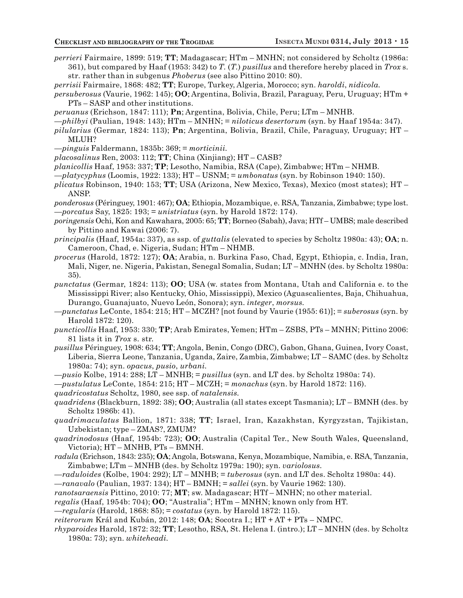- *perrieri* Fairmaire, 1899: 519; **TT**; Madagascar; HTm MNHN; not considered by Scholtz (1986a: 361), but compared by Haaf (1953: 342) to *T.* (*T.*) *pusillus* and therefore hereby placed in *Trox* s. str*.* rather than in subgenus *Phoberus* (see also Pittino 2010: 80).
- *perrisii* Fairmaire, 1868: 482; **TT**; Europe, Turkey, Algeria, Morocco; syn. *haroldi*, *nidicola.*
- *persuberosus* (Vaurie, 1962: 145); **OO**; Argentina, Bolivia, Brazil, Paraguay, Peru, Uruguay; HTm + PTs – SASP and other institutions.
- *peruanus* (Erichson, 1847: 111); **Pn**; Argentina, Bolivia, Chile, Peru; LTm MNHB.
- —*philbyi* (Paulian, 1948: 143); HTm MNHN; = *niloticus desertorum* (syn. by Haaf 1954a: 347).
- *pilularius* (Germar, 1824: 113); **Pn**; Argentina, Bolivia, Brazil, Chile, Paraguay, Uruguay; HT MLUH?
- —*pinguis* Faldermann, 1835b: 369; = *morticinii.*
- *placosalinus* Ren, 2003: 112; **TT**; China (Xinjiang); HT CASB?
- *planicollis* Haaf, 1953: 337; **TP**; Lesotho, Namibia, RSA (Cape), Zimbabwe; HTm NHMB.
- —*platycyphus* (Loomis, 1922: 133); HT USNM; = *umbonatus* (syn. by Robinson 1940: 150).
- *plicatus* Robinson, 1940: 153; **TT**; USA (Arizona, New Mexico, Texas), Mexico (most states); HT ANSP.
- *ponderosus* (Péringuey, 1901: 467); **OA**; Ethiopia, Mozambique, e. RSA, Tanzania, Zimbabwe; type lost. —*porcatus* Say, 1825: 193; = *unistriatus* (syn. by Harold 1872: 174).
- *poringensis* Ochi, Kon and Kawahara, 2005: 65; **TT**; Borneo (Sabah), Java; HTf UMBS; male described by Pittino and Kawai (2006: 7).
- *principalis* (Haaf, 1954a: 337), as ssp. of *guttalis* (elevated to species by Scholtz 1980a: 43); **OA**; n. Cameroon, Chad, e. Nigeria, Sudan; HTm – NHMB.
- *procerus* (Harold, 1872: 127); **OA**; Arabia, n. Burkina Faso, Chad, Egypt, Ethiopia, c. India, Iran, Mali, Niger, ne. Nigeria, Pakistan, Senegal Somalia, Sudan; LT – MNHN (des. by Scholtz 1980a: 35).
- *punctatus* (Germar, 1824: 113); **OO**; USA (w. states from Montana, Utah and California e. to the Mississippi River; also Kentucky, Ohio, Mississippi), Mexico (Aguascalientes, Baja, Chihuahua, Durango, Guanajuato, Nuevo León, Sonora); syn. *integer*, *morsus.*
- —*punctatus* LeConte, 1854: 215; HT MCZH? [not found by Vaurie (1955: 61)]; = *suberosus* (syn. by Harold 1872: 120).
- *puncticollis* Haaf, 1953: 330; **TP**; Arab Emirates, Yemen; HTm ZSBS, PTs MNHN; Pittino 2006: 81 lists it in *Trox* s. str.
- *pusillus* Péringuey, 1908: 634; **TT**; Angola, Benin, Congo (DRC), Gabon, Ghana, Guinea, Ivory Coast, Liberia, Sierra Leone, Tanzania, Uganda, Zaire, Zambia, Zimbabwe; LT – SAMC (des. by Scholtz 1980a: 74); syn. *opacus*, *pusio*, *urbani.*
- *—pusio* Kolbe, 1914: 288; LT MNHB; = *pusillus* (syn. and LT des. by Scholtz 1980a: 74).
- —*pustulatus* LeConte, 1854: 215; HT MCZH; = *monachus* (syn. by Harold 1872: 116).
- *quadricostatus* Scholtz, 1980, see ssp. of *natalensis.*
- *quadridens* (Blackburn, 1892: 38); **OO**; Australia (all states except Tasmania); LT BMNH (des. by Scholtz 1986b: 41).
- *quadrimaculatus* Ballion, 1871: 338; **TT**; Israel, Iran, Kazakhstan, Kyrgyzstan, Tajikistan, Uzbekistan; type – ZMAS?, ZMUM?
- *quadrinodosus* (Haaf, 1954b: 723); **OO**; Australia (Capital Ter., New South Wales, Queensland, Victoria); HT – MNHB, PTs – BMNH.
- *radula* (Erichson, 1843: 235); **OA**; Angola, Botswana, Kenya, Mozambique, Namibia, e. RSA, Tanzania, Zimbabwe; LTm – MNHB (des. by Scholtz 1979a: 190); syn. *variolosus.*
- *—raduloides* (Kolbe, 1904: 292); LT MNHB; = *tuberosus* (syn. and LT des. Scholtz 1980a: 44).
- *—ranavalo* (Paulian, 1937: 134); HT BMNH; = *sallei* (syn. by Vaurie 1962: 130).
- *ranotsaraensis* Pittino, 2010: 77; **MT**; sw. Madagascar; HTf MNHN; no other material.
- *regalis* (Haaf, 1954b: 704); **OO**; "Australia"; HTm MNHN; known only from HT.
- —*regularis* (Harold, 1868: 85); = *costatus* (syn. by Harold 1872: 115).
- *reiterorum* Král and Kubán, 2012: 148; **OA**; Socotra I.; HT + AT + PTs NMPC.
- *rhyparoides* Harold, 1872: 32; **TT**; Lesotho, RSA, St. Helena I. (intro.); LT MNHN (des. by Scholtz 1980a: 73); syn. *whiteheadi.*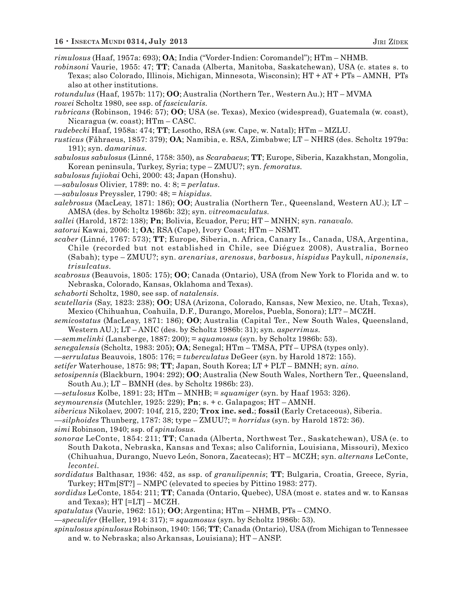*rimulosus* (Haaf, 1957a: 693); **OA**; India ("Vorder-Indien: Coromandel"); HTm – NHMB.

- *robinsoni* Vaurie, 1955: 47; **TT**; Canada (Alberta, Manitoba, Saskatchewan), USA (c. states s. to Texas; also Colorado, Illinois, Michigan, Minnesota, Wisconsin); HT + AT + PTs – AMNH, PTs also at other institutions.
- *rotundulus* (Haaf, 1957b: 117); **OO**; Australia (Northern Ter., Western Au.); HT MVMA *rowei* Scholtz 1980, see ssp. of *fascicularis.*
- *rubricans* (Robinson, 1946: 57); **OO**; USA (se. Texas), Mexico (widespread), Guatemala (w. coast), Nicaragua (w. coast); HTm – CASC.
- *rudebecki* Haaf, 1958a: 474; **TT**; Lesotho, RSA (sw. Cape, w. Natal); HTm MZLU.
- *rusticus* (Fåhraeus, 1857: 379); **OA**; Namibia, e. RSA, Zimbabwe; LT NHRS (des. Scholtz 1979a: 191); syn. *damarinus.*
- *sabulosus sabulosus* (Linné, 1758: 350), as *Scarabaeus*; **TT**; Europe, Siberia, Kazakhstan, Mongolia, Korean peninsula, Turkey, Syria; type – ZMUU?; syn. *femoratus.*
- *sabulosus fujiokai* Ochi, 2000: 43; Japan (Honshu).
- —*sabulosus* Olivier, 1789: no. 4: 8; = *perlatus.*
- —*sabulosus* Preyssler, 1790: 48; = *hispidus.*
- *salebrosus* (MacLeay, 1871: 186); **OO**; Australia (Northern Ter., Queensland, Western AU.); LT AMSA (des. by Scholtz 1986b: 32); syn. *vitreomaculatus.*
- *sallei* (Harold, 1872: 138); **Pn**; Bolivia, Ecuador, Peru; HT MNHN; syn. *ranavalo.*
- *satorui* Kawai, 2006: 1; **OA**; RSA (Cape), Ivory Coast; HTm NSMT.
- *scaber* (Linné, 1767: 573); **TT**; Europe, Siberia, n. Africa, Canary Is., Canada, USA, Argentina, Chile (recorded but not established in Chile, see Diéguez 2008), Australia, Borneo (Sabah); type – ZMUU?; syn. *arenarius*, *arenosus*, *barbosus*, *hispidus* Paykull, *niponensis*, *trisulcatus.*
- *scabrosus* (Beauvois, 1805: 175); **OO**; Canada (Ontario), USA (from New York to Florida and w. to Nebraska, Colorado, Kansas, Oklahoma and Texas).
- *schaborti* Scholtz, 1980, see ssp. of *natalensis.*
- *scutellaris* (Say, 1823: 238); **OO**; USA (Arizona, Colorado, Kansas, New Mexico, ne. Utah, Texas), Mexico (Chihuahua, Coahuila, D.F., Durango, Morelos, Puebla, Sonora); LT? – MCZH.
- *semicostatus* (MacLeay, 1871: 186); **OO**; Australia (Capital Ter., New South Wales, Queensland, Western AU.); LT – ANIC (des. by Scholtz 1986b: 31); syn. *asperrimus.*
- —*semmelinki* (Lansberge, 1887: 200); = *squamosus* (syn. by Scholtz 1986b: 53).
- *senegalensis* (Scholtz, 1983: 205); **OA**; Senegal; HTm TMSA, PTf UPSA (types only).
- —*serrulatus* Beauvois, 1805: 176; = *tuberculatus* DeGeer (syn. by Harold 1872: 155).
- *setifer* Waterhouse, 1875: 98; **TT**; Japan, South Korea; LT + PLT BMNH; syn. *aino.*
- *setosipennis* (Blackburn, 1904: 292); **OO**; Australia (New South Wales, Northern Ter., Queensland, South Au.); LT – BMNH (des. by Scholtz 1986b: 23).
- —*setulosus* Kolbe, 1891: 23; HTm MNHB; = *squamiger* (syn. by Haaf 1953: 326).
- *seymourensis* (Mutchler, 1925: 229); **Pn**; s. + c. Galapagos; HT AMNH.
- *sibericus* Nikolaev, 2007: 104f, 215, 220; **Trox inc. sed.**; **fossil** (Early Cretaceous), Siberia.
- —*silphoides* Thunberg, 1787: 38; type ZMUU?; = *horridus* (syn. by Harold 1872: 36).
- *simi* Robinson, 1940; ssp. of *spinulosus.*
- *sonorae* LeConte, 1854: 211; **TT**; Canada (Alberta, Northwest Ter., Saskatchewan), USA (e. to South Dakota, Nebraska, Kansas and Texas; also California, Louisiana, Missouri), Mexico (Chihuahua, Durango, Nuevo León, Sonora, Zacatecas); HT – MCZH; syn. *alternans* LeConte, *lecontei.*
- *sordidatus* Balthasar, 1936: 452, as ssp. of *granulipennis*; **TT**; Bulgaria, Croatia, Greece, Syria, Turkey; HTm[ST?] – NMPC (elevated to species by Pittino 1983: 277).
- *sordidus* LeConte, 1854: 211; **TT**; Canada (Ontario, Quebec), USA (most e. states and w. to Kansas and Texas); HT [=LT] – MCZH.
- *spatulatus* (Vaurie, 1962: 151); **OO**; Argentina; HTm NHMB, PTs CMNO.
- —*speculifer* (Heller, 1914: 317); = *squamosus* (syn. by Scholtz 1986b: 53).
- *spinulosus spinulosus* Robinson, 1940: 156; **TT**; Canada (Ontario), USA (from Michigan to Tennessee and w. to Nebraska; also Arkansas, Louisiana); HT – ANSP.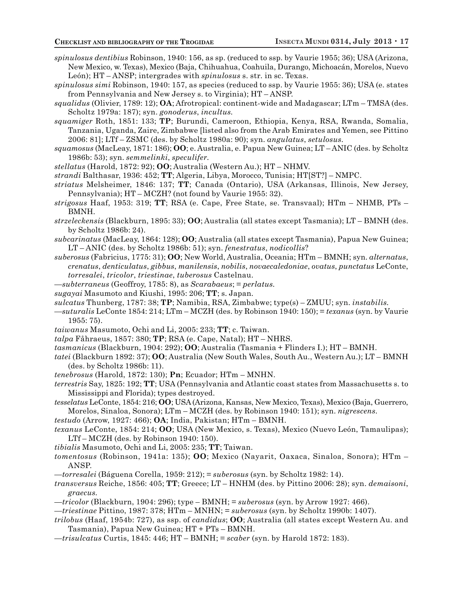- *spinulosus dentibius* Robinson, 1940: 156, as sp. (reduced to ssp. by Vaurie 1955; 36); USA (Arizona, New Mexico, w. Texas), Mexico (Baja, Chihuahua, Coahuila, Durango, Michoacán, Morelos, Nuevo León); HT – ANSP; intergrades with *spinulosus* s. str*.* in sc. Texas.
- *spinulosus simi* Robinson, 1940: 157, as species (reduced to ssp. by Vaurie 1955: 36); USA (e. states from Pennsylvania and New Jersey s. to Virginia); HT – ANSP.
- *squalidus* (Olivier, 1789: 12); **OA**; Afrotropical: continent-wide and Madagascar; LTm TMSA (des. Scholtz 1979a: 187); syn. *gonoderus*, *incultus.*
- *squamiger* Roth, 1851: 133; **TP**; Burundi, Cameroon, Ethiopia, Kenya, RSA, Rwanda, Somalia, Tanzania, Uganda, Zaire, Zimbabwe [listed also from the Arab Emirates and Yemen, see Pittino 2006: 81]; LTf – ZSMC (des. by Scholtz 1980a: 90); syn. *angulatus*, *setulosus.*
- *squamosus* (MacLeay, 1871: 186); **OO**; e. Australia, e. Papua New Guinea; LT ANIC (des. by Scholtz 1986b: 53); syn. *semmelinki*, *speculifer.*
- *stellatus* (Harold, 1872: 92); **OO**; Australia (Western Au.); HT NHMV.
- *strandi* Balthasar, 1936: 452; **TT**; Algeria, Libya, Morocco, Tunisia; HT[ST?] NMPC.
- *striatus* Melsheimer, 1846: 137; **TT**; Canada (Ontario), USA (Arkansas, Illinois, New Jersey, Pennsylvania); HT – MCZH? (not found by Vaurie 1955: 32).
- *strigosus* Haaf, 1953: 319; **TT**; RSA (e. Cape, Free State, se. Transvaal); HTm NHMB, PTs BMNH.
- *strzeleckensis* (Blackburn, 1895: 33); **OO**; Australia (all states except Tasmania); LT BMNH (des. by Scholtz 1986b: 24).
- *subcarinatus* (MacLeay, 1864: 128); **OO**; Australia (all states except Tasmania), Papua New Guinea; LT – ANIC (des. by Scholtz 1986b: 51); syn. *fenestratus*, *nodicollis*?
- *suberosus* (Fabricius, 1775: 31); **OO**; New World, Australia, Oceania; HTm BMNH; syn. *alternatus*, *crenatus*, *denticulatus*, *gibbus*, *manilensis*, *nobilis*, *novaecaledoniae*, *ovatus*, *punctatus* LeConte, *torresalei*, *tricolor*, *triestinae*, *tuberosus* Castelnau.
- —*subterraneus* (Geoffroy, 1785: 8), as *Scarabaeus*; = *perlatus.*
- *sugayai* Masumoto and Kiushi, 1995: 206; **TT**; s. Japan.
- *sulcatus* Thunberg, 1787: 38; **TP**; Namibia, RSA, Zimbabwe; type(s) ZMUU; syn. *instabilis.*
- —*suturalis* LeConte 1854: 214; LTm MCZH (des. by Robinson 1940: 150); = *texanus* (syn. by Vaurie 1955: 75).
- *taiwanus* Masumoto, Ochi and Li, 2005: 233; **TT**; c. Taiwan.
- *talpa* Fåhraeus, 1857: 380; **TP**; RSA (e. Cape, Natal); HT NHRS.
- *tasmanicus* (Blackburn, 1904: 292); **OO**; Australia (Tasmania + Flinders I.); HT BMNH.
- *tatei* (Blackburn 1892: 37); **OO**; Australia (New South Wales, South Au., Western Au.); LT BMNH (des. by Scholtz 1986b: 11).
- *tenebrosus* (Harold, 1872: 130); **Pn**; Ecuador; HTm MNHN.
- *terrestris* Say, 1825: 192; **TT**; USA (Pennsylvania and Atlantic coast states from Massachusetts s. to Mississippi and Florida); types destroyed.
- *tesselatus* LeConte, 1854: 216; **OO**; USA (Arizona, Kansas, New Mexico, Texas), Mexico (Baja, Guerrero, Morelos, Sinaloa, Sonora); LTm – MCZH (des. by Robinson 1940: 151); syn. *nigrescens.*
- *testudo* (Arrow, 1927: 466); **OA**; India, Pakistan; HTm BMNH.
- *texanus* LeConte, 1854: 214; **OO**; USA (New Mexico, s. Texas), Mexico (Nuevo León, Tamaulipas); LTf – MCZH (des. by Robinson 1940: 150).
- *tibialis* Masumoto, Ochi and Li, 2005: 235; **TT**; Taiwan.
- *tomentosus* (Robinson, 1941a: 135); **OO**; Mexico (Nayarit, Oaxaca, Sinaloa, Sonora); HTm ANSP.
- —*torresalei* (Báguena Corella, 1959: 212); = *suberosus* (syn. by Scholtz 1982: 14).
- *transversus* Reiche, 1856: 405; **TT**; Greece; LT HNHM (des. by Pittino 2006: 28); syn. *demaisoni*, *graecus.*
- —*tricolor* (Blackburn, 1904: 296); type BMNH; = *suberosus* (syn. by Arrow 1927: 466).
- —*triestinae* Pittino, 1987: 378; HTm MNHN; = *suberosus* (syn. by Scholtz 1990b: 1407).
- *trilobus* (Haaf, 1954b: 727), as ssp. of *candidus*; **OO**; Australia (all states except Western Au. and Tasmania), Papua New Guinea; HT + PTs – BMNH.
- —*trisulcatus* Curtis, 1845: 446; HT BMNH; = *scaber* (syn. by Harold 1872: 183).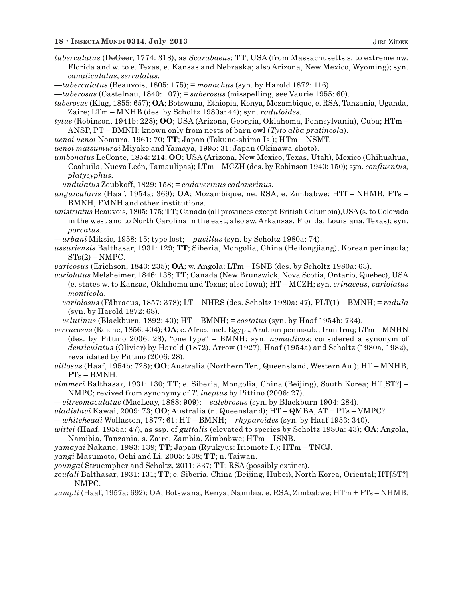- *tuberculatus* (DeGeer, 1774: 318), as *Scarabaeus*; **TT**; USA (from Massachusetts s. to extreme nw. Florida and w. to e. Texas, e. Kansas and Nebraska; also Arizona, New Mexico, Wyoming); syn. *canaliculatus*, *serrulatus.*
- —*tuberculatus* (Beauvois, 1805: 175); = *monachus* (syn. by Harold 1872: 116).

—*tuberosus* (Castelnau, 1840: 107); = *suberosus* (misspelling, see Vaurie 1955: 60).

*tuberosus* (Klug, 1855: 657); **OA**; Botswana, Ethiopia, Kenya, Mozambique, e. RSA, Tanzania, Uganda, Zaire; LTm – MNHB (des. by Scholtz 1980a: 44); syn. *raduloides.*

*tytus* (Robinson, 1941b: 228); **OO**; USA (Arizona, Georgia, Oklahoma, Pennsylvania), Cuba; HTm – ANSP, PT – BMNH; known only from nests of barn owl (*Tyto alba pratincola*).

*uenoi uenoi* Nomura, 1961: 70; **TT**; Japan (Tokuno-shima Is.); HTm – NSMT.

*uenoi matsumurai* Miyake and Yamaya, 1995: 31; Japan (Okinawa-shoto).

*umbonatus* LeConte, 1854: 214; **OO**; USA (Arizona, New Mexico, Texas, Utah), Mexico (Chihuahua, Coahuila, Nuevo León, Tamaulipas); LTm – MCZH (des. by Robinson 1940: 150); syn. *confluentus*, *platycyphus.*

- —*undulatus* Zoubkoff, 1829: 158; = *cadaverinus cadaverinus.*
- *unguicularis* (Haaf, 1954a: 369); **OA**; Mozambique, ne. RSA, e. Zimbabwe; HTf NHMB, PTs BMNH, FMNH and other institutions.
- *unistriatus* Beauvois, 1805: 175; **TT**; Canada (all provinces except British Columbia),USA (s. to Colorado in the west and to North Carolina in the east; also sw. Arkansas, Florida, Louisiana, Texas); syn. *porcatus.*

*—urbani* Miksic, 1958: 15; type lost; = *pusillus* (syn. by Scholtz 1980a: 74).

- *ussuriensis* Balthasar, 1931: 129; **TT**; Siberia, Mongolia, China (Heilongjiang), Korean peninsula;  $STs(2) - NMPC.$
- *varicosus* (Erichson, 1843: 235); **OA**; w. Angola; LTm ISNB (des. by Scholtz 1980a: 63).
- *variolatus* Melsheimer, 1846: 138; **TT**; Canada (New Brunswick, Nova Scotia, Ontario, Quebec), USA (e. states w. to Kansas, Oklahoma and Texas; also Iowa); HT – MCZH; syn. *erinaceus*, *variolatus monticola.*

*—variolosus* (Fåhraeus, 1857: 378); LT – NHRS (des. Scholtz 1980a: 47), PLT(1) – BMNH; = *radula* (syn. by Harold 1872: 68).

—*velutinus* (Blackburn, 1892: 40); HT – BMNH; = *costatus* (syn. by Haaf 1954b: 734).

*verrucosus* (Reiche, 1856: 404); **OA**; e. Africa incl. Egypt, Arabian peninsula, Iran Iraq; LTm – MNHN (des. by Pittino 2006: 28), "one type" – BMNH; syn. *nomadicus*; considered a synonym of *denticulatus* (Olivier) by Harold (1872), Arrow (1927), Haaf (1954a) and Scholtz (1980a, 1982), revalidated by Pittino (2006: 28).

*villosus* (Haaf, 1954b: 728); **OO**; Australia (Northern Ter., Queensland, Western Au.); HT – MNHB, PTs – BMNH.

*vimmeri* Balthasar, 1931: 130; **TT**; e. Siberia, Mongolia, China (Beijing), South Korea; HT[ST?] – NMPC; revived from synonymy of *T. ineptus* by Pittino (2006: 27).

—*vitreomaculatus* (MacLeay, 1888: 909); = *salebrosus* (syn. by Blackburn 1904: 284).

*vladislavi* Kawai, 2009: 73; **OO**; Australia (n. Queensland); HT – QMBA, AT + PTs – VMPC?

—*whiteheadi* Wollaston, 1877: 61; HT – BMNH; = *rhyparoides* (syn. by Haaf 1953: 340).

*wittei* (Haaf, 1955a: 47), as ssp. of *guttalis* (elevated to species by Scholtz 1980a: 43); **OA**; Angola, Namibia, Tanzania, s. Zaire, Zambia, Zimbabwe; HTm – ISNB.

*yamayai* Nakane, 1983: 139; **TT**; Japan (Ryukyus: Iriomote I.); HTm – TNCJ.

*yangi* Masumoto, Ochi and Li, 2005: 238; **TT**; n. Taiwan.

*youngai* Struempher and Scholtz, 2011: 337; **TT**; RSA (possibly extinct).

*zoufali* Balthasar, 1931: 131; **TT**; e. Siberia, China (Beijing, Hubei), North Korea, Oriental; HT[ST?] – NMPC.

*zumpti* (Haaf, 1957a: 692); OA; Botswana, Kenya, Namibia, e. RSA, Zimbabwe; HTm + PTs – NHMB.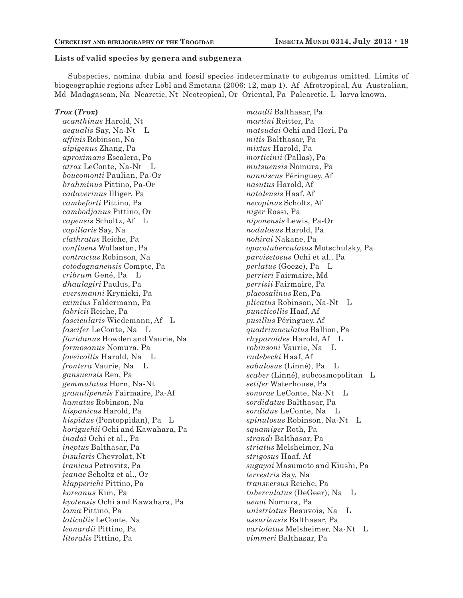#### **Lists of valid species by genera and subgenera**

Subspecies, nomina dubia and fossil species indeterminate to subgenus omitted. Limits of biogeographic regions after Löbl and Smetana (2006: 12, map 1). Af–Afrotropical, Au–Australian, Md–Madagascan, Na–Nearctic, Nt–Neotropical, Or–Oriental, Pa–Palearctic. L–larva known.

#### *Trox* **(***Trox***)**

*acanthinus* Harold, Nt *aequalis* Say, Na-Nt L *affinis* Robinson, Na *alpigenus* Zhang, Pa *aproximans* Escalera, Pa *atrox* LeConte, Na-Nt L *boucomonti* Paulian, Pa-Or *brahminus* Pittino, Pa-Or *cadaverinus* Illiger, Pa *cambeforti* Pittino, Pa *cambodjanus* Pittino, Or *capensis* Scholtz, Af L *capillaris* Say, Na *clathratus* Reiche, Pa *confluens* Wollaston, Pa *contractus* Robinson, Na *cotodognanensis* Compte, Pa *cribrum* Gené, Pa L *dhaulagiri* Paulus, Pa *eversmanni* Krynicki, Pa *eximius* Faldermann, Pa *fabricii* Reiche, Pa *fascicularis* Wiedemann, Af L *fascifer* LeConte, Na L *floridanus* Howden and Vaurie, Na *formosanus* Nomura, Pa *foveicollis* Harold, Na L *frontera* Vaurie, Na L *gansuensis* Ren, Pa *gemmulatus* Horn, Na-Nt *granulipennis* Fairmaire, Pa-Af *hamatus* Robinson, Na *hispanicus* Harold, Pa *hispidus* (Pontoppidan), Pa L *horiguchii* Ochi and Kawahara, Pa *inadai* Ochi et al., Pa *ineptus* Balthasar, Pa *insularis* Chevrolat, Nt *iranicus* Petrovitz, Pa *jeanae* Scholtz et al., Or *klapperichi* Pittino, Pa *koreanus* Kim, Pa *kyotensis* Ochi and Kawahara, Pa *lama* Pittino, Pa *laticollis* LeConte, Na *leonardii* Pittino, Pa *litoralis* Pittino, Pa

*mandli* Balthasar, Pa *martini* Reitter, Pa *matsudai* Ochi and Hori, Pa *mitis* Balthasar, Pa *mixtus* Harold, Pa *morticinii* (Pallas), Pa *mutsuensis* Nomura, Pa *nanniscus* Péringuey, Af *nasutus* Harold, Af *natalensis* Haaf, Af *necopinus* Scholtz, Af *niger* Rossi, Pa *niponensis* Lewis, Pa-Or *nodulosus* Harold, Pa *nohirai* Nakane, Pa *opacotuberculatus* Motschulsky, Pa *parvisetosus* Ochi et al., Pa *perlatus* (Goeze), Pa L *perrieri* Fairmaire, Md *perrisii* Fairmaire, Pa *placosalinus* Ren, Pa *plicatus* Robinson, Na-Nt L *puncticollis* Haaf, Af *pusillus* Péringuey, Af *quadrimaculatus* Ballion, Pa *rhyparoides* Harold, Af L *robinsoni* Vaurie, Na L *rudebecki* Haaf, Af *sabulosus* (Linné), Pa L *scaber* (Linné), subcosmopolitan L *setifer* Waterhouse, Pa *sonorae* LeConte, Na-Nt L *sordidatus* Balthasar, Pa *sordidus* LeConte, Na L *spinulosus* Robinson, Na-Nt L *squamiger* Roth, Pa *strandi* Balthasar, Pa *striatus* Melsheimer, Na *strigosus* Haaf, Af *sugayai* Masumoto and Kiushi, Pa *terrestris* Say, Na *transversus* Reiche, Pa *tuberculatus* (DeGeer), Na L *uenoi* Nomura, Pa *unistriatus* Beauvois, Na L *ussuriensis* Balthasar, Pa *variolatus* Melsheimer, Na-Nt L *vimmeri* Balthasar, Pa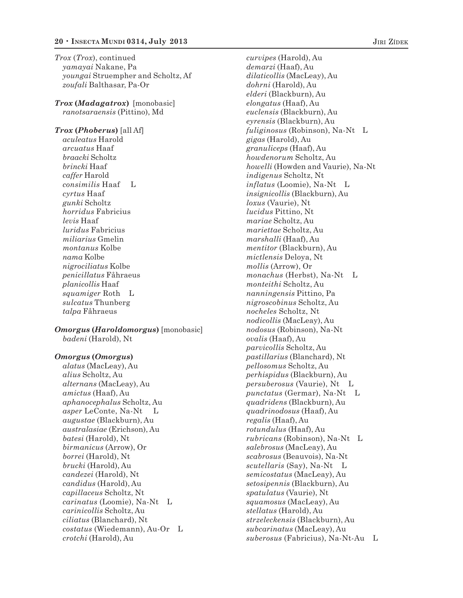*Trox* (*Trox*), continued *yamayai* Nakane, Pa *youngai* Struempher and Scholtz, Af *zoufali* Balthasar, Pa-Or

*Trox* **(***Madagatrox***)** [monobasic] *ranotsaraensis* (Pittino), Md

*Trox* **(***Phoberus***)** [all Af] *aculeatus* Harold *arcuatus* Haaf *braacki* Scholtz *brincki* Haaf *caffer* Harold *consimilis* Haaf L *cyrtus* Haaf *gunki* Scholtz *horridus* Fabricius *levis* Haaf *luridus* Fabricius *miliarius* Gmelin *montanus* Kolbe *nama* Kolbe *nigrociliatus* Kolbe *penicillatus* Fåhraeus *planicollis* Haaf *squamiger* Roth L *sulcatus* Thunberg *talpa* Fåhraeus

*Omorgus* **(***Haroldomorgus***)** [monobasic] *badeni* (Harold), Nt

#### *Omorgus* **(***Omorgus***)**

*alatus* (MacLeay), Au *alius* Scholtz, Au *alternans* (MacLeay), Au *amictus* (Haaf), Au *aphanocephalus* Scholtz, Au *asper* LeConte, Na-Nt L *augustae* (Blackburn), Au *australasiae* (Erichson), Au *batesi* (Harold), Nt *birmanicus* (Arrow), Or *borrei* (Harold), Nt *brucki* (Harold), Au *candezei* (Harold), Nt *candidus* (Harold), Au *capillaceus* Scholtz, Nt *carinatus* (Loomie), Na-Nt L *carinicollis* Scholtz, Au *ciliatus* (Blanchard), Nt *costatus* (Wiedemann), Au-Or L *crotchi* (Harold), Au

*curvipes* (Harold), Au *demarzi* (Haaf), Au *dilaticollis* (MacLeay), Au *dohrni* (Harold), Au *elderi* (Blackburn), Au *elongatus* (Haaf), Au *euclensis* (Blackburn), Au *eyrensis* (Blackburn), Au *fuliginosus* (Robinson), Na-Nt L *gigas* (Harold), Au *granuliceps* (Haaf), Au *howdenorum* Scholtz, Au *howelli* (Howden and Vaurie), Na-Nt *indigenus* Scholtz, Nt *inflatus* (Loomie), Na-Nt L *insignicollis* (Blackburn), Au *loxus* (Vaurie), Nt *lucidus* Pittino, Nt *mariae* Scholtz, Au *mariettae* Scholtz, Au *marshalli* (Haaf), Au *mentitor* (Blackburn), Au *mictlensis* Deloya, Nt *mollis* (Arrow), Or *monachus* (Herbst), Na-Nt L *monteithi* Scholtz, Au *nanningensis* Pittino, Pa *nigroscobinus* Scholtz, Au *nocheles* Scholtz, Nt *nodicollis* (MacLeay), Au *nodosus* (Robinson), Na-Nt *ovalis* (Haaf), Au *parvicollis* Scholtz, Au *pastillarius* (Blanchard), Nt *pellosomus* Scholtz, Au *perhispidus* (Blackburn), Au *persuberosus* (Vaurie), Nt L *punctatus* (Germar), Na-Nt L *quadridens* (Blackburn), Au *quadrinodosus* (Haaf), Au *regalis* (Haaf), Au *rotundulus* (Haaf), Au *rubricans* (Robinson), Na-Nt L *salebrosus* (MacLeay), Au *scabrosus* (Beauvois), Na-Nt *scutellaris* (Say), Na-Nt L *semicostatus* (MacLeay), Au *setosipennis* (Blackburn), Au *spatulatus* (Vaurie), Nt *squamosus* (MacLeay), Au *stellatus* (Harold), Au *strzeleckensis* (Blackburn), Au *subcarinatus* (MacLeay), Au *suberosus* (Fabricius), Na-Nt-Au L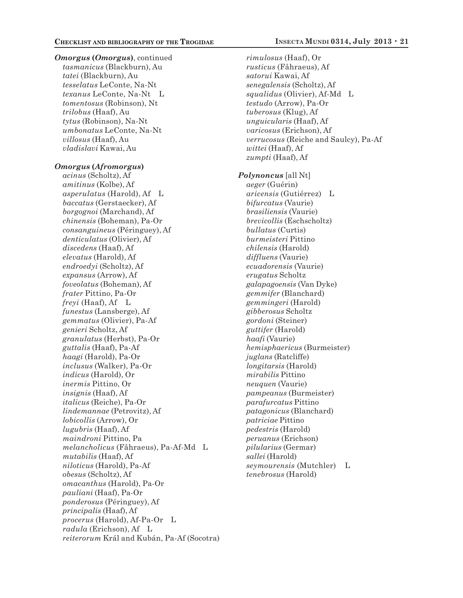*Omorgus* **(***Omorgus***)**, continued *tasmanicus* (Blackburn), Au *tatei* (Blackburn), Au *tesselatus* LeConte, Na-Nt *texanus* LeConte, Na-Nt L *tomentosus* (Robinson), Nt *trilobus* (Haaf), Au *tytus* (Robinson), Na-Nt *umbonatus* LeConte, Na-Nt *villosus* (Haaf), Au *vladislavi* Kawai, Au

#### *Omorgus* **(***Afromorgus***)**

*acinus* (Scholtz), Af *amitinus* (Kolbe), Af *asperulatus* (Harold), Af L *baccatus* (Gerstaecker), Af *borgognoi* (Marchand), Af *chinensis* (Boheman), Pa-Or *consanguineus* (Péringuey), Af *denticulatus* (Olivier), Af *discedens* (Haaf), Af *elevatus* (Harold), Af *endroedyi* (Scholtz), Af *expansus* (Arrow), Af *foveolatus* (Boheman), Af *frater* Pittino, Pa-Or *freyi* (Haaf), Af L *funestus* (Lansberge), Af *gemmatus* (Olivier), Pa-Af *genieri* Scholtz, Af *granulatus* (Herbst), Pa-Or *guttalis* (Haaf), Pa-Af *haagi* (Harold), Pa-Or *inclusus* (Walker), Pa-Or *indicus* (Harold), Or *inermis* Pittino, Or *insignis* (Haaf), Af *italicus* (Reiche), Pa-Or *lindemannae* (Petrovitz), Af *lobicollis* (Arrow), Or *lugubris* (Haaf), Af *maindroni* Pittino, Pa *melancholicus* (Fåhraeus), Pa-Af-Md L *mutabilis* (Haaf), Af *niloticus* (Harold), Pa-Af *obesus* (Scholtz), Af *omacanthus* (Harold), Pa-Or *pauliani* (Haaf), Pa-Or *ponderosus* (Péringuey), Af *principalis* (Haaf), Af *procerus* (Harold), Af-Pa-Or L *radula* (Erichson), Af L *reiterorum* Král and Kubán, Pa-Af (Socotra)

*rimulosus* (Haaf), Or *rusticus* (Fåhraeus), Af *satorui* Kawai, Af *senegalensis* (Scholtz), Af *squalidus* (Olivier), Af-Md L *testudo* (Arrow), Pa-Or *tuberosus* (Klug), Af *unguicularis* (Haaf), Af *varicosus* (Erichson), Af *verrucosus* (Reiche and Saulcy), Pa-Af *wittei* (Haaf), Af *zumpti* (Haaf), Af *Polynoncus* [all Nt] *aeger* (Guérin) *aricensis* (Gutiérrez) L *bifurcatus* (Vaurie) *brasiliensis* (Vaurie) *brevicollis* (Eschscholtz) *bullatus* (Curtis) *burmeisteri* Pittino *chilensis* (Harold) *diffluens* (Vaurie) *ecuadorensis* (Vaurie) *erugatus* Scholtz *galapagoensis* (Van Dyke) *gemmifer* (Blanchard) *gemmingeri* (Harold) *gibberosus* Scholtz *gordoni* (Steiner) *guttifer* (Harold) *haafi* (Vaurie) *hemisphaericus* (Burmeister) *juglans* (Ratcliffe) *longitarsis* (Harold) *mirabilis* Pittino *neuquen* (Vaurie) *pampeanus* (Burmeister) *parafurcatus* Pittino *patagonicus* (Blanchard) *patriciae* Pittino *pedestris* (Harold) *peruanus* (Erichson) *pilularius* (Germar) *sallei* (Harold) *seymourensis* (Mutchler) L *tenebrosus* (Harold)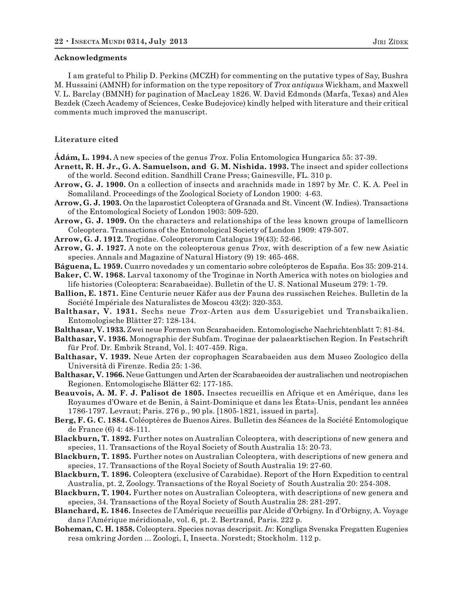#### **Acknowledgments**

I am grateful to Philip D. Perkins (MCZH) for commenting on the putative types of Say, Bushra M. Hussaini (AMNH) for information on the type repository of *Trox antiquus* Wickham, and Maxwell V. L. Barclay (BMNH) for pagination of MacLeay 1826. W. David Edmonds (Marfa, Texas) and Ales Bezdek (Czech Academy of Sciences, Ceske Budejovice) kindly helped with literature and their critical comments much improved the manuscript.

#### **Literature cited**

**Ádám, L. 1994.** A new species of the genus *Trox*. Folia Entomologica Hungarica 55: 37-39.

- **Arnett, R. H. Jr., G. A. Samuelson, and G. M. Nishida. 1993.** The insect and spider collections of the world. Second edition. Sandhill Crane Press; Gainesville, FL. 310 p.
- **Arrow, G. J. 1900.** On a collection of insects and arachnids made in 1897 by Mr. C. K. A. Peel in Somaliland. Proceedings of the Zoological Society of London 1900: 4-63.
- **Arrow, G. J. 1903.** On the laparostict Coleoptera of Granada and St. Vincent (W. Indies). Transactions of the Entomological Society of London 1903: 509-520.

**Arrow, G. J. 1909.** On the characters and relationships of the less known groups of lamellicorn Coleoptera. Transactions of the Entomological Society of London 1909: 479-507.

**Arrow, G. J. 1912.** Trogidae. Coleopterorum Catalogus 19(43): 52-66.

**Arrow, G. J. 1927.** A note on the coleopterous genus *Trox*, with description of a few new Asiatic species. Annals and Magazine of Natural History (9) 19: 465-468.

**Báguena, L. 1959.** Cuarro novedades y un comentario sobre coleópteros de España. Eos 35: 209-214.

**Baker, C. W. 1968.** Larval taxonomy of the Troginae in North America with notes on biologies and life histories (Coleoptera: Scarabaeidae). Bulletin of the U. S. National Museum 279: 1-79.

**Ballion, E. 1871.** Eine Centurie neuer Käfer aus der Fauna des russischen Reiches. Bulletin de la Société Impériale des Naturalistes de Moscou 43(2): 320-353.

**Balthasar, V. 1931.** Sechs neue *Trox*-Arten aus dem Ussurigebiet und Transbaikalien. Entomologische Blätter 27: 128-134.

**Balthasar, V. 1933.** Zwei neue Formen von Scarabaeiden. Entomologische Nachrichtenblatt 7: 81-84.

**Balthasar, V. 1936.** Monographie der Subfam. Troginae der palaearktischen Region. In Festschrift für Prof. Dr. Embrik Strand, Vol. l: 407-459. Riga.

**Balthasar, V. 1939.** Neue Arten der coprophagen Scarabaeiden aus dem Museo Zoologico della Università di Firenze. Redia 25: 1-36.

**Balthasar, V. 1966.** Neue Gattungen und Arten der Scarabaeoidea der australischen und neotropischen Regionen. Entomologische Blätter 62: 177-185.

**Beauvois, A. M. F. J. Palisot de 1805.** Insectes recueillis en Afrique et en Amérique, dans les Royaumes d'Oware et de Benin, à Saint-Dominique et dans les États-Unis, pendant les années 1786-1797. Levraut; Paris. 276 p., 90 pls. [1805-1821, issued in parts].

**Berg, F. G. C. 1884.** Coléoptères de Buenos Aires. Bulletin des Séances de la Société Entomologique de France (6) 4: 48-111.

**Blackburn, T. 1892.** Further notes on Australian Coleoptera, with descriptions of new genera and species, 11. Transactions of the Royal Society of South Australia 15: 20-73.

**Blackburn, T. 1895.** Further notes on Australian Coleoptera, with descriptions of new genera and species, 17. Transactions of the Royal Society of South Australia 19: 27-60.

**Blackburn, T. 1896.** Coleoptera (exclusive of Carabidae). Report of the Horn Expedition to central Australia, pt. 2, Zoology. Transactions of the Royal Society of South Australia 20: 254-308.

**Blackburn, T. 1904.** Further notes on Australian Coleoptera, with descriptions of new genera and species, 34. Transactions of the Royal Society of South Australia 28: 281-297.

**Blanchard, E. 1846.** Insectes de l'Amérique recueillis par Alcide d'Orbigny. In d'Orbigny, A. Voyage dans l'Amérique méridionale, vol. 6, pt. 2. Bertrand, Paris. 222 p.

**Boheman, C. H. 1858.** Coleoptera. Species novas descripsit. *In*: Kongliga Svenska Fregatten Eugenies resa omkring Jorden ... Zoologi, I, Insecta. Norstedt; Stockholm. 112 p.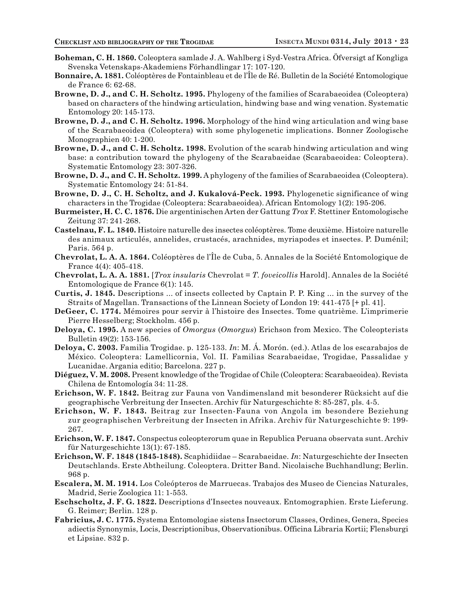- **Boheman, C. H. 1860.** Coleoptera samlade J. A. Wahlberg i Syd-Vestra Africa. Öfversigt af Kongliga Svenska Vetenskaps-Akademiens Förhandlingar 17: 107-120.
- **Bonnaire, A. 1881.** Coléoptères de Fontainbleau et de l'Île de Ré. Bulletin de la Société Entomologique de France 6: 62-68.
- **Browne, D. J., and C. H. Scholtz. 1995.** Phylogeny of the families of Scarabaeoidea (Coleoptera) based on characters of the hindwing articulation, hindwing base and wing venation. Systematic Entomology 20: 145-173.
- **Browne, D. J., and C. H. Scholtz. 1996.** Morphology of the hind wing articulation and wing base of the Scarabaeoidea (Coleoptera) with some phylogenetic implications. Bonner Zoologische Monographien 40: 1-200.
- **Browne, D. J., and C. H. Scholtz. 1998.** Evolution of the scarab hindwing articulation and wing base: a contribution toward the phylogeny of the Scarabaeidae (Scarabaeoidea: Coleoptera). Systematic Entomology 23: 307-326.
- **Browne, D. J., and C. H. Scholtz. 1999.** A phylogeny of the families of Scarabaeoidea (Coleoptera). Systematic Entomology 24: 51-84.
- **Browne, D. J., C. H. Scholtz, and J. Kukalová-Peck. 1993.** Phylogenetic significance of wing characters in the Trogidae (Coleoptera: Scarabaeoidea). African Entomology 1(2): 195-206.
- **Burmeister, H. C. C. 1876.** Die argentinischen Arten der Gattung *Trox* F. Stettiner Entomologische Zeitung 37: 241-268.
- **Castelnau, F. L. 1840.** Histoire naturelle des insectes coléoptères. Tome deuxième. Histoire naturelle des animaux articulés, annelides, crustacés, arachnides, myriapodes et insectes. P. Duménil; Paris. 564 p.
- **Chevrolat, L. A. A. 1864.** Coléoptères de l'Île de Cuba, 5. Annales de la Société Entomologique de France 4(4): 405-418.
- **Chevrolat, L. A. A. 1881.** [*Trox insularis* Chevrolat = *T. foveicollis* Harold]. Annales de la Société Entomologique de France 6(1): 145.
- **Curtis, J. 1845.** Descriptions ... of insects collected by Captain P. P. King ... in the survey of the Straits of Magellan. Transactions of the Linnean Society of London 19: 441-475 [+ pl. 41].
- **DeGeer, C. 1774.** Mémoires pour servir à l'histoire des Insectes. Tome quatrième. L'imprimerie Pierre Hesselberg; Stockholm. 456 p.
- **Deloya, C. 1995.** A new species of *Omorgus* (*Omorgus*) Erichson from Mexico. The Coleopterists Bulletin 49(2): 153-156.
- **Deloya, C. 2003.** Familia Trogidae. p. 125-133. *In*: M. Á. Morón. (ed.). Atlas de los escarabajos de México. Coleoptera: Lamellicornia, Vol. II. Familias Scarabaeidae, Trogidae, Passalidae y Lucanidae. Argania editio; Barcelona. 227 p.
- **Diéguez, V. M. 2008.** Present knowledge of the Trogidae of Chile (Coleoptera: Scarabaeoidea). Revista Chilena de Entomología 34: 11-28.
- **Erichson, W. F. 1842.** Beitrag zur Fauna von Vandimensland mit besonderer Rücksicht auf die geographische Verbreitung der Insecten. Archiv für Naturgeschichte 8: 85-287, pls. 4-5.
- **Erichson, W. F. 1843.** Beitrag zur Insecten-Fauna von Angola im besondere Beziehung zur geographischen Verbreitung der Insecten in Afrika. Archiv für Naturgeschichte 9: 199- 267.
- **Erichson, W. F. 1847.** Conspectus coleopterorum quae in Republica Peruana observata sunt. Archiv für Naturgeschichte 13(1): 67-185.
- **Erichson, W. F. 1848 (1845-1848).** Scaphidiidae Scarabaeidae. *In*: Naturgeschichte der Insecten Deutschlands. Erste Abtheilung. Coleoptera. Dritter Band. Nicolaische Buchhandlung; Berlin. 968 p.
- **Escalera, M. M. 1914.** Los Coleópteros de Marruecas. Trabajos des Museo de Ciencias Naturales, Madrid, Serie Zoologica 11: 1-553.
- **Eschscholtz, J. F. G. 1822.** Descriptions d'Insectes nouveaux. Entomographien. Erste Lieferung. G. Reimer; Berlin. 128 p.
- **Fabricius, J. C. 1775.** Systema Entomologiae sistens Insectorum Classes, Ordines, Genera, Species adiectis Synonymis, Locis, Descriptionibus, Observationibus. Officina Libraria Kortii; Flensburgi et Lipsiae. 832 p.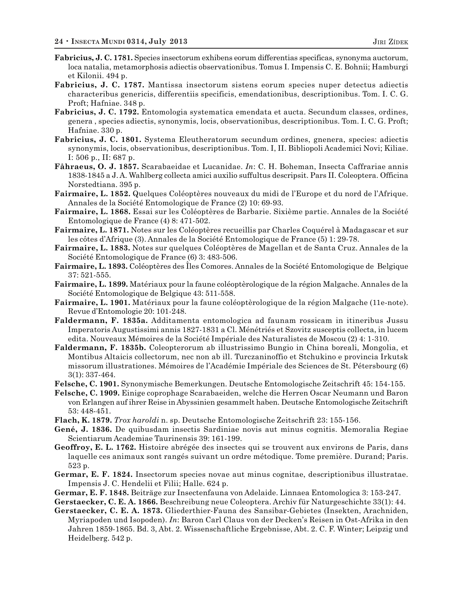- **Fabricius, J. C. 1781.** Species insectorum exhibens eorum differentias specificas, synonyma auctorum, loca natalia, metamorphosis adiectis observationibus. Tomus I. Impensis C. E. Bohnii; Hamburgi et Kilonii. 494 p.
- **Fabricius, J. C. 1787.** Mantissa insectorum sistens eorum species nuper detectus adiectis characteribus genericis, differentiis specificis, emendationibus, descriptionibus. Tom. I. C. G. Proft; Hafniae. 348 p.
- **Fabricius, J. C. 1792.** Entomologia systematica emendata et aucta. Secundum classes, ordines, genera , species adiectis, synonymis, locis, observationibus, descriptionibus. Tom. I. C. G. Proft; Hafniae. 330 p.
- **Fabricius, J. C. 1801.** Systema Eleutheratorum secundum ordines, gnenera, species: adiectis synonymis, locis, observationibus, descriptionibus. Tom. I, II. Bibliopoli Academici Novi; Kiliae. I: 506 p., II: 687 p.
- **Fåhraeus, O. J. 1857.** Scarabaeidae et Lucanidae. *In*: C. H. Boheman, Insecta Caffrariae annis 1838-1845 a J. A. Wahlberg collecta amici auxilio suffultus descripsit. Pars II. Coleoptera. Officina Norstedtiana. 395 p.
- **Fairmaire, L. 1852.** Quelques Coléoptères nouveaux du midi de l'Europe et du nord de l'Afrique. Annales de la Société Entomologique de France (2) 10: 69-93.
- **Fairmaire, L. 1868.** Essai sur les Coléoptères de Barbarie. Sixième partie. Annales de la Société Entomologique de France (4) 8: 471-502.
- **Fairmaire, L. 1871.** Notes sur les Coléoptères recueillis par Charles Coquérel à Madagascar et sur les côtes d'Afrique (3). Annales de la Société Entomologique de France (5) 1: 29-78.
- **Fairmaire, L. 1883.** Notes sur quelques Coléoptères de Magellan et de Santa Cruz. Annales de la Société Entomologique de France (6) 3: 483-506.
- **Fairmaire, L. 1893.** Coléoptères des Îles Comores. Annales de la Société Entomologique de Belgique 37: 521-555.
- **Fairmaire, L. 1899.** Matériaux pour la faune coléoptèrologique de la région Malgache. Annales de la Société Entomologique de Belgique 43: 511-558.
- **Fairmaire, L. 1901.** Matériaux pour la faune coléoptèrologique de la région Malgache (11e-note). Revue d'Entomologie 20: 101-248.
- **Faldermann, F. 1835a.** Additamenta entomologica ad faunam rossicam in itineribus Jussu Imperatoris Augustissimi annis 1827-1831 a Cl. Ménétriés et Szovitz susceptis collecta, in lucem edita. Nouveaux Mémoires de la Société Impériale des Naturalistes de Moscou (2) 4: 1-310.
- **Faldermann, F. 1835b.** Coleopterorum ab illustrissimo Bungio in China boreali, Mongolia, et Montibus Altaicis collectorum, nec non ab ill. Turczaninoffio et Stchukino e provincia Irkutsk missorum illustrationes. Mémoires de l'Académie Impériale des Sciences de St. Pétersbourg (6) 3(1): 337-464.
- **Felsche, C. 1901.** Synonymische Bemerkungen. Deutsche Entomologische Zeitschrift 45: 154-155.
- **Felsche, C. 1909.** Einige coprophage Scarabaeiden, welche die Herren Oscar Neumann und Baron von Erlangen auf ihrer Reise in Abyssinien gesammelt haben. Deutsche Entomologische Zeitschrift 53: 448-451.
- **Flach, K. 1879.** *Trox haroldi* n. sp. Deutsche Entomologische Zeitschrift 23: 155-156.
- **Gené, J. 1836.** De quibusdam insectis Sardiniae novis aut minus cognitis. Memoralia Regiae Scientiarum Academiae Taurinensis 39: 161-199.
- **Geoffroy, E. L. 1762.** Histoire abrégée des insectes qui se trouvent aux environs de Paris, dans laquelle ces animaux sont rangés suivant un ordre métodique. Tome première. Durand; Paris. 523 p.
- **Germar, E. F. 1824.** Insectorum species novae aut minus cognitae, descriptionibus illustratae. Impensis J. C. Hendelii et Filii; Halle. 624 p.
- **Germar, E. F. 1848.** Beiträge zur Insectenfauna von Adelaide. Linnaea Entomologica 3: 153-247.
- **Gerstaecker, C. E. A. 1866.** Beschreibung neue Coleoptera. Archiv für Naturgeschichte 33(1): 44.
- **Gerstaecker, C. E. A. 1873.** Gliederthier-Fauna des Sansibar-Gebietes (Insekten, Arachniden, Myriapoden und Isopoden). *In*: Baron Carl Claus von der Decken's Reisen in Ost-Afrika in den Jahren 1859-1865. Bd. 3, Abt. 2. Wissenschaftliche Ergebnisse, Abt. 2. C. F. Winter; Leipzig und Heidelberg. 542 p.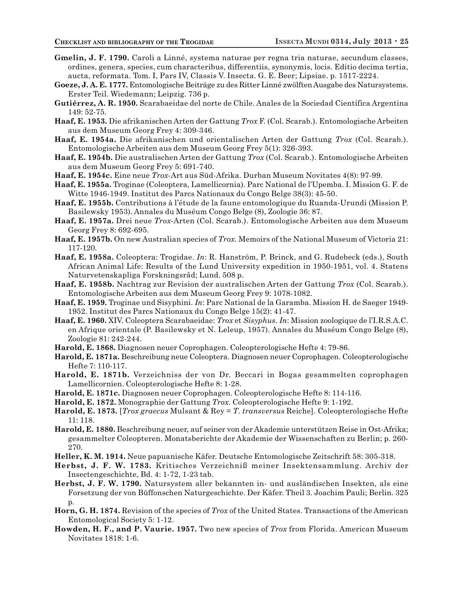- **Gmelin, J. F. 1790.** Caroli a Linné, systema naturae per regna tria naturae, secundum classes, ordines, genera, species, cum characteribus, differentiis, synonymis, locis. Editio decima tertia, aucta, reformata. Tom. I, Pars IV, Classis V. Insecta. G. E. Beer; Lipsiae. p. 1517-2224.
- **Goeze, J. A. E. 1777.** Entomologische Beiträge zu des Ritter Linné zwölften Ausgabe des Natursystems. Erster Teil. Wiedemann; Leipzig. 736 p.
- **Gutiérrez, A. R. 1950.** Scarabaeidae del norte de Chile. Anales de la Sociedad Científica Argentina 149: 52-75.
- **Haaf, E. 1953.** Die afrikanischen Arten der Gattung *Trox* F. (Col. Scarab.). Entomologische Arbeiten aus dem Museum Georg Frey 4: 309-346.
- **Haaf, E. 1954a.** Die afrikanischen und orientalischen Arten der Gattung *Trox* (Col. Scarab.). Entomologische Arbeiten aus dem Museum Georg Frey 5(1): 326-393.
- **Haaf, E. 1954b.** Die australischen Arten der Gattung *Trox* (Col. Scarab.). Entomologische Arbeiten aus dem Museum Georg Frey 5: 691-740.
- **Haaf, E. 1954c.** Eine neue *Trox*-Art aus Süd-Afrika. Durban Museum Novitates 4(8): 97-99.
- **Haaf, E. 1955a.** Troginae (Coleoptera, Lamellicornia). Parc National de l'Upemba. I. Mission G. F. de Witte 1946-1949. Institut des Parcs Nationaux du Congo Belge 38(3): 45-50.
- **Haaf, E. 1955b.** Contributions à l'étude de la faune entomologique du Ruanda-Urundi (Mission P. Basilewsky 1953). Annales du Muséum Congo Belge (8), Zoologie 36: 87.
- **Haaf, E. 1957a.** Drei neue *Trox*-Arten (Col. Scarab.). Entomologische Arbeiten aus dem Museum Georg Frey 8: 692-695.
- **Haaf, E. 1957b.** On new Australian species of *Trox*. Memoirs of the National Museum of Victoria 21: 117-120.
- **Haaf, E. 1958a.** Coleoptera: Trogidae. *In*: R. Hanström, P. Brinck, and G. Rudebeck (eds.), South African Animal Life: Results of the Lund University expedition in 1950-1951, vol. 4. Statens Naturvetenskapliga Forskningsråd; Lund. 508 p.
- **Haaf, E. 1958b.** Nachtrag zur Revision der australischen Arten der Gattung *Trox* (Col. Scarab.). Entomologische Arbeiten aus dem Museum Georg Frey 9: 1078-1082.
- **Haaf, E. 1959.** Troginae und Sisyphini. *In*: Parc National de la Garamba. Mission H. de Saeger 1949- 1952. Institut des Parcs Nationaux du Congo Belge 15(2): 41-47.
- **Haaf, E. 1960.** XIV. Coleoptera Scarabaeidae: *Trox* et *Sisyphus*. *In*: Mission zoologique de l'I.R.S.A.C. en Afrique orientale (P. Basilewsky et N. Leleup, 1957). Annales du Muséum Congo Belge (8), Zoologie 81: 242-244.
- **Harold, E. 1868.** Diagnosen neuer Coprophagen. Coleopterologische Hefte 4: 79-86.
- **Harold, E. 1871a.** Beschreibung neue Coleoptera. Diagnosen neuer Coprophagen. Coleopterologische Hefte 7: 110-117.
- **Harold, E. 1871b.** Verzeichniss der von Dr. Beccari in Bogas gesammelten coprophagen Lamellicornien. Coleopterologische Hefte 8: 1-28.
- **Harold, E. 1871c.** Diagnosen neuer Coprophagen. Coleopterologische Hefte 8: 114-116.
- **Harold, E. 1872.** Monographie der Gattung *Trox*. Coleopterologische Hefte 9: 1-192.
- **Harold, E. 1873.** [*Trox graecus* Mulsant & Rey = *T*. *transversus* Reiche]. Coleopterologische Hefte 11: 118.
- **Harold, E. 1880.** Beschreibung neuer, auf seiner von der Akademie unterstützen Reise in Ost-Afrika; gesammelter Coleopteren. Monatsberichte der Akademie der Wissenschaften zu Berlin; p. 260- 270.
- **Heller, K. M. 1914.** Neue papuanische Käfer. Deutsche Entomologische Zeitschrift 58: 305-318.
- **Herbst, J. F. W. 1783.** Kritisches Verzeichniß meiner Insektensammlung. Archiv der Insectengeschichte, Bd. 4: 1-72, 1-23 tab.
- **Herbst, J. F. W. 1790.** Natursystem aller bekannten in- und ausländischen Insekten, als eine Forsetzung der von Büffonschen Naturgeschichte. Der Käfer. Theil 3. Joachim Pauli; Berlin. 325 p.
- **Horn, G. H. 1874.** Revision of the species of *Trox* of the United States. Transactions of the American Entomological Society 5: 1-12.
- **Howden, H. F., and P. Vaurie. 1957.** Two new species of *Trox* from Florida. American Museum Novitates 1818: 1-6.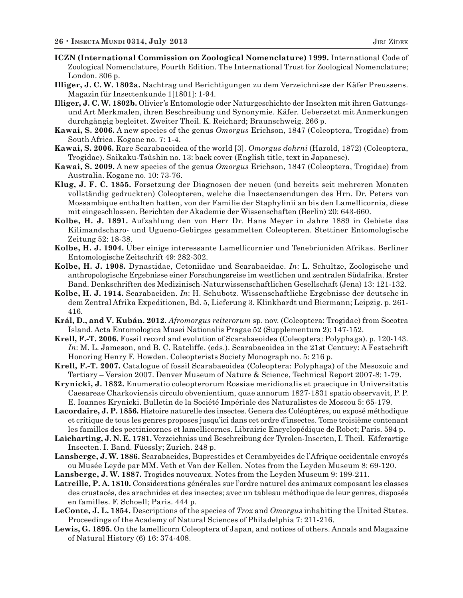- **ICZN (International Commission on Zoological Nomenclature) 1999.** International Code of Zoological Nomenclature, Fourth Edition. The International Trust for Zoological Nomenclature; London. 306 p.
- **Illiger, J. C. W. 1802a.** Nachtrag und Berichtigungen zu dem Verzeichnisse der Käfer Preussens. Magazin für Insectenkunde 1[1801]: 1-94.
- **Illiger, J. C. W. 1802b.** Olivier's Entomologie oder Naturgeschichte der Insekten mit ihren Gattungsund Art Merkmalen, ihren Beschreibung und Synonymie. Käfer. Uebersetzt mit Anmerkungen durchgängig begleitet. Zweiter Theil. K. Reichard; Braunschweig. 266 p.
- **Kawai, S. 2006.** A new species of the genus *Omorgus* Erichson, 1847 (Coleoptera, Trogidae) from South Africa. Kogane no. 7: 1-4.
- **Kawai, S. 2006.** Rare Scarabaeoidea of the world [3]. *Omorgus dohrni* (Harold, 1872) (Coleoptera, Trogidae). Saikaku-Tsûshin no. 13: back cover (English title, text in Japanese).
- **Kawai, S. 2009.** A new species of the genus *Omorgus* Erichson, 1847 (Coleoptera, Trogidae) from Australia. Kogane no. 10: 73-76.
- **Klug, J. F. C. 1855.** Forsetzung der Diagnosen der neuen (und bereits seit mehreren Monaten vollständig gedruckten) Coleopteren, welche die Insectensendungen des Hrn. Dr. Peters von Mossambique enthalten hatten, von der Familie der Staphylinii an bis den Lamellicornia, diese mit eingeschlossen. Berichten der Akademie der Wissenschaften (Berlin) 20: 643-660.
- **Kolbe, H. J. 1891.** Aufzahlung den von Herr Dr. Hans Meyer in Jahre 1889 in Gebiete das Kilimandscharo- und Ugueno-Gebirges gesammelten Coleopteren. Stettiner Entomologische Zeitung 52: 18-38.
- **Kolbe, H. J. 1904.** Über einige interessante Lamellicornier und Tenebrioniden Afrikas. Berliner Entomologische Zeitschrift 49: 282-302.
- **Kolbe, H. J. 1908.** Dynastidae, Cetoniidae und Scarabaeidae. *In*: L. Schultze, Zoologische und anthropologische Ergebnisse einer Forschungsreise im westlichen und zentralen Südafrika. Erster Band. Denkschriften des Medizinisch-Naturwissenschaftlichen Gesellschaft (Jena) 13: 121-132.
- **Kolbe, H. J. 1914.** Scarabaeiden. *In*: H. Schubotz. Wissenschaftliche Ergebnisse der deutsche in dem Zentral Afrika Expeditionen, Bd. 5, Lieferung 3. Klinkhardt und Biermann; Leipzig. p. 261- 416.
- **Král, D., and V. Kubán. 2012.** *Afromorgus reiterorum* sp. nov. (Coleoptera: Trogidae) from Socotra Island. Acta Entomologica Musei Nationalis Pragae 52 (Supplementum 2): 147-152.
- **Krell, F.-T. 2006.** Fossil record and evolution of Scarabaeoidea (Coleoptera: Polyphaga). p. 120-143. *In*: M. L. Jameson, and B. C. Ratcliffe. (eds.). Scarabaeoidea in the 21st Century: A Festschrift Honoring Henry F. Howden. Coleopterists Society Monograph no. 5: 216 p.
- **Krell, F.-T. 2007.** Catalogue of fossil Scarabaeoidea (Coleoptera: Polyphaga) of the Mesozoic and Tertiary – Version 2007. Denver Museum of Nature & Science, Technical Report 2007-8: 1-79.
- **Krynicki, J. 1832.** Enumeratio coleopterorum Rossiae meridionalis et praecique in Universitatis Caesareae Charkoviensis circulo obvenientium, quae annorum 1827-1831 spatio observavit, P. P. E. Ioannes Krynicki. Bulletin de la Société Impériale des Naturalistes de Moscou 5: 65-179.
- **Lacordaire, J. P. 1856.** Histoire naturelle des insectes. Genera des Coléoptères, ou exposé méthodique et critique de tous les genres proposes jusqu'ici dans cet ordre d'insectes. Tome troisième contenant les familles des pectinicornes et lamellicornes. Librairie Encyclopédique de Robet; Paris. 594 p.
- **Laicharting, J. N. E. 1781.** Verzeichniss und Beschreibung der Tyrolen-Insecten, I. Theil. Käferartige Insecten. I. Band. Füessly; Zurich. 248 p.
- **Lansberge, J. W. 1886.** Scarabaeides, Buprestides et Cerambycides de l'Afrique occidentale envoyés ou Musée Leyde par MM. Veth et Van der Kellen. Notes from the Leyden Museum 8: 69-120.
- **Lansberge, J. W. 1887.** Trogides nouveaux. Notes from the Leyden Museum 9: 199-211.
- **Latreille, P. A. 1810.** Considerations générales sur l'ordre naturel des animaux composant les classes des crustacés, des arachnides et des insectes; avec un tableau méthodique de leur genres, disposés en familles. F. Schoell; Paris. 444 p.
- **LeConte, J. L. 1854.** Descriptions of the species of *Trox* and *Omorgus* inhabiting the United States. Proceedings of the Academy of Natural Sciences of Philadelphia 7: 211-216.
- **Lewis, G. 1895.** On the lamellicorn Coleoptera of Japan, and notices of others. Annals and Magazine of Natural History (6) 16: 374-408.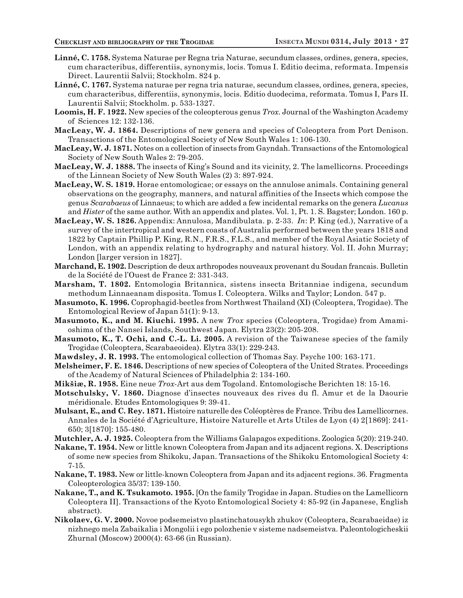- **Linné, C. 1758.** Systema Naturae per Regna tria Naturae, secundum classes, ordines, genera, species, cum characteribus, differentiis, synonymis, locis. Tomus I. Editio decima, reformata. Impensis Direct. Laurentii Salvii; Stockholm. 824 p.
- **Linné, C. 1767.** Systema naturae per regna tria naturae, secundum classes, ordines, genera, species, cum characteribus, differentiis, synonymis, locis. Editio duodecima, reformata. Tomus I, Pars II. Laurentii Salvii; Stockholm. p. 533-1327.
- **Loomis, H. F. 1922.** New species of the coleopterous genus *Trox*. Journal of the Washington Academy of Sciences 12: 132-136.
- **MacLeay, W. J. 1864.** Descriptions of new genera and species of Coleoptera from Port Denison. Transactions of the Entomological Society of New South Wales 1: 106-130.
- **MacLeay, W. J. 1871.** Notes on a collection of insects from Gayndah. Transactions of the Entomological Society of New South Wales 2: 79-205.
- **MacLeay, W. J. 1888.** The insects of King's Sound and its vicinity, 2. The lamellicorns. Proceedings of the Linnean Society of New South Wales (2) 3: 897-924.
- **MacLeay, W. S. 1819.** Horae entomologicae; or essays on the annulose animals. Containing general observations on the geography, manners, and natural affinities of the Insects which compose the genus *Scarabaeus* of Linnaeus; to which are added a few incidental remarks on the genera *Lucanus* and *Hister* of the same author. With an appendix and plates. Vol. 1, Pt. 1. S. Bagster; London. 160 p.
- **MacLeay, W. S. 1826.** Appendix: Annulosa, Mandibulata. p. 2-33. *In*: P. King (ed.), Narrative of a survey of the intertropical and western coasts of Australia performed between the years 1818 and 1822 by Captain Phillip P. King, R.N., F.R.S., F.L.S., and member of the Royal Asiatic Society of London, with an appendix relating to hydrography and natural history. Vol. II. John Murray; London [larger version in 1827].
- **Marchand, E. 1902.** Description de deux arthropodes nouveaux provenant du Soudan francais. Bulletin de la Société de l'Ouest de France 2: 331-343.
- **Marsham, T. 1802.** Entomologia Britannica, sistens insecta Britanniae indigena, secundum methodum Linnaeanam disposita. Tomus I. Coleoptera. Wilks and Taylor; London. 547 p.
- **Masumoto, K. 1996.** Coprophagid-beetles from Northwest Thailand (XI) (Coleoptera, Trogidae). The Entomological Review of Japan 51(1): 9-13.
- **Masumoto, K., and M. Kiuchi. 1995.** A new *Trox* species (Coleoptera, Trogidae) from Amamioshima of the Nansei Islands, Southwest Japan. Elytra 23(2): 205-208.
- **Masumoto, K., T. Ochi, and C.-L. Li. 2005.** A revision of the Taiwanese species of the family Trogidae (Coleoptera, Scarabaeoidea). Elytra 33(1): 229-243.
- **Mawdsley, J. R. 1993.** The entomological collection of Thomas Say. Psyche 100: 163-171.
- **Melsheimer, F. E. 1846.** Descriptions of new species of Coleoptera of the United Strates. Proceedings of the Academy of Natural Sciences of Philadelphia 2: 134-160.
- **Mikšiæ, R. 1958.** Eine neue *Trox*-Art aus dem Togoland. Entomologische Berichten 18: 15-16.
- **Motschulsky, V. 1860.** Diagnose d'insectes nouveaux des rives du fl. Amur et de la Daourie méridionale. Etudes Entomologiques 9: 39-41.
- **Mulsant, E., and C. Rey. 1871.** Histoire naturelle des Coléoptères de France. Tribu des Lamellicornes. Annales de la Société d'Agriculture, Histoire Naturelle et Arts Utiles de Lyon (4) 2[1869]: 241- 650; 3[1870]: 155-480.
- **Mutchler, A. J. 1925.** Coleoptera from the Williams Galapagos expeditions. Zoologica 5(20): 219-240.
- **Nakane, T. 1954.** New or little known Coleoptera from Japan and its adjacent regions. X. Descriptions of some new species from Shikoku, Japan. Transactions of the Shikoku Entomological Society 4: 7-15.
- **Nakane, T. 1983.** New or little-known Coleoptera from Japan and its adjacent regions. 36. Fragmenta Coleopterologica 35/37: 139-150.
- **Nakane, T., and K. Tsukamoto. 1955.** [On the family Trogidae in Japan. Studies on the Lamellicorn Coleoptera II]. Transactions of the Kyoto Entomological Society 4: 85-92 (in Japanese, English abstract).
- **Nikolaev, G. V. 2000.** Novoe podsemeistvo plastinchatousykh zhukov (Coleoptera, Scarabaeidae) iz nizhnego mela Zabaikalia i Mongolii i ego polozhenie v sisteme nadsemeistva. Paleontologicheskii Zhurnal (Moscow) 2000(4): 63-66 (in Russian).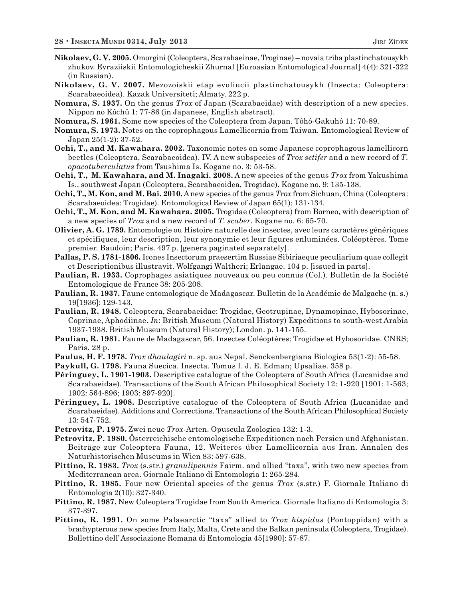- **Nikolaev, G. V. 2005.** Omorgini (Coleoptera, Scarabaeinae, Troginae) novaia triba plastinchatousykh zhukov. Evraziiskii Entomologicheskii Zhurnal [Euroasian Entomological Journal] 4(4): 321-322 (in Russian).
- **Nikolaev, G. V. 2007.** Mezozoiskii etap evoliucii plastinchatousykh (Insecta: Coleoptera: Scarabaeoidea). Kazak Universiteti; Almaty. 222 p.
- **Nomura, S. 1937.** On the genus *Trox* of Japan (Scarabaeidae) with description of a new species. Nippon no Kôchû 1: 77-86 (in Japanese, English abstract).
- **Nomura, S. 1961.** Some new species of the Coleoptera from Japan. Tôhô-Gakuhô 11: 70-89.
- **Nomura, S. 1973.** Notes on the coprophagous Lamellicornia from Taiwan. Entomological Review of Japan 25(1-2): 37-52.
- **Ochi, T., and M. Kawahara. 2002.** Taxonomic notes on some Japanese coprophagous lamellicorn beetles (Coleoptera, Scarabaeoidea). IV. A new subspecies of *Trox setifer* and a new record of *T. opacotuberculatus* from Tsushima Is. Kogane no. 3: 53-58.
- **Ochi, T., M. Kawahara, and M. Inagaki. 2008.** A new species of the genus *Trox* from Yakushima Is., southwest Japan (Coleoptera, Scarabaeoidea, Trogidae). Kogane no. 9: 135-138.
- **Ochi, T., M. Kon, and M. Bai. 2010.** A new species of the genus *Trox* from Sichuan, China (Coleoptera: Scarabaeoidea: Trogidae). Entomological Review of Japan 65(1): 131-134.
- **Ochi, T., M. Kon, and M. Kawahara. 2005.** Trogidae (Coleoptera) from Borneo, with description of a new species of *Trox* and a new record of *T. scaber*. Kogane no. 6: 65-70.
- **Olivier, A. G. 1789.** Entomologie ou Histoire naturelle des insectes, avec leurs caractères génériques et spécifiques, leur description, leur synonymie et leur figures enluminées. Coléoptères. Tome premier. Baudoin; Paris. 497 p. [genera paginated separately].
- **Pallas, P. S. 1781-1806.** Icones Insectorum praesertim Russiae Sibiriaeque peculiarium quae collegit et Descriptionibus illustravit. Wolfgangi Waltheri; Erlangae. 104 p. [issued in parts].
- **Paulian, R. 1933.** Coprophages asiatiques nouveaux ou peu connus (Col.). Bulletin de la Société Entomologique de France 38: 205-208.
- **Paulian, R. 1937.** Faune entomologique de Madagascar. Bulletin de la Académie de Malgache (n. s.) 19[1936]: 129-143.
- **Paulian, R. 1948.** Coleoptera, Scarabaeidae: Trogidae, Geotrupinae, Dynamopinae, Hybosorinae, Coprinae, Aphodiinae. *In*: British Museum (Natural History) Expeditions to south-west Arabia 1937-1938. British Museum (Natural History); London. p. 141-155.
- **Paulian, R. 1981.** Faune de Madagascar, 56. Insectes Coléoptères: Trogidae et Hybosoridae. CNRS; Paris. 28 p.
- **Paulus, H. F. 1978.** *Trox dhaulagiri* n. sp. aus Nepal. Senckenbergiana Biologica 53(1-2): 55-58.
- **Paykull, G. 1798.** Fauna Suecica. Insecta. Tomus I. J. E. Edman; Upsaliae. 358 p.
- **Péringuey, L. 1901-1903.** Descriptive catalogue of the Coleoptera of South Africa (Lucanidae and Scarabaeidae). Transactions of the South African Philosophical Society 12: 1-920 [1901: 1-563; 1902: 564-896; 1903: 897-920].
- **Péringuey, L. 1908.** Descriptive catalogue of the Coleoptera of South Africa (Lucanidae and Scarabaeidae). Additions and Corrections. Transactions of the South African Philosophical Society 13: 547-752.
- **Petrovitz, P. 1975.** Zwei neue *Trox*-Arten. Opuscula Zoologica 132: 1-3.
- **Petrovitz, P. 1980.** Österreichische entomologische Expeditionen nach Persien und Afghanistan. Beiträge zur Coleoptera Fauna, 12. Weiteres über Lamellicornia aus Iran. Annalen des Naturhistorischen Museums in Wien 83: 597-638.
- **Pittino, R. 1983.** *Trox* (s.str.) *granulipennis* Fairm. and allied "taxa", with two new species from Mediterranean area. Giornale Italiano di Entomologia 1: 265-284.
- **Pittino, R. 1985.** Four new Oriental species of the genus *Trox* (s.str.) F. Giornale Italiano di Entomologia 2(10): 327-340.
- **Pittino, R. 1987.** New Coleoptera Trogidae from South America. Giornale Italiano di Entomologia 3: 377-397.
- **Pittino, R. 1991.** On some Palaearctic "taxa" allied to *Trox hispidus* (Pontoppidan) with a brachypterous new species from Italy, Malta, Crete and the Balkan peninsula (Coleoptera, Trogidae). Bollettino dell' Associazione Romana di Entomologia 45[1990]: 57-87.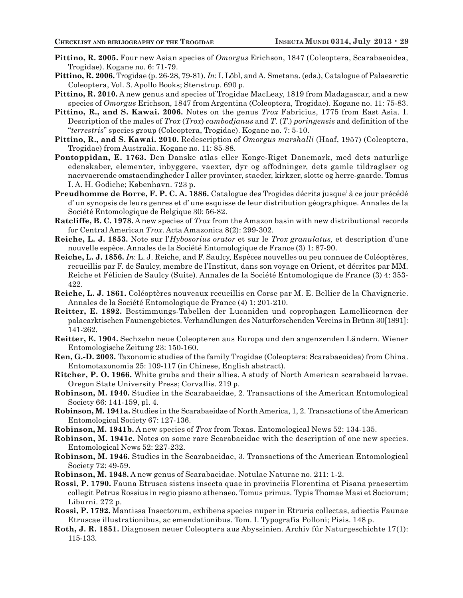- **Pittino, R. 2005.** Four new Asian species of *Omorgus* Erichson, 1847 (Coleoptera, Scarabaeoidea, Trogidae). Kogane no. 6: 71-79.
- **Pittino, R. 2006.** Trogidae (p. 26-28, 79-81). *In*: I. Löbl, and A. Smetana. (eds.), Catalogue of Palaearctic Coleoptera, Vol. 3. Apollo Books; Stenstrup. 690 p.
- **Pittino, R. 2010.** A new genus and species of Trogidae MacLeay, 1819 from Madagascar, and a new species of *Omorgus* Erichson, 1847 from Argentina (Coleoptera, Trogidae). Kogane no. 11: 75-83.
- **Pittino, R., and S. Kawai. 2006.** Notes on the genus *Trox* Fabricius, 1775 from East Asia. I. Description of the males of *Trox* (*Trox*) *cambodjanus* and *T*. (*T*.) *poringensis* and definition of the "*terrestris*" species group (Coleoptera, Trogidae). Kogane no. 7: 5-10.
- **Pittino, R., and S. Kawai. 2010.** Redescription of *Omorgus marshalli* (Haaf, 1957) (Coleoptera, Trogidae) from Australia. Kogane no. 11: 85-88.
- **Pontoppidan, E. 1763.** Den Danske atlas eller Konge-Riget Danemark, med dets naturlige edenskaber, elementer, inbyggere, vaexter, dyr og affodninger, dets gamle tildraglser og naervaerende omstaendingheder I aller provinter, staeder, kirkzer, slotte og herre-gaarde. Tomus I. A. H. Godiche; København. 723 p.
- **Preudhomme de Borre, F. P. C. A. 1886.** Catalogue des Trogides décrits jusque' à ce jour précédé d' un synopsis de leurs genres et d' une esquisse de leur distribution géographique. Annales de la Société Entomologique de Belgique 30: 56-82.
- **Ratcliffe, B. C. 1978.** A new species of *Trox* from the Amazon basin with new distributional records for Central American *Trox*. Acta Amazonica 8(2): 299-302.
- **Reiche, L. J. 1853.** Note sur l'*Hybosorius orator* et sur le *Trox granulatus,* et description d'une nouvelle espèce. Annales de la Société Entomologique de France (3) 1: 87-90.
- **Reiche, L. J. 1856.** *In*: L. J. Reiche, and F. Saulcy, Espèces nouvelles ou peu connues de Coléoptères, recueillis par F. de Saulcy, membre de l'Institut, dans son voyage en Orient, et décrites par MM. Reiche et Félicien de Saulcy (Suite). Annales de la Société Entomologique de France (3) 4: 353- 422.
- **Reiche, L. J. 1861.** Coléoptères nouveaux recueillis en Corse par M. E. Bellier de la Chavignerie. Annales de la Société Entomologique de France (4) 1: 201-210.
- **Reitter, E. 1892.** Bestimmungs-Tabellen der Lucaniden und coprophagen Lamellicornen der palaearktischen Faunengebietes. Verhandlungen des Naturforschenden Vereins in Brünn 30[1891]: 141-262.
- **Reitter, E. 1904.** Sechzehn neue Coleopteren aus Europa und den angenzenden Ländern. Wiener Entomologische Zeitung 23: 150-160.
- **Ren, G.-D. 2003.** Taxonomic studies of the family Trogidae (Coleoptera: Scarabaeoidea) from China. Entomotaxonomia 25: 109-117 (in Chinese, English abstract).
- **Ritcher, P. O. 1966.** White grubs and their allies. A study of North American scarabaeid larvae. Oregon State University Press; Corvallis. 219 p.
- **Robinson, M. 1940.** Studies in the Scarabaeidae, 2. Transactions of the American Entomological Society 66: 141-159, pl. 4.
- **Robinson, M. 1941a.** Studies in the Scarabaeidae of North America, 1, 2. Transactions of the American Entomological Society 67: 127-136.
- **Robinson, M. 1941b.** A new species of *Trox* from Texas. Entomological News 52: 134-135.
- **Robinson, M. 1941c.** Notes on some rare Scarabaeidae with the description of one new species. Entomological News 52: 227-232.
- **Robinson, M. 1946.** Studies in the Scarabaeidae, 3. Transactions of the American Entomological Society 72: 49-59.
- **Robinson, M. 1948.** A new genus of Scarabaeidae. Notulae Naturae no. 211: 1-2.
- **Rossi, P. 1790.** Fauna Etrusca sistens insecta quae in provinciis Florentina et Pisana praesertim collegit Petrus Rossius in regio pisano athenaeo. Tomus primus. Typis Thomae Masi et Sociorum; Liburni. 272 p.
- **Rossi, P. 1792.** Mantissa Insectorum, exhibens species nuper in Etruria collectas, adiectis Faunae Etruscae illustrationibus, ac emendationibus. Tom. I. Typografia Polloni; Pisis. 148 p.
- **Roth, J. R. 1851.** Diagnosen neuer Coleoptera aus Abyssinien. Archiv für Naturgeschichte 17(1): 115-133.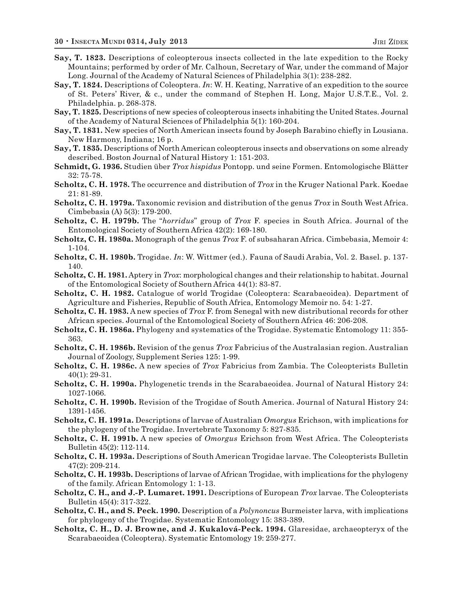- **Say, T. 1823.** Descriptions of coleopterous insects collected in the late expedition to the Rocky Mountains; performed by order of Mr. Calhoun, Secretary of War, under the command of Major Long. Journal of the Academy of Natural Sciences of Philadelphia 3(1): 238-282.
- **Say, T. 1824.** Descriptions of Coleoptera. *In*: W. H. Keating, Narrative of an expedition to the source of St. Peters' River, & c., under the command of Stephen H. Long, Major U.S.T.E., Vol. 2. Philadelphia. p. 268-378.
- **Say, T. 1825.** Descriptions of new species of coleopterous insects inhabiting the United States. Journal of the Academy of Natural Sciences of Philadelphia 5(1): 160-204.
- **Say, T. 1831.** New species of North American insects found by Joseph Barabino chiefly in Lousiana. New Harmony, Indiana; 16 p.
- **Say, T. 1835.** Descriptions of North American coleopterous insects and observations on some already described. Boston Journal of Natural History 1: 151-203.
- **Schmidt, G. 1936.** Studien über *Trox hispidus* Pontopp. und seine Formen. Entomologische Blätter 32: 75-78.
- **Scholtz, C. H. 1978.** The occurrence and distribution of *Trox* in the Kruger National Park. Koedae 21: 81-89.
- **Scholtz, C. H. 1979a.** Taxonomic revision and distribution of the genus *Trox* in South West Africa. Cimbebasia (A) 5(3): 179-200.
- **Scholtz, C. H. 1979b.** The "*horridus*" group of *Trox* F. species in South Africa. Journal of the Entomological Society of Southern Africa 42(2): 169-180.
- **Scholtz, C. H. 1980a.** Monograph of the genus *Trox* F. of subsaharan Africa. Cimbebasia, Memoir 4: 1-104.
- **Scholtz, C. H. 1980b.** Trogidae. *In*: W. Wittmer (ed.). Fauna of Saudi Arabia, Vol. 2. Basel. p. 137- 140.
- **Scholtz, C. H. 1981.** Aptery in *Trox*: morphological changes and their relationship to habitat. Journal of the Entomological Society of Southern Africa 44(1): 83-87.
- **Scholtz, C. H. 1982.** Catalogue of world Trogidae (Coleoptera: Scarabaeoidea). Department of Agriculture and Fisheries, Republic of South Africa, Entomology Memoir no. 54: 1-27.
- **Scholtz, C. H. 1983.** A new species of *Trox* F. from Senegal with new distributional records for other African species. Journal of the Entomological Society of Southern Africa 46: 206-208.
- **Scholtz, C. H. 1986a.** Phylogeny and systematics of the Trogidae. Systematic Entomology 11: 355- 363.
- **Scholtz, C. H. 1986b.** Revision of the genus *Trox* Fabricius of the Australasian region. Australian Journal of Zoology, Supplement Series 125: 1-99.
- **Scholtz, C. H. 1986c.** A new species of *Trox* Fabricius from Zambia. The Coleopterists Bulletin 40(1): 29-31.
- **Scholtz, C. H. 1990a.** Phylogenetic trends in the Scarabaeoidea. Journal of Natural History 24: 1027-1066.
- **Scholtz, C. H. 1990b.** Revision of the Trogidae of South America. Journal of Natural History 24: 1391-1456.
- **Scholtz, C. H. 1991a.** Descriptions of larvae of Australian *Omorgus* Erichson, with implications for the phylogeny of the Trogidae. Invertebrate Taxonomy 5: 827-835.
- **Scholtz, C. H. 1991b.** A new species of *Omorgus* Erichson from West Africa. The Coleopterists Bulletin 45(2): 112-114.
- **Scholtz, C. H. 1993a.** Descriptions of South American Trogidae larvae. The Coleopterists Bulletin 47(2): 209-214.
- **Scholtz, C. H. 1993b.** Descriptions of larvae of African Trogidae, with implications for the phylogeny of the family. African Entomology 1: 1-13.
- **Scholtz, C. H., and J.-P. Lumaret. 1991.** Descriptions of European *Trox* larvae. The Coleopterists Bulletin 45(4): 317-322.
- **Scholtz, C. H., and S. Peck. 1990.** Description of a *Polynoncus* Burmeister larva, with implications for phylogeny of the Trogidae. Systematic Entomology 15: 383-389.
- **Scholtz, C. H., D. J. Browne, and J. Kukalová-Peck. 1994.** Glaresidae, archaeopteryx of the Scarabaeoidea (Coleoptera). Systematic Entomology 19: 259-277.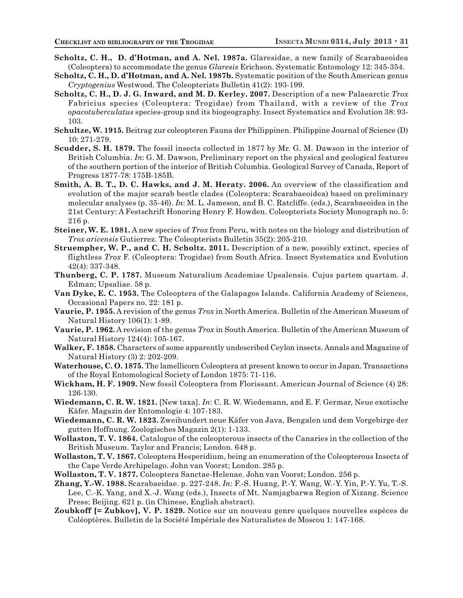- **Scholtz, C. H., D. d'Hotman, and A. Nel. 1987a.** Glaresidae, a new family of Scarabaeoidea (Coleoptera) to accommodate the genus *Glaresis* Erichson. Systematic Entomology 12: 345-354.
- **Scholtz, C. H., D. d'Hotman, and A. Nel. 1987b.** Systematic position of the South American genus *Cryptogenius* Westwood. The Coleopterists Bulletin 41(2): 193-199.
- **Scholtz, C. H., D. J. G. Inward, and M. D. Kerley. 2007.** Description of a new Palaearctic *Trox* Fabricius species (Coleoptera: Trogidae) from Thailand, with a review of the *Trox opacotuberculatus* species-group and its biogeography. Insect Systematics and Evolution 38: 93- 103.
- **Schultze, W. 1915.** Beitrag zur coleopteren Fauna der Philippinen. Philippine Journal of Science (D) 10: 271-279.
- **Scudder, S. H. 1879.** The fossil insects collected in 1877 by Mr. G. M. Dawson in the interior of British Columbia. *In*: G. M. Dawson, Preliminary report on the physical and geological features of the southern portion of the interior of British Columbia. Geological Survey of Canada, Report of Progress 1877-78: 175B-185B.
- **Smith, A. B. T., D. C. Hawks, and J. M. Heraty. 2006.** An overview of the classification and evolution of the major scarab beetle clades (Coleoptera: Scarabaeoidea) based on preliminary molecular analyses (p. 35-46). *In*: M. L. Jameson, and B. C. Ratcliffe. (eds.), Scarabaeoidea in the 21st Century: A Festschrift Honoring Henry F. Howden. Coleopterists Society Monograph no. 5: 216 p.
- **Steiner, W. E. 1981.** A new species of *Trox* from Peru, with notes on the biology and distribution of *Trox aricensis* Gutierrez. The Coleopterists Bulletin 35(2): 205-210.
- **Struempher, W. P., and C. H. Scholtz. 2011.** Description of a new, possibly extinct, species of flightless *Trox* F. (Coleoptera: Trogidae) from South Africa. Insect Systematics and Evolution 42(4): 337-348.
- **Thunberg, C. P. 1787.** Museum Naturalium Academiae Upsalensis. Cujus partem quartam. J. Edman; Upsaliae. 58 p.
- **Van Dyke, E. C. 1953.** The Coleoptera of the Galapagos Islands. California Academy of Sciences, Occasional Papers no. 22: 181 p.
- **Vaurie, P. 1955.** A revision of the genus *Trox* in North America. Bulletin of the American Museum of Natural History 106(1): 1-89.
- **Vaurie, P. 1962.** A revision of the genus *Trox* in South America. Bulletin of the American Museum of Natural History 124(4): 105-167.
- **Walker, F. 1858.** Characters of some apparently undescribed Ceylon insects. Annals and Magazine of Natural History (3) 2: 202-209.
- **Waterhouse, C. O. 1875.** The lamellicorn Coleoptera at present known to occur in Japan. Transactions of the Royal Entomological Society of London 1875: 71-116.
- **Wickham, H. F. 1909.** New fossil Coleoptera from Florissant. American Journal of Science (4) 28: 126-130.
- **Wiedemann, C. R. W. 1821.** [New taxa]. *In*: C. R. W. Wiedemann, and E. F. Germar, Neue exotische Käfer. Magazin der Entomologie 4: 107-183.
- **Wiedemann, C. R. W. 1823.** Zweihundert neue Käfer von Java, Bengalen und dem Vorgebirge der gutten Hoffnung. Zoologisches Magazin 2(1): 1-133.
- **Wollaston, T. V. 1864.** Catalogue of the coleopterous insects of the Canaries in the collection of the British Museum. Taylor and Francis; London. 648 p.
- **Wollaston, T. V. 1867.** Coleoptera Hesperidium, being an enumeration of the Coleopterous Insects of the Cape Verde Archipelago. John van Voorst; London. 285 p.
- **Wollaston, T. V. 1877.** Coleoptera Sanctae-Helenae. John van Voorst; London. 256 p.
- **Zhang, Y.-W. 1988.** Scarabaeidae. p. 227-248. *In*: F.-S. Huang, P.-Y. Wang, W.-Y. Yin, P.-Y. Yu, T.-S. Lee, C.-K. Yang, and X.-J. Wang (eds.), Insects of Mt. Namjagbarwa Region of Xizang. Science Press; Beijing. 621 p. (in Chinese, English abstract).
- **Zoubkoff [= Zubkov], V. P. 1829.** Notice sur un nouveau genre quelques nouvelles espèces de Coléoptères. Bulletin de la Société Impériale des Naturalistes de Moscou 1: 147-168.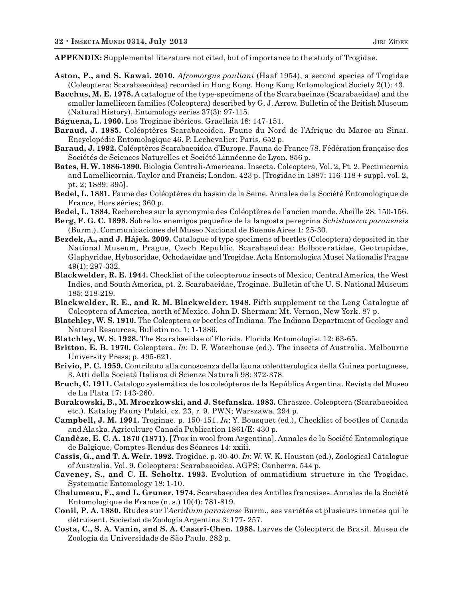**APPENDIX:** Supplemental literature not cited, but of importance to the study of Trogidae.

- **Aston, P., and S. Kawai. 2010.** *Afromorgus pauliani* (Haaf 1954), a second species of Trogidae (Coleoptera: Scarabaeoidea) recorded in Hong Kong. Hong Kong Entomological Society 2(1): 43.
- **Bacchus, M. E. 1978.** A catalogue of the type-specimens of the Scarabaeinae (Scarabaeidae) and the smaller lamellicorn families (Coleoptera) described by G. J. Arrow. Bulletin of the British Museum (Natural History), Entomology series 37(3): 97-115.
- **Báguena, L. 1960.** Los Troginae ibéricos. Graellsia 18: 147-151.
- **Baraud, J. 1985.** Coléoptères Scarabaeoidea. Faune du Nord de l'Afrique du Maroc au Sinaï. Encyclopédie Entomologique 46. P. Lechevalier; Paris. 652 p.
- **Baraud, J. 1992.** Coléoptères Scarabaeoidea d'Europe. Fauna de France 78. Fédération française des Sociétés de Sciences Naturelles et Société Linnéenne de Lyon. 856 p.
- **Bates, H. W. 1886-1890.** Biologia Centrali-Americana. Insecta. Coleoptera, Vol. 2, Pt. 2. Pectinicornia and Lamellicornia. Taylor and Francis; London. 423 p. [Trogidae in 1887: 116-118 + suppl. vol. 2, pt. 2; 1889: 395].
- **Bedel, L. 1881.** Faune des Coléoptères du bassin de la Seine. Annales de la Société Entomologique de France, Hors séries; 360 p.
- **Bedel, L. 1884.** Recherches sur la synonymie des Coléoptères de l'ancien monde. Abeille 28: 150-156.
- **Berg, F. G. C. 1898.** Sobre los enemigos pequeños de la langosta peregrina *Schistocerca paranensis* (Burm.). Communicaciones del Museo Nacional de Buenos Aires 1: 25-30.
- **Bezdek, A., and J. Hájek. 2009.** Catalogue of type specimens of beetles (Coleoptera) deposited in the National Museum, Prague, Czech Republic. Scarabaeoidea: Bolboceratidae, Geotrupidae, Glaphyridae, Hybosoridae, Ochodaeidae and Trogidae. Acta Entomologica Musei Nationalis Pragae 49(1): 297-332.
- **Blackwelder, R. E. 1944.** Checklist of the coleopterous insects of Mexico, Central America, the West Indies, and South America, pt. 2. Scarabaeidae, Troginae. Bulletin of the U. S. National Museum 185: 218-219.
- **Blackwelder, R. E., and R. M. Blackwelder. 1948.** Fifth supplement to the Leng Catalogue of Coleoptera of America, north of Mexico. John D. Sherman; Mt. Vernon, New York. 87 p.
- **Blatchley, W. S. 1910.** The Coleoptera or beetles of Indiana. The Indiana Department of Geology and Natural Resources, Bulletin no. 1: 1-1386.
- **Blatchley, W. S. 1928.** The Scarabaeidae of Florida. Florida Entomologist 12: 63-65.
- **Britton, E. B. 1970.** Coleoptera. *In*: D. F. Waterhouse (ed.). The insects of Australia. Melbourne University Press; p. 495-621.
- **Brivio, P. C. 1959.** Contributo alla conoscenza della fauna coleotterologica della Guinea portuguese, 3. Atti della Società Italiana di Scienze Naturali 98: 372-378.
- **Bruch, C. 1911.** Catalogo systemática de los coleópteros de la República Argentina. Revista del Museo de La Plata 17: 143-260.
- **Burakowski, B., M. Mroczkowski, and J. Stefanska. 1983.** Chraszce. Coleoptera (Scarabaeoidea etc.). Katalog Fauny Polski, cz. 23, r. 9. PWN; Warszawa. 294 p.
- **Campbell, J. M. 1991.** Troginae. p. 150-151. *In*: Y. Bousquet (ed.), Checklist of beetles of Canada and Alaska. Agriculture Canada Publication 1861/E: 430 p.
- **Candèze, E. C. A. 1870 (1871).** [*Trox* in wool from Argentina]. Annales de la Société Entomologique de Balgique, Comptes-Rendus des Séances 14: xxiii.
- **Cassis, G., and T. A. Weir. 1992.** Trogidae. p. 30-40. *In*: W. W. K. Houston (ed.), Zoological Catalogue of Australia, Vol. 9. Coleoptera: Scarabaeoidea. AGPS; Canberra. 544 p.
- **Caveney, S., and C. H. Scholtz. 1993.** Evolution of ommatidium structure in the Trogidae. Systematic Entomology 18: 1-10.
- **Chalumeau, F., and L. Gruner. 1974.** Scarabaeoidea des Antilles francaises. Annales de la Société Entomologique de France (n. s.) 10(4): 781-819.
- **Conil, P. A. 1880.** Etudes sur l'*Acridium paranense* Burm., ses variétés et plusieurs innetes qui le détruisent. Sociedad de Zoología Argentina 3: 177- 257.
- **Costa, C., S. A. Vanin, and S. A. Casari-Chen. 1988.** Larves de Coleoptera de Brasil. Museu de Zoologia da Universidade de São Paulo. 282 p.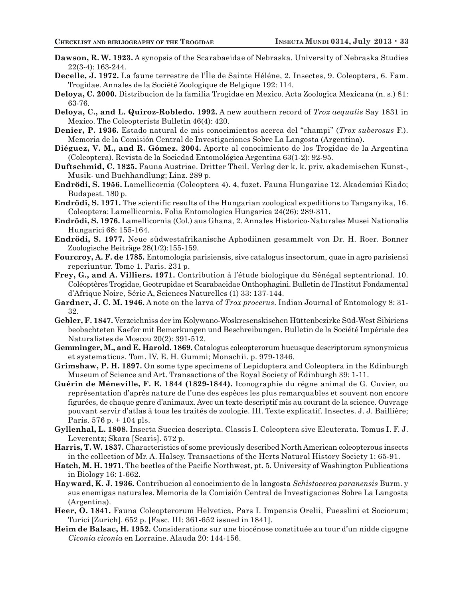- **Dawson, R. W. 1923.** A synopsis of the Scarabaeidae of Nebraska. University of Nebraska Studies 22(3-4): 163-244.
- **Decelle, J. 1972.** La faune terrestre de l'Île de Sainte Héléne, 2. Insectes, 9. Coleoptera, 6. Fam. Trogidae. Annales de la Société Zoologique de Belgique 192: 114.
- **Deloya, C. 2000.** Distribucion de la familia Trogidae en Mexico. Acta Zoologica Mexicana (n. s.) 81: 63-76.
- **Deloya, C., and L. Quiroz-Robledo. 1992.** A new southern record of *Trox aequalis* Say 1831 in Mexico. The Coleopterists Bulletin 46(4): 420.
- **Denier, P. 1936.** Estado natural de mis conocimientos acerca del "champi" (*Trox suberosus* F.). Memoria de la Comisión Central de Investigaciones Sobre La Langosta (Argentina).
- **Diéguez, V. M., and R. Gómez. 2004.** Aporte al conocimiento de los Trogidae de la Argentina (Coleoptera). Revista de la Sociedad Entomológica Argentina 63(1-2): 92-95.
- **Duftschmid, C. 1825.** Fauna Austriae. Dritter Theil. Verlag der k. k. priv. akademischen Kunst-, Musik- und Buchhandlung; Linz. 289 p.
- **Endrödi, S. 1956.** Lamellicornia (Coleoptera 4). 4, fuzet. Fauna Hungariae 12. Akademiai Kiado; Budapest. 180 p.
- **Endrödi, S. 1971.** The scientific results of the Hungarian zoological expeditions to Tanganyika, 16. Coleoptera: Lamellicornia. Folia Entomologica Hungarica 24(26): 289-311.
- **Endrödi, S. 1976.** Lamellicornia (Col.) aus Ghana, 2. Annales Historico-Naturales Musei Nationalis Hungarici 68: 155-164.
- **Endrödi, S. 1977.** Neue südwestafrikanische Aphodiinen gesammelt von Dr. H. Roer. Bonner Zoologische Beiträge 28(1/2):155-159.
- **Fourcroy, A. F. de 1785.** Entomologia parisiensis, sive catalogus insectorum, quae in agro parisiensi reperiuntur. Tome 1. Paris. 231 p.
- **Frey, G., and A. Villiers. 1971.** Contribution à l'étude biologique du Sénégal septentrional. 10. Coléoptères Trogidae, Geotrupidae et Scarabaeidae Onthophagini. Bulletin de l'Institut Fondamental d'Afrique Noire, Série A, Sciences Naturelles (1) 33: 137-144.
- **Gardner, J. C. M. 1946.** A note on the larva of *Trox procerus*. Indian Journal of Entomology 8: 31- 32.
- **Gebler, F. 1847.** Verzeichniss der im Kolywano-Woskresenskischen Hüttenbezirke Süd-West Sibiriens beobachteten Kaefer mit Bemerkungen und Beschreibungen. Bulletin de la Société Impériale des Naturalistes de Moscou 20(2): 391-512.
- **Gemminger, M., and E. Harold. 1869.** Catalogus coleopterorum hucusque descriptorum synonymicus et systematicus. Tom. IV. E. H. Gummi; Monachii. p. 979-1346.
- **Grimshaw, P. H. 1897.** On some type specimens of Lepidoptera and Coleoptera in the Edinburgh Museum of Science and Art. Transactions of the Royal Society of Edinburgh 39: 1-11.
- **Guérin de Méneville, F. E. 1844 (1829-1844).** Iconographie du régne animal de G. Cuvier, ou représentation d'après nature de l'une des espèces les plus remarquables et souvent non encore figurées, de chaque genre d'animaux. Avec un texte descriptif mis au courant de la science. Ouvrage pouvant servir d'atlas à tous les traités de zoologie. III. Texte explicatif. Insectes. J. J. Baillière; Paris. 576 p. + 104 pls.
- **Gyllenhal, L. 1808.** Insecta Suecica descripta. Classis I. Coleoptera sive Eleuterata. Tomus I. F. J. Leverentz; Skara [Scaris]. 572 p.
- **Harris, T. W. 1837.** Characteristics of some previously described North American coleopterous insects in the collection of Mr. A. Halsey. Transactions of the Herts Natural History Society 1: 65-91.
- **Hatch, M. H. 1971.** The beetles of the Pacific Northwest, pt. 5. University of Washington Publications in Biology 16: 1-662.
- **Hayward, K. J. 1936.** Contribucion al conocimiento de la langosta *Schistocerca paranensis* Burm. y sus enemigas naturales. Memoria de la Comisión Central de Investigaciones Sobre La Langosta (Argentina).
- **Heer, O. 1841.** Fauna Coleopterorum Helvetica. Pars I. Impensis Orelii, Fuesslini et Sociorum; Turici [Zurich]. 652 p. [Fasc. III: 361-652 issued in 1841].
- **Heim de Balsac, H. 1952.** Considerations sur une biocénose constituée au tour d'un nidde cigogne *Ciconia ciconia* en Lorraine. Alauda 20: 144-156.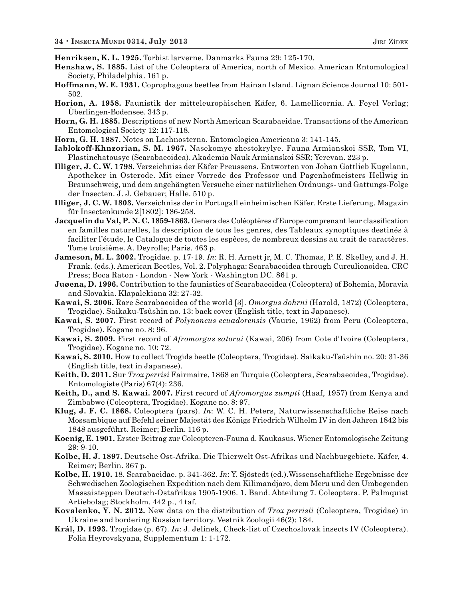**Henriksen, K. L. 1925.** Torbist larverne. Danmarks Fauna 29: 125-170.

- **Henshaw, S. 1885.** List of the Coleoptera of America, north of Mexico. American Entomological Society, Philadelphia. 161 p.
- **Hoffmann, W. E. 1931.** Coprophagous beetles from Hainan Island. Lignan Science Journal 10: 501- 502.
- **Horion, A. 1958.** Faunistik der mitteleuropäischen Käfer, 6. Lamellicornia. A. Feyel Verlag; Überlingen-Bodensee. 343 p.
- **Horn, G. H. 1885.** Descriptions of new North American Scarabaeidae. Transactions of the American Entomological Society 12: 117-118.
- **Horn, G. H. 1887.** Notes on Lachnosterna. Entomologica Americana 3: 141-145.
- **Iablokoff-Khnzorian, S. M. 1967.** Nasekomye zhestokrylye. Fauna Armianskoi SSR, Tom VI, Plastinchatousye (Scarabaeoidea). Akademia Nauk Armianskoi SSR; Yerevan. 223 p.
- **Illiger, J. C. W. 1798.** Verzeichniss der Käfer Preussens. Entworten von Johan Gottlieb Kugelann, Apotheker in Osterode. Mit einer Vorrede des Professor und Pagenhofmeisters Hellwig in Braunschweig, und dem angehängten Versuche einer natürlichen Ordnungs- und Gattungs-Folge der Insecten. J. J. Gebauer; Halle. 510 p.
- **Illiger, J. C. W. 1803.** Verzeichniss der in Portugall einheimischen Käfer. Erste Lieferung. Magazin für Insectenkunde 2[1802]: 186-258.
- **Jacquelin du Val, P. N. C. 1859-1863.** Genera des Coléoptères d'Europe comprenant leur classification en familles naturelles, la description de tous les genres, des Tableaux synoptiques destinés à faciliter l'étude, le Catalogue de toutes les espèces, de nombreux dessins au trait de caractères. Tome troisième. A. Deyrolle; Paris. 463 p.
- **Jameson, M. L. 2002.** Trogidae. p. 17-19. *In*: R. H. Arnett jr, M. C. Thomas, P. E. Skelley, and J. H. Frank. (eds.). American Beetles, Vol. 2. Polyphaga: Scarabaeoidea through Curculionoidea. CRC Press; Boca Raton - London - New York - Washington DC. 861 p.
- **Juøena, D. 1996.** Contribution to the faunistics of Scarabaeoidea (Coleoptera) of Bohemia, Moravia and Slovakia. Klapalekiana 32: 27-32.
- **Kawai, S. 2006.** Rare Scarabaeoidea of the world [3]. *Omorgus dohrni* (Harold, 1872) (Coleoptera, Trogidae). Saikaku-Tsûshin no. 13: back cover (English title, text in Japanese).
- **Kawai, S. 2007.** First record of *Polynoncus ecuadorensis* (Vaurie, 1962) from Peru (Coleoptera, Trogidae). Kogane no. 8: 96.
- **Kawai, S. 2009.** First record of *Afromorgus satorui* (Kawai, 206) from Cote d'Ivoire (Coleoptera, Trogidae). Kogane no. 10: 72.
- **Kawai, S. 2010.** How to collect Trogids beetle (Coleoptera, Trogidae). Saikaku-Tsûshin no. 20: 31-36 (English title, text in Japanese).
- **Keith, D. 2011.** Sur *Trox perrisi* Fairmaire, 1868 en Turquie (Coleoptera, Scarabaeoidea, Trogidae). Entomologiste (Paris) 67(4): 236.
- **Keith, D., and S. Kawai. 2007.** First record of *Afromorgus zumpti* (Haaf, 1957) from Kenya and Zimbabwe (Coleoptera, Trogidae). Kogane no. 8: 97.
- **Klug, J. F. C. 1868.** Coleoptera (pars). *In*: W. C. H. Peters, Naturwissenschaftliche Reise nach Mossambique auf Befehl seiner Majestät des Königs Friedrich Wilhelm IV in den Jahren 1842 bis 1848 ausgeführt. Reimer; Berlin. 116 p.
- **Koenig, E. 1901.** Erster Beitrag zur Coleopteren-Fauna d. Kaukasus. Wiener Entomologische Zeitung 29: 9-10.
- **Kolbe, H. J. 1897.** Deutsche Ost-Afrika. Die Thierwelt Ost-Afrikas und Nachburgebiete. Käfer, 4. Reimer; Berlin. 367 p.
- **Kolbe, H. 1910.** 18. Scarabaeidae. p. 341-362. *In*: Y. Sjöstedt (ed.).Wissenschaftliche Ergebnisse der Schwedischen Zoologischen Expedition nach dem Kilimandjaro, dem Meru und den Umbegenden Massaisteppen Deutsch-Ostafrikas 1905-1906. 1. Band. Abteilung 7. Coleoptera. P. Palmquist Artiebolag; Stockholm. 442 p., 4 taf.
- **Kovalenko, Y. N. 2012.** New data on the distribution of *Trox perrisii* (Coleoptera, Trogidae) in Ukraine and bordering Russian territory. Vestnik Zoologii 46(2): 184.
- **Král, D. 1993.** Trogidae (p. 67). *In*: J. Jelínek, Check-list of Czechoslovak insects IV (Coleoptera). Folia Heyrovskyana, Supplementum 1: 1-172.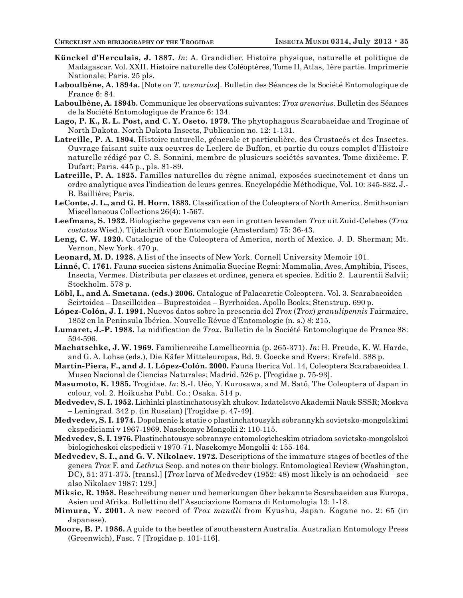- **Künckel d'Herculais, J. 1887.** *In*: A. Grandidier. Histoire physique, naturelle et politique de Madagascar. Vol. XXII. Histoire naturelle des Coléoptères, Tome II, Atlas, 1ère partie. Imprimerie Nationale; Paris. 25 pls.
- **Laboulbène, A. 1894a.** [Note on *T. arenarius*]. Bulletin des Séances de la Société Entomologique de France 6: 84.
- **Laboulbène, A. 1894b.** Communique les observations suivantes: *Trox arenarius*. Bulletin des Séances de la Société Entomologique de France 6: 134.
- **Lago, P. K., R. L. Post, and C. Y. Oseto. 1979.** The phytophagous Scarabaeidae and Troginae of North Dakota. North Dakota Insects, Publication no. 12: 1-131.
- **Latreille, P. A. 1804.** Histoire naturelle, génerale et particulière, des Crustacés et des Insectes. Ouvrage faisant suite aux oeuvres de Leclerc de Buffon, et partie du cours complet d'Histoire naturelle rédigé par C. S. Sonnini, membre de plusieurs sociétés savantes. Tome dixièeme. F. Dufart; Paris. 445 p., pls. 81-89.
- **Latreille, P. A. 1825.** Familles naturelles du règne animal, exposées succinctement et dans un ordre analytique aves l'indication de leurs genres. Encyclopédie Méthodique, Vol. 10: 345-832. J.- B. Baillière; Paris.
- **LeConte, J. L., and G. H. Horn. 1883.** Classification of the Coleoptera of North America. Smithsonian Miscellaneous Collections 26(4): 1-567.
- **Leefmans, S. 1932.** Biologische gegevens van een in grotten levenden *Trox* uit Zuid-Celebes (*Trox costatus* Wied.). Tijdschrift voor Entomologie (Amsterdam) 75: 36-43.
- **Leng, C. W. 1920.** Catalogue of the Coleoptera of America, north of Mexico. J. D. Sherman; Mt. Vernon, New York. 470 p.
- **Leonard, M. D. 1928.** A list of the insects of New York. Cornell University Memoir 101.
- **Linné, C. 1761.** Fauna suecica sistens Animalia Sueciae Regni: Mammalia, Aves, Amphibia, Pisces, Insecta, Vermes. Distributa per classes et ordines, genera et species. Editio 2. Laurentii Salvii; Stockholm. 578 p.
- **Löbl, I., and A. Smetana. (eds.) 2006.** Catalogue of Palaearctic Coleoptera. Vol. 3. Scarabaeoidea Scirtoidea – Dascilloidea – Buprestoidea – Byrrhoidea. Apollo Books; Stenstrup. 690 p.
- **López-Colón, J. I. 1991.** Nuevos datos sobre la presencia del *Trox* (*Trox*) *granulipennis* Fairmaire, 1852 en la Peninsula Ibérica. Nouvelle Révue d'Entomologie (n. s.) 8: 215.
- **Lumaret, J.-P. 1983.** La nidification de *Trox*. Bulletin de la Société Entomologique de France 88: 594-596.
- **Machatschke, J. W. 1969.** Familienreihe Lamellicornia (p. 265-371). *In*: H. Freude, K. W. Harde, and G. A. Lohse (eds.), Die Käfer Mitteleuropas, Bd. 9. Goecke and Evers; Krefeld. 388 p.
- **Martín-Piera, F., and J. I. López-Colón. 2000.** Fauna Iberica Vol. 14, Coleoptera Scarabaeoidea I. Museo Nacional de Ciencias Naturales; Madrid. 526 p. [Trogidae p. 75-93].
- **Masumoto, K. 1985.** Trogidae. *In*: S.-I. Uéo, Y. Kurosawa, and M. Satô, The Coleoptera of Japan in colour, vol. 2. Hoikusha Publ. Co.; Osaka. 514 p.
- **Medvedev, S. I. 1952.** Lichinki plastinchatousykh zhukov. Izdatelstvo Akademii Nauk SSSR; Moskva – Leningrad. 342 p. (in Russian) [Trogidae p. 47-49].
- **Medvedev, S. I. 1974.** Dopolnenie k statie o plastinchatousykh sobrannykh sovietsko-mongolskimi ekspediciami v 1967-1969. Nasekomye Mongolii 2: 110-115.
- **Medvedev, S. I. 1976.** Plastinchatousye sobrannye entomologicheskim otriadom sovietsko-mongolskoi biologicheskoi ekspedicii v 1970-71. Nasekomye Mongolii 4: 155-164.
- **Medvedev, S. I., and G. V. Nikolaev. 1972.** Descriptions of the immature stages of beetles of the genera *Trox* F. and *Lethrus* Scop. and notes on their biology. Entomological Review (Washington, DC), 51: 371-375. [transl.] [*Trox* larva of Medvedev (1952: 48) most likely is an ochodaeid – see also Nikolaev 1987: 129.]
- **Miksic, R. 1958.** Beschreibung neuer und bemerkungen über bekannte Scarabaeiden aus Europa, Asien und Afrika. Bollettino dell' Associazione Romana di Entomologia 13: 1-18.
- **Mimura, Y. 2001.** A new record of *Trox mandli* from Kyushu, Japan. Kogane no. 2: 65 (in Japanese).
- **Moore, B. P. 1986.** A guide to the beetles of southeastern Australia. Australian Entomology Press (Greenwich), Fasc. 7 [Trogidae p. 101-116].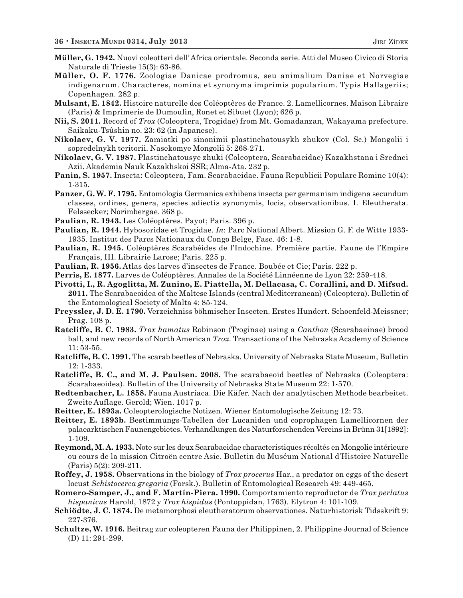- **Müller, G. 1942.** Nuovi coleotteri dell' Africa orientale. Seconda serie. Atti del Museo Civico di Storia Naturale di Trieste 15(3): 63-86.
- **Müller, O. F. 1776.** Zoologiae Danicae prodromus, seu animalium Daniae et Norvegiae indigenarum. Characteres, nomina et synonyma imprimis popularium. Typis Hallageriis; Copenhagen. 282 p.
- **Mulsant, E. 1842.** Histoire naturelle des Coléoptères de France. 2. Lamellicornes. Maison Libraire (Paris) & Imprimerie de Dumoulin, Ronet et Sibuet (Lyon); 626 p.
- **Nii, S. 2011.** Record of *Trox* (Coleoptera, Trogidae) from Mt. Gomadanzan, Wakayama prefecture. Saikaku-Tsûshin no. 23: 62 (in Japanese).
- **Nikolaev, G. V. 1977.** Zamiatki po sinonimii plastinchatousykh zhukov (Col. Sc.) Mongolii i sopredelnykh teritorii. Nasekomye Mongolii 5: 268-271.
- **Nikolaev, G. V. 1987.** Plastinchatousye zhuki (Coleoptera, Scarabaeidae) Kazakhstana i Srednei Azii. Akademia Nauk Kazakhskoi SSR; Alma-Ata. 232 p.
- **Panin, S. 1957.** Insecta: Coleoptera, Fam. Scarabaeidae. Fauna Republicii Populare Romine 10(4): 1-315.
- **Panzer, G. W. F. 1795.** Entomologia Germanica exhibens insecta per germaniam indigena secundum classes, ordines, genera, species adiectis synonymis, locis, observationibus. I. Eleutherata. Felssecker; Norimbergae. 368 p.
- **Paulian, R. 1943.** Les Coléoptères. Payot; Paris. 396 p.
- **Paulian, R. 1944.** Hybosoridae et Trogidae. *In*: Parc National Albert. Mission G. F. de Witte 1933- 1935. Institut des Parcs Nationaux du Congo Belge, Fasc. 46: 1-8.
- **Paulian, R. 1945.** Coléoptères Scarabéides de l'Indochine. Première partie. Faune de l'Empire Français, III. Librairie Larose; Paris. 225 p.
- **Paulian, R. 1956.** Atlas des larves d'insectes de France. Boubée et Cie; Paris. 222 p.
- **Perris, E. 1877.** Larves de Coléoptères. Annales de la Société Linnéenne de Lyon 22: 259-418.
- **Pivotti, I., R. Agoglitta, M. Zunino, E. Piattella, M. Dellacasa, C. Corallini, and D. Mifsud. 2011.** The Scarabaeoidea of the Maltese Islands (central Mediterranean) (Coleoptera). Bulletin of the Entomological Society of Malta 4: 85-124.
- **Preyssler, J. D. E. 1790.** Verzeichniss böhmischer Insecten. Erstes Hundert. Schoenfeld-Meissner; Prag. 108 p.
- **Ratcliffe, B. C. 1983.** *Trox hamatus* Robinson (Troginae) using a *Canthon* (Scarabaeinae) brood ball, and new records of North American *Trox*. Transactions of the Nebraska Academy of Science 11: 53-55.
- **Ratcliffe, B. C. 1991.** The scarab beetles of Nebraska. University of Nebraska State Museum, Bulletin 12: 1-333.
- **Ratcliffe, B. C., and M. J. Paulsen. 2008.** The scarabaeoid beetles of Nebraska (Coleoptera: Scarabaeoidea). Bulletin of the University of Nebraska State Museum 22: 1-570.
- **Redtenbacher, L. 1858.** Fauna Austriaca. Die Käfer. Nach der analytischen Methode bearbeitet. Zweite Auflage. Gerold; Wien. 1017 p.
- **Reitter, E. 1893a.** Coleopterologische Notizen. Wiener Entomologische Zeitung 12: 73.
- **Reitter, E. 1893b.** Bestimmungs-Tabellen der Lucaniden und coprophagen Lamellicornen der palaearktischen Faunengebietes. Verhandlungen des Naturforschenden Vereins in Brünn 31[1892]: 1-109.
- **Reymond, M. A. 1933.** Note sur les deux Scarabaeidae characteristiques récoltés en Mongolie intérieure ou cours de la mission Citroën centre Asie. Bulletin du Muséum National d'Histoire Naturelle (Paris) 5(2): 209-211.
- **Roffey, J. 1958.** Observations in the biology of *Trox procerus* Har., a predator on eggs of the desert locust *Schistocerca gregaria* (Forsk.). Bulletin of Entomological Research 49: 449-465.
- **Romero-Samper, J., and F. Martín-Piera. 1990.** Comportamiento reproductor de *Trox perlatus hispanicus* Harold, 1872 y *Trox hispidus* (Pontoppidan, 1763). Elytron 4: 101-109.
- **Schiödte, J. C. 1874.** De metamorphosi eleutheratorum observationes. Naturhistorisk Tidsskrift 9: 227-376.
- **Schultze, W. 1916.** Beitrag zur coleopteren Fauna der Philippinen, 2. Philippine Journal of Science (D) 11: 291-299.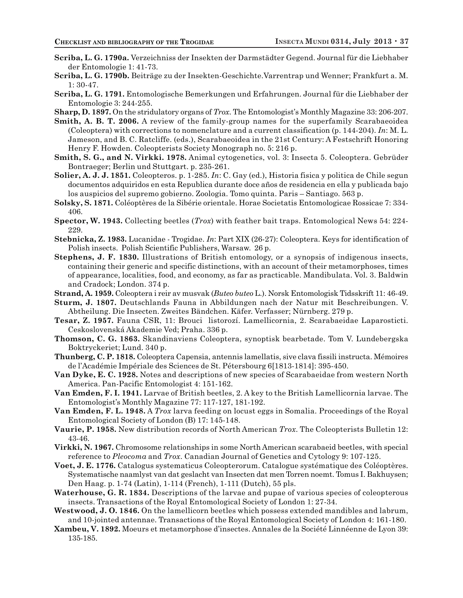- **Scriba, L. G. 1790a.** Verzeichniss der Insekten der Darmstädter Gegend. Journal für die Liebhaber der Entomologie 1: 41-73.
- **Scriba, L. G. 1790b.** Beiträge zu der Insekten-Geschichte.Varrentrap und Wenner; Frankfurt a. M. 1: 30-47.
- **Scriba, L. G. 1791.** Entomologische Bemerkungen und Erfahrungen. Journal für die Liebhaber der Entomologie 3: 244-255.
- **Sharp, D. 1897.** On the stridulatory organs of *Trox*. The Entomologist's Monthly Magazine 33: 206-207.
- **Smith, A. B. T. 2006.** A review of the family-group names for the superfamily Scarabaeoidea (Coleoptera) with corrections to nomenclature and a current classification (p. 144-204). *In*: M. L. Jameson, and B. C. Ratcliffe. (eds.), Scarabaeoidea in the 21st Century: A Festschrift Honoring Henry F. Howden. Coleopterists Society Monograph no. 5: 216 p.
- **Smith, S. G., and N. Virkki. 1978.** Animal cytogenetics, vol. 3: Insecta 5. Coleoptera. Gebrüder Bontraeger; Berlin und Stuttgart. p. 235-261.
- **Solier, A. J. J. 1851.** Coleopteros. p. 1-285. *In*: C. Gay (ed.), Historia fisica y politica de Chile segun documentos adquiridos en esta Republica durante doce años de residencia en ella y publicada bajo los auspicios del supremo gobierno. Zoologia. Tomo quinta. Paris – Santiago. 563 p.
- **Solsky, S. 1871.** Coléoptères de la Sibérie orientale. Horae Societatis Entomologicae Rossicae 7: 334- 406.
- **Spector, W. 1943.** Collecting beetles (*Trox*) with feather bait traps. Entomological News 54: 224- 229.
- **Stebnicka, Z. 1983.** Lucanidae Trogidae. *In*: Part XIX (26-27): Coleoptera. Keys for identification of Polish insects. Polish Scientific Publishers, Warsaw. 26 p.
- **Stephens, J. F. 1830.** Illustrations of British entomology, or a synopsis of indigenous insects, containing their generic and specific distinctions, with an account of their metamorphoses, times of appearance, localities, food, and economy, as far as practicable. Mandibulata. Vol. 3. Baldwin and Cradock; London. 374 p.
- **Strand, A. 1959.** Coleoptera i reir av musvak (*Buteo buteo* L.). Norsk Entomologisk Tidsskrift 11: 46-49.
- **Sturm, J. 1807.** Deutschlands Fauna in Abbildungen nach der Natur mit Beschreibungen. V. Abtheilung. Die Insecten. Zweites Bändchen. Käfer. Verfasser; Nürnberg. 279 p.
- **Tesar, Z. 1957.** Fauna CSR, 11: Brouci listorozí. Lamellicornia, 2. Scarabaeidae Laparosticti. Ceskoslovenská Akademie Ved; Praha. 336 p.
- **Thomson, C. G. 1863.** Skandinaviens Coleoptera, synoptisk bearbetade. Tom V. Lundebergska Boktryckeriet; Lund. 340 p.
- **Thunberg, C. P. 1818.** Coleoptera Capensia, antennis lamellatis, sive clava fissili instructa. Mémoires de l'Académie Impériale des Sciences de St. Pétersbourg 6[1813-1814]: 395-450.
- **Van Dyke, E. C. 1928.** Notes and descriptions of new species of Scarabaeidae from western North America. Pan-Pacific Entomologist 4: 151-162.
- **Van Emden, F. I. 1941.** Larvae of British beetles, 2. A key to the British Lamellicornia larvae. The Entomologist's Monthly Magazine 77: 117-127, 181-192.
- **Van Emden, F. L. 1948.** A *Trox* larva feeding on locust eggs in Somalia. Proceedings of the Royal Entomological Society of London (B) 17: 145-148.
- **Vaurie, P. 1958.** New distribution records of North American *Trox*. The Coleopterists Bulletin 12: 43-46.
- **Virkki, N. 1967.** Chromosome relationships in some North American scarabaeid beetles, with special reference to *Pleocoma* and *Trox*. Canadian Journal of Genetics and Cytology 9: 107-125.
- **Voet, J. E. 1776.** Catalogus systematicus Coleopterorum. Catalogue systématique des Coléoptères. Systematische naamlyst van dat geslacht van Insecten dat men Torren noemt. Tomus I. Bakhuysen; Den Haag. p. 1-74 (Latin), 1-114 (French), 1-111 (Dutch), 55 pls.
- **Waterhouse, G. R. 1834.** Descriptions of the larvae and pupae of various species of coleopterous insects. Transactions of the Royal Entomological Society of London 1: 27-34.
- **Westwood, J. O. 1846.** On the lamellicorn beetles which possess extended mandibles and labrum, and 10-jointed antennae. Transactions of the Royal Entomological Society of London 4: 161-180.
- **Xambeu, V. 1892.** Moeurs et metamorphose d'insectes. Annales de la Société Linnéenne de Lyon 39: 135-185.